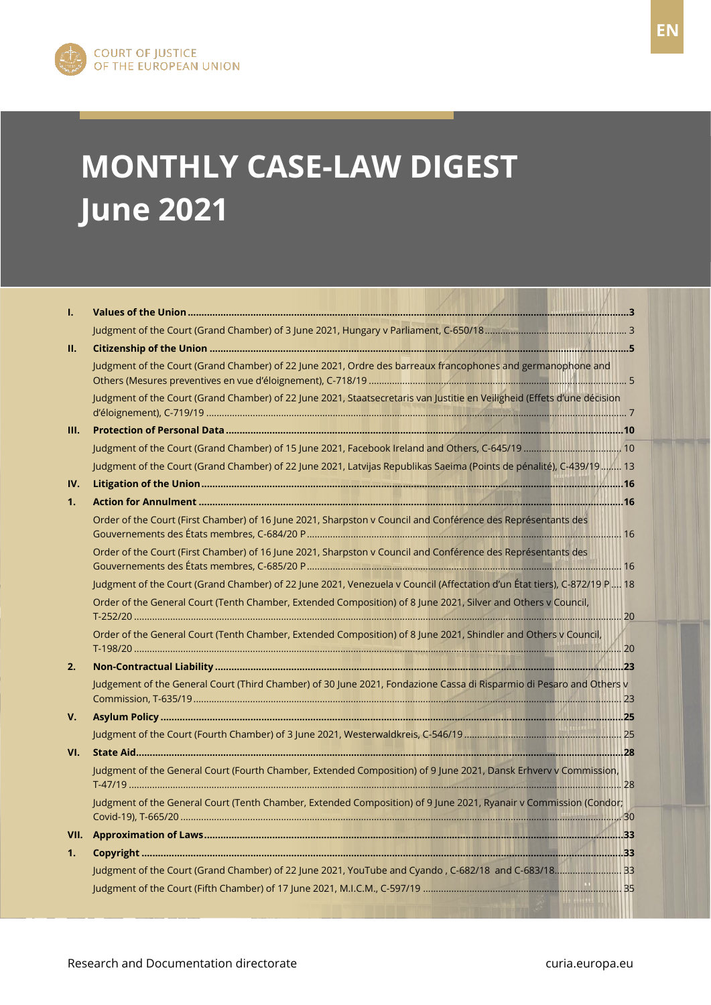

# **MONTHLY CASE-LAW DIGEST June 2021**

| L.   |                                                                                                                          |  |
|------|--------------------------------------------------------------------------------------------------------------------------|--|
|      |                                                                                                                          |  |
| П.   |                                                                                                                          |  |
|      | Judgment of the Court (Grand Chamber) of 22 June 2021, Ordre des barreaux francophones and germanophone and              |  |
|      | Judgment of the Court (Grand Chamber) of 22 June 2021, Staatsecretaris van Justitie en Veiligheid (Effets d'une décision |  |
| III. |                                                                                                                          |  |
|      |                                                                                                                          |  |
|      | Judgment of the Court (Grand Chamber) of 22 June 2021, Latvijas Republikas Saeima (Points de pénalité), C-439/19  13     |  |
| IV.  |                                                                                                                          |  |
| 1.   |                                                                                                                          |  |
|      | Order of the Court (First Chamber) of 16 June 2021, Sharpston v Council and Conférence des Représentants des             |  |
|      | Order of the Court (First Chamber) of 16 June 2021, Sharpston v Council and Conférence des Représentants des             |  |
|      | Judgment of the Court (Grand Chamber) of 22 June 2021, Venezuela v Council (Affectation d'un État tiers), C-872/19 P 18  |  |
|      | Order of the General Court (Tenth Chamber, Extended Composition) of 8 June 2021, Silver and Others v Council,            |  |
|      | Order of the General Court (Tenth Chamber, Extended Composition) of 8 June 2021, Shindler and Others v Council,          |  |
| 2.   |                                                                                                                          |  |
|      | Judgement of the General Court (Third Chamber) of 30 June 2021, Fondazione Cassa di Risparmio di Pesaro and Others v     |  |
| V.   |                                                                                                                          |  |
|      |                                                                                                                          |  |
| VI.  |                                                                                                                          |  |
|      | Judgment of the General Court (Fourth Chamber, Extended Composition) of 9 June 2021, Dansk Erhverv v Commission,         |  |
|      | Judgment of the General Court (Tenth Chamber, Extended Composition) of 9 June 2021, Ryanair v Commission (Condor;        |  |
| VII. |                                                                                                                          |  |
| 1.   |                                                                                                                          |  |
|      | [33] Judgment of the Court (Grand Chamber) of 22 June 2021, YouTube and Cyando, C-682/18 and C-683/18                    |  |
|      |                                                                                                                          |  |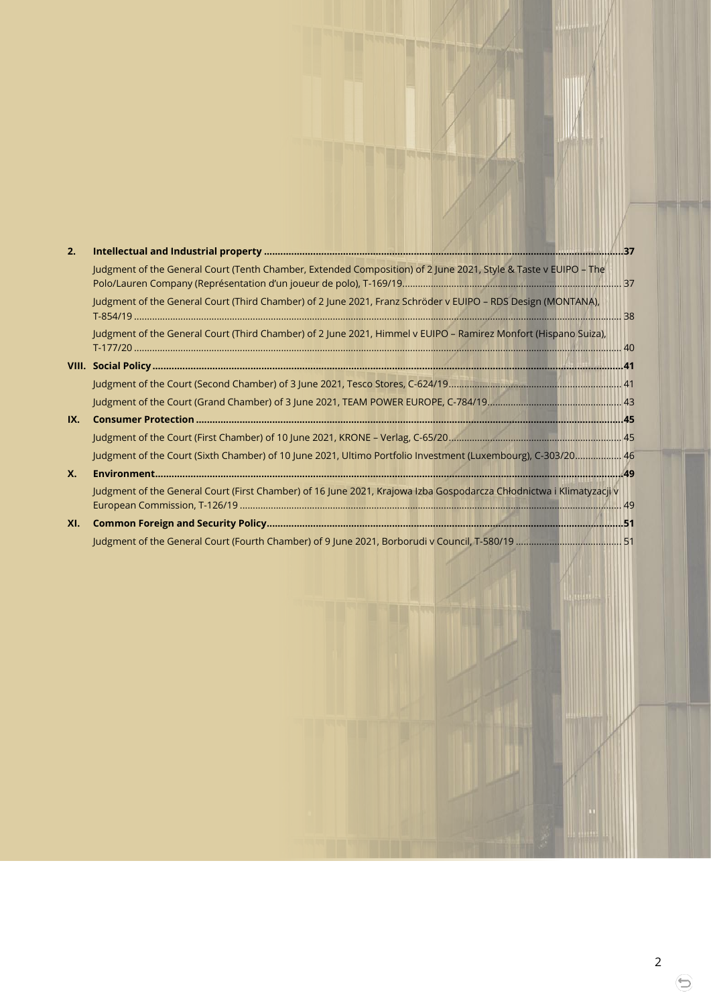| 2.  |                                                                                                                      |  |
|-----|----------------------------------------------------------------------------------------------------------------------|--|
|     | Judgment of the General Court (Tenth Chamber, Extended Composition) of 2 June 2021, Style & Taste v EUIPO - The      |  |
|     | Judgment of the General Court (Third Chamber) of 2 June 2021, Franz Schröder v EUIPO - RDS Design (MONTANA),         |  |
|     | Judgment of the General Court (Third Chamber) of 2 June 2021, Himmel v EUIPO - Ramirez Monfort (Hispano Suiza),      |  |
|     |                                                                                                                      |  |
|     |                                                                                                                      |  |
|     |                                                                                                                      |  |
| IX. |                                                                                                                      |  |
|     |                                                                                                                      |  |
|     | Judgment of the Court (Sixth Chamber) of 10 June 2021, Ultimo Portfolio Investment (Luxembourg), C-303/20 46         |  |
| Х.  |                                                                                                                      |  |
|     | Judgment of the General Court (First Chamber) of 16 June 2021, Krajowa Izba Gospodarcza Chłodnictwa i Klimatyzacji v |  |
|     |                                                                                                                      |  |
| XI. |                                                                                                                      |  |
|     |                                                                                                                      |  |

2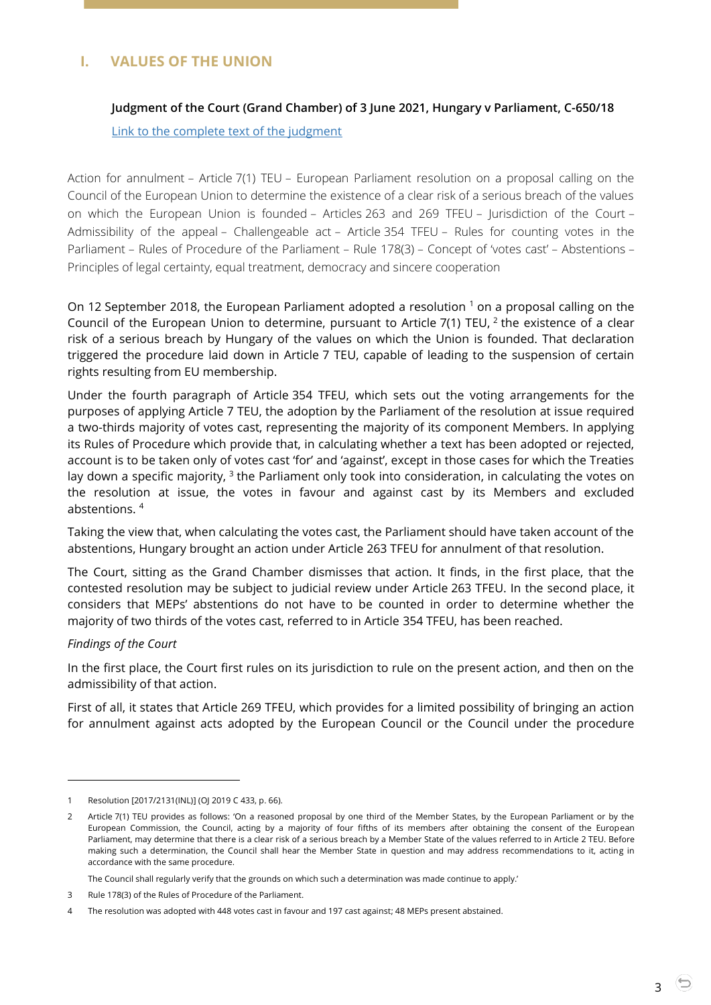# <span id="page-2-1"></span><span id="page-2-0"></span>**I. VALUES OF THE UNION**

## **Judgment of the Court (Grand Chamber) of 3 June 2021, Hungary v Parliament, C-650/18**

[Link to the complete text of the judgment](https://curia.europa.eu/juris/document/document.jsf?text=&docid=242030&pageIndex=0&doclang=en&mode=lst&dir=&occ=first&part=1&cid=323445)

Action for annulment – Article 7(1) TEU – European Parliament resolution on a proposal calling on the Council of the European Union to determine the existence of a clear risk of a serious breach of the values on which the European Union is founded – Articles 263 and 269 TFEU – Jurisdiction of the Court – Admissibility of the appeal – Challengeable act – Article 354 TFEU – Rules for counting votes in the Parliament – Rules of Procedure of the Parliament – Rule 178(3) – Concept of 'votes cast' – Abstentions – Principles of legal certainty, equal treatment, democracy and sincere cooperation

On 12 September 2018, the European Parliament adopted a resolution <sup>1</sup> on a proposal calling on the Council of the European Union to determine, pursuant to Article  $7(1)$  TEU,  $^2$  the existence of a clear risk of a serious breach by Hungary of the values on which the Union is founded. That declaration triggered the procedure laid down in Article 7 TEU, capable of leading to the suspension of certain rights resulting from EU membership.

Under the fourth paragraph of Article 354 TFEU, which sets out the voting arrangements for the purposes of applying Article 7 TEU, the adoption by the Parliament of the resolution at issue required a two-thirds majority of votes cast, representing the majority of its component Members. In applying its Rules of Procedure which provide that, in calculating whether a text has been adopted or rejected, account is to be taken only of votes cast 'for' and 'against', except in those cases for which the Treaties lay down a specific majority,  $3$  the Parliament only took into consideration, in calculating the votes on the resolution at issue, the votes in favour and against cast by its Members and excluded abstentions. <sup>4</sup>

Taking the view that, when calculating the votes cast, the Parliament should have taken account of the abstentions, Hungary brought an action under Article 263 TFEU for annulment of that resolution.

The Court, sitting as the Grand Chamber dismisses that action. It finds, in the first place, that the contested resolution may be subject to judicial review under Article 263 TFEU. In the second place, it considers that MEPs' abstentions do not have to be counted in order to determine whether the majority of two thirds of the votes cast, referred to in Article 354 TFEU, has been reached.

#### *Findings of the Court*

 $\overline{a}$ 

In the first place, the Court first rules on its jurisdiction to rule on the present action, and then on the admissibility of that action.

First of all, it states that Article 269 TFEU, which provides for a limited possibility of bringing an action for annulment against acts adopted by the European Council or the Council under the procedure

The Council shall regularly verify that the grounds on which such a determination was made continue to apply.'

<sup>1</sup> Resolution [2017/2131(INL)] (OJ 2019 C 433, p. 66).

<sup>2</sup> Article 7(1) TEU provides as follows: 'On a reasoned proposal by one third of the Member States, by the European Parliament or by the European Commission, the Council, acting by a majority of four fifths of its members after obtaining the consent of the European Parliament, may determine that there is a clear risk of a serious breach by a Member State of the values referred to in Article 2 TEU. Before making such a determination, the Council shall hear the Member State in question and may address recommendations to it, acting in accordance with the same procedure.

<sup>3</sup> Rule 178(3) of the Rules of Procedure of the Parliament.

<sup>4</sup> The resolution was adopted with 448 votes cast in favour and 197 cast against; 48 MEPs present abstained.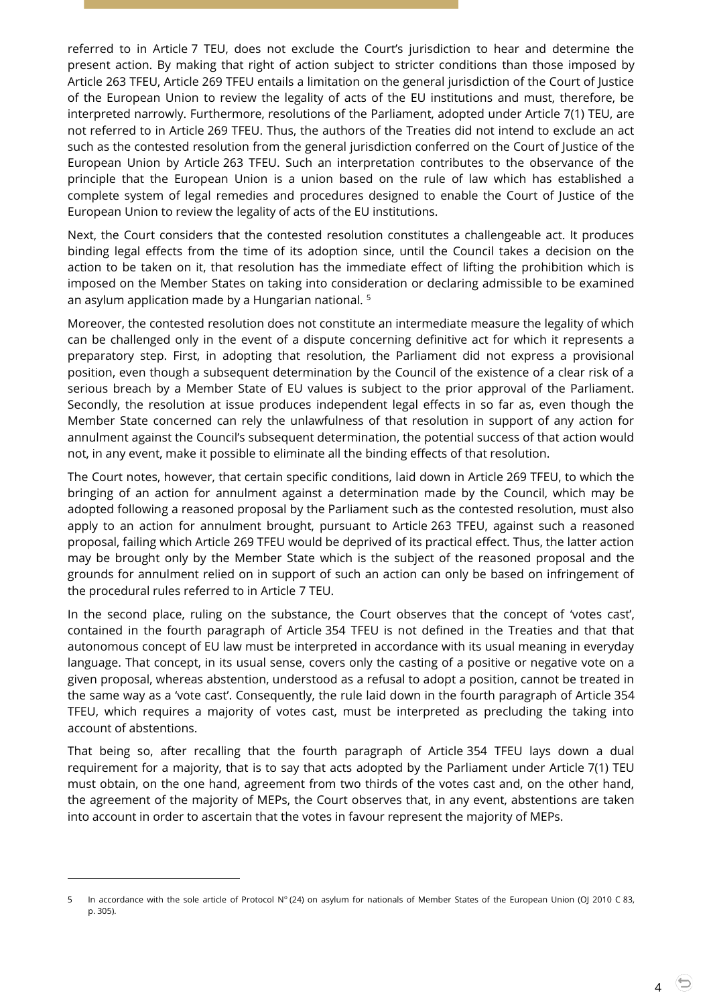referred to in Article 7 TEU, does not exclude the Court's jurisdiction to hear and determine the present action. By making that right of action subject to stricter conditions than those imposed by Article 263 TFEU, Article 269 TFEU entails a limitation on the general jurisdiction of the Court of Justice of the European Union to review the legality of acts of the EU institutions and must, therefore, be interpreted narrowly. Furthermore, resolutions of the Parliament, adopted under Article 7(1) TEU, are not referred to in Article 269 TFEU. Thus, the authors of the Treaties did not intend to exclude an act such as the contested resolution from the general jurisdiction conferred on the Court of Justice of the European Union by Article 263 TFEU. Such an interpretation contributes to the observance of the principle that the European Union is a union based on the rule of law which has established a complete system of legal remedies and procedures designed to enable the Court of Justice of the European Union to review the legality of acts of the EU institutions.

Next, the Court considers that the contested resolution constitutes a challengeable act. It produces binding legal effects from the time of its adoption since, until the Council takes a decision on the action to be taken on it, that resolution has the immediate effect of lifting the prohibition which is imposed on the Member States on taking into consideration or declaring admissible to be examined an asylum application made by a Hungarian national. <sup>5</sup>

Moreover, the contested resolution does not constitute an intermediate measure the legality of which can be challenged only in the event of a dispute concerning definitive act for which it represents a preparatory step. First, in adopting that resolution, the Parliament did not express a provisional position, even though a subsequent determination by the Council of the existence of a clear risk of a serious breach by a Member State of EU values is subject to the prior approval of the Parliament. Secondly, the resolution at issue produces independent legal effects in so far as, even though the Member State concerned can rely the unlawfulness of that resolution in support of any action for annulment against the Council's subsequent determination, the potential success of that action would not, in any event, make it possible to eliminate all the binding effects of that resolution.

The Court notes, however, that certain specific conditions, laid down in Article 269 TFEU, to which the bringing of an action for annulment against a determination made by the Council, which may be adopted following a reasoned proposal by the Parliament such as the contested resolution, must also apply to an action for annulment brought, pursuant to Article 263 TFEU, against such a reasoned proposal, failing which Article 269 TFEU would be deprived of its practical effect. Thus, the latter action may be brought only by the Member State which is the subject of the reasoned proposal and the grounds for annulment relied on in support of such an action can only be based on infringement of the procedural rules referred to in Article 7 TEU.

In the second place, ruling on the substance, the Court observes that the concept of 'votes cast', contained in the fourth paragraph of Article 354 TFEU is not defined in the Treaties and that that autonomous concept of EU law must be interpreted in accordance with its usual meaning in everyday language. That concept, in its usual sense, covers only the casting of a positive or negative vote on a given proposal, whereas abstention, understood as a refusal to adopt a position, cannot be treated in the same way as a 'vote cast'. Consequently, the rule laid down in the fourth paragraph of Article 354 TFEU, which requires a majority of votes cast, must be interpreted as precluding the taking into account of abstentions.

That being so, after recalling that the fourth paragraph of Article 354 TFEU lays down a dual requirement for a majority, that is to say that acts adopted by the Parliament under Article 7(1) TEU must obtain, on the one hand, agreement from two thirds of the votes cast and, on the other hand, the agreement of the majority of MEPs, the Court observes that, in any event, abstentions are taken into account in order to ascertain that the votes in favour represent the majority of MEPs.

 $\overline{a}$ 

4

<sup>5</sup> In accordance with the sole article of Protocol Nº (24) on asylum for nationals of Member States of the European Union (OJ 2010 C 83, p. 305).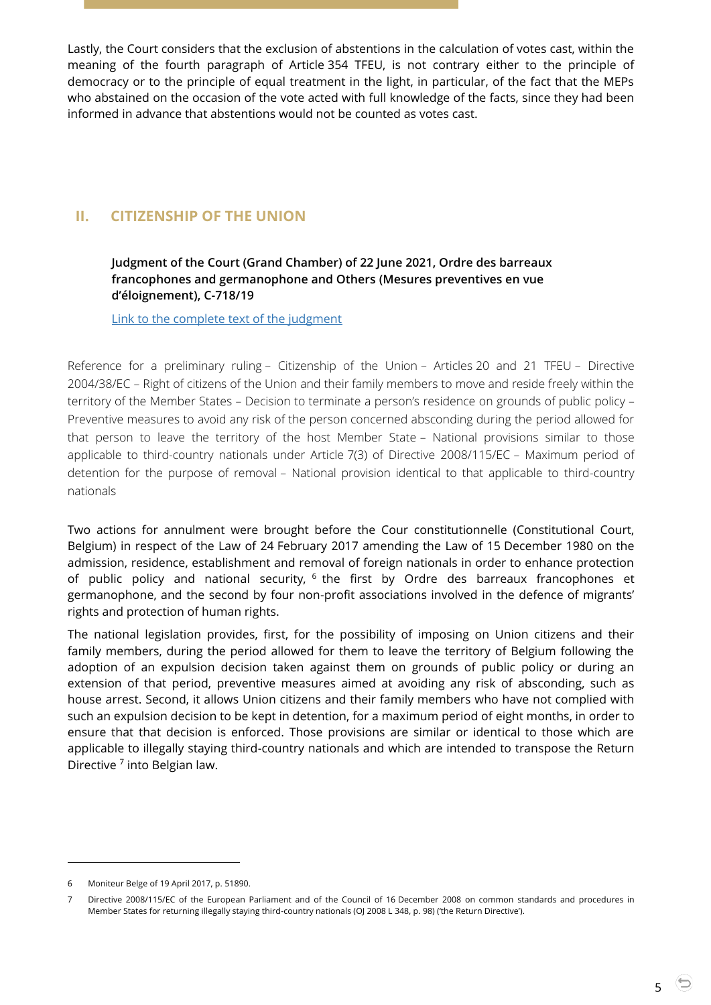Lastly, the Court considers that the exclusion of abstentions in the calculation of votes cast, within the meaning of the fourth paragraph of Article 354 TFEU, is not contrary either to the principle of democracy or to the principle of equal treatment in the light, in particular, of the fact that the MEPs who abstained on the occasion of the vote acted with full knowledge of the facts, since they had been informed in advance that abstentions would not be counted as votes cast.

# <span id="page-4-1"></span><span id="page-4-0"></span>**II. CITIZENSHIP OF THE UNION**

## **Judgment of the Court (Grand Chamber) of 22 June 2021, Ordre des barreaux francophones and germanophone and Others (Mesures preventives en vue d'éloignement), C-718/19**

[Link to the complete text of the judgment](https://curia.europa.eu/juris/document/document.jsf?text=&docid=243245&pageIndex=0&doclang=en&mode=lst&dir=&occ=first&part=1&cid=5285458)

Reference for a preliminary ruling – Citizenship of the Union – Articles 20 and 21 TFEU – Directive 2004/38/EC – Right of citizens of the Union and their family members to move and reside freely within the territory of the Member States – Decision to terminate a person's residence on grounds of public policy – Preventive measures to avoid any risk of the person concerned absconding during the period allowed for that person to leave the territory of the host Member State – National provisions similar to those applicable to third-country nationals under Article 7(3) of Directive 2008/115/EC – Maximum period of detention for the purpose of removal – National provision identical to that applicable to third-country nationals

Two actions for annulment were brought before the Cour constitutionnelle (Constitutional Court, Belgium) in respect of the Law of 24 February 2017 amending the Law of 15 December 1980 on the admission, residence, establishment and removal of foreign nationals in order to enhance protection of public policy and national security, <sup>6</sup> the first by Ordre des barreaux francophones et germanophone, and the second by four non-profit associations involved in the defence of migrants' rights and protection of human rights.

The national legislation provides, first, for the possibility of imposing on Union citizens and their family members, during the period allowed for them to leave the territory of Belgium following the adoption of an expulsion decision taken against them on grounds of public policy or during an extension of that period, preventive measures aimed at avoiding any risk of absconding, such as house arrest. Second, it allows Union citizens and their family members who have not complied with such an expulsion decision to be kept in detention, for a maximum period of eight months, in order to ensure that that decision is enforced. Those provisions are similar or identical to those which are applicable to illegally staying third-country nationals and which are intended to transpose the Return Directive<sup>7</sup> into Belgian law.

 $\overline{a}$ 

5

<sup>6</sup> Moniteur Belge of 19 April 2017, p. 51890.

<sup>7</sup> Directive 2008/115/EC of the European Parliament and of the Council of 16 December 2008 on common standards and procedures in Member States for returning illegally staying third-country nationals (OJ 2008 L 348, p. 98) ('the Return Directive').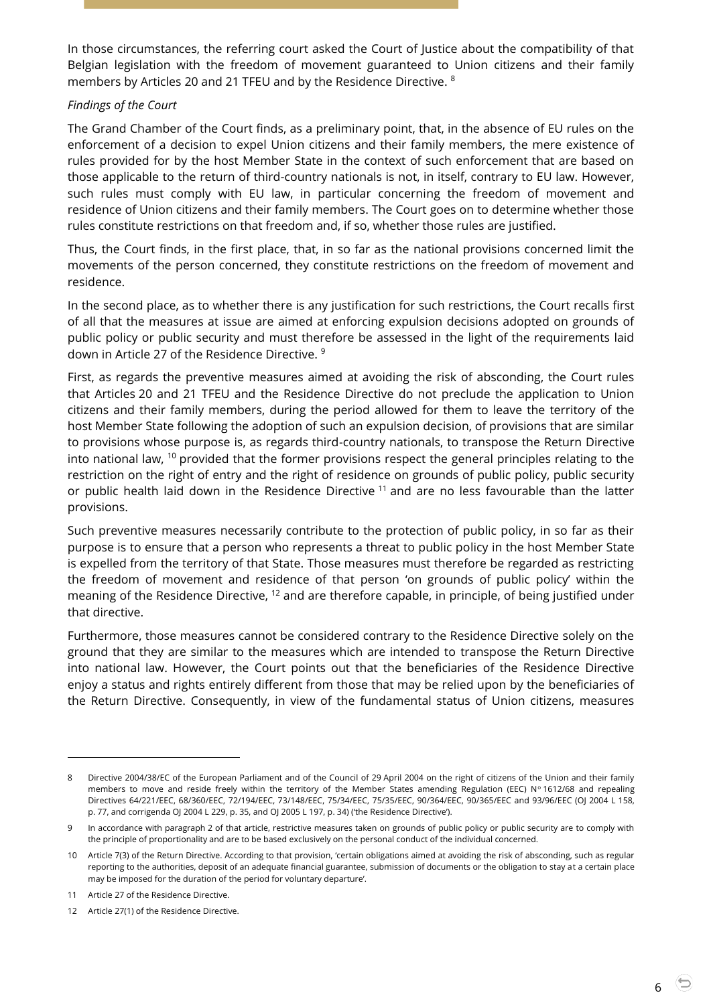In those circumstances, the referring court asked the Court of Justice about the compatibility of that Belgian legislation with the freedom of movement guaranteed to Union citizens and their family members by Articles 20 and 21 TFEU and by the Residence Directive. <sup>8</sup>

#### *Findings of the Court*

The Grand Chamber of the Court finds, as a preliminary point, that, in the absence of EU rules on the enforcement of a decision to expel Union citizens and their family members, the mere existence of rules provided for by the host Member State in the context of such enforcement that are based on those applicable to the return of third-country nationals is not, in itself, contrary to EU law. However, such rules must comply with EU law, in particular concerning the freedom of movement and residence of Union citizens and their family members. The Court goes on to determine whether those rules constitute restrictions on that freedom and, if so, whether those rules are justified.

Thus, the Court finds, in the first place, that, in so far as the national provisions concerned limit the movements of the person concerned, they constitute restrictions on the freedom of movement and residence.

In the second place, as to whether there is any justification for such restrictions, the Court recalls first of all that the measures at issue are aimed at enforcing expulsion decisions adopted on grounds of public policy or public security and must therefore be assessed in the light of the requirements laid down in Article 27 of the Residence Directive. <sup>9</sup>

First, as regards the preventive measures aimed at avoiding the risk of absconding, the Court rules that Articles 20 and 21 TFEU and the Residence Directive do not preclude the application to Union citizens and their family members, during the period allowed for them to leave the territory of the host Member State following the adoption of such an expulsion decision, of provisions that are similar to provisions whose purpose is, as regards third-country nationals, to transpose the Return Directive into national law,  $^{10}$  provided that the former provisions respect the general principles relating to the restriction on the right of entry and the right of residence on grounds of public policy, public security or public health laid down in the Residence Directive <sup>11</sup> and are no less favourable than the latter provisions.

Such preventive measures necessarily contribute to the protection of public policy, in so far as their purpose is to ensure that a person who represents a threat to public policy in the host Member State is expelled from the territory of that State. Those measures must therefore be regarded as restricting the freedom of movement and residence of that person 'on grounds of public policy' within the meaning of the Residence Directive, <sup>12</sup> and are therefore capable, in principle, of being justified under that directive.

Furthermore, those measures cannot be considered contrary to the Residence Directive solely on the ground that they are similar to the measures which are intended to transpose the Return Directive into national law. However, the Court points out that the beneficiaries of the Residence Directive enjoy a status and rights entirely different from those that may be relied upon by the beneficiaries of the Return Directive. Consequently, in view of the fundamental status of Union citizens, measures

<sup>8</sup> Directive 2004/38/EC of the European Parliament and of the Council of 29 April 2004 on the right of citizens of the Union and their family members to move and reside freely within the territory of the Member States amending Regulation (EEC) Nº 1612/68 and repealing Directives 64/221/EEC, 68/360/EEC, 72/194/EEC, 73/148/EEC, 75/34/EEC, 75/35/EEC, 90/364/EEC, 90/365/EEC and 93/96/EEC (OJ 2004 L 158, p. 77, and corrigenda OJ 2004 L 229, p. 35, and OJ 2005 L 197, p. 34) ('the Residence Directive').

<sup>9</sup> In accordance with paragraph 2 of that article, restrictive measures taken on grounds of public policy or public security are to comply with the principle of proportionality and are to be based exclusively on the personal conduct of the individual concerned.

<sup>10</sup> Article 7(3) of the Return Directive. According to that provision, 'certain obligations aimed at avoiding the risk of absconding, such as regular reporting to the authorities, deposit of an adequate financial guarantee, submission of documents or the obligation to stay at a certain place may be imposed for the duration of the period for voluntary departure'.

<sup>11</sup> Article 27 of the Residence Directive.

<sup>12</sup> Article 27(1) of the Residence Directive.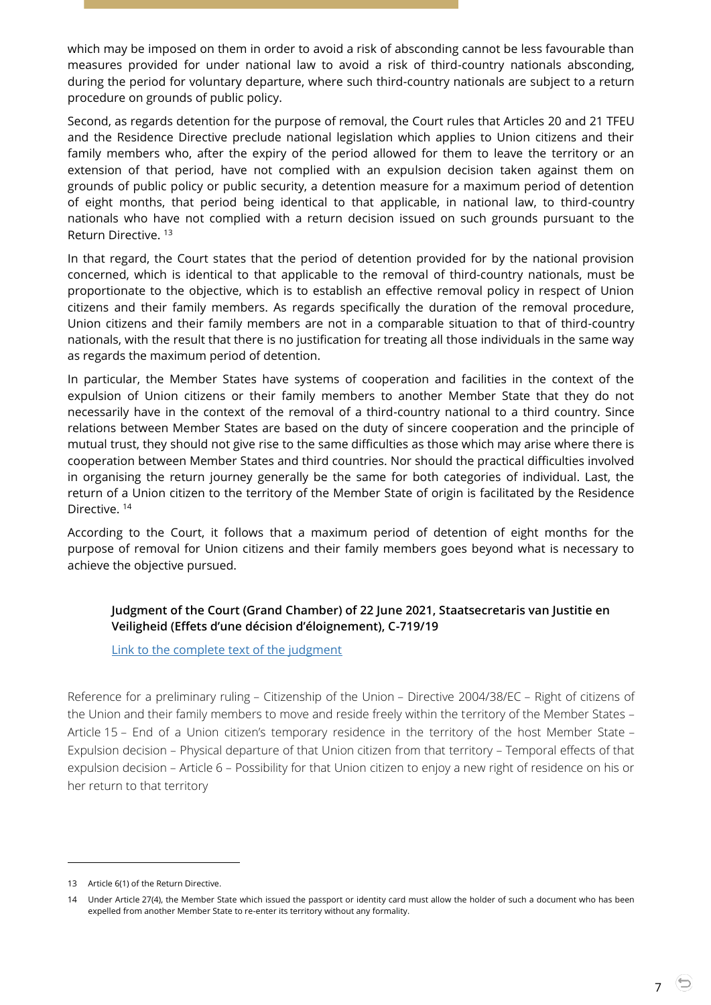which may be imposed on them in order to avoid a risk of absconding cannot be less favourable than measures provided for under national law to avoid a risk of third-country nationals absconding, during the period for voluntary departure, where such third-country nationals are subject to a return procedure on grounds of public policy.

Second, as regards detention for the purpose of removal, the Court rules that Articles 20 and 21 TFEU and the Residence Directive preclude national legislation which applies to Union citizens and their family members who, after the expiry of the period allowed for them to leave the territory or an extension of that period, have not complied with an expulsion decision taken against them on grounds of public policy or public security, a detention measure for a maximum period of detention of eight months, that period being identical to that applicable, in national law, to third-country nationals who have not complied with a return decision issued on such grounds pursuant to the Return Directive. <sup>13</sup>

In that regard, the Court states that the period of detention provided for by the national provision concerned, which is identical to that applicable to the removal of third-country nationals, must be proportionate to the objective, which is to establish an effective removal policy in respect of Union citizens and their family members. As regards specifically the duration of the removal procedure, Union citizens and their family members are not in a comparable situation to that of third-country nationals, with the result that there is no justification for treating all those individuals in the same way as regards the maximum period of detention.

In particular, the Member States have systems of cooperation and facilities in the context of the expulsion of Union citizens or their family members to another Member State that they do not necessarily have in the context of the removal of a third-country national to a third country. Since relations between Member States are based on the duty of sincere cooperation and the principle of mutual trust, they should not give rise to the same difficulties as those which may arise where there is cooperation between Member States and third countries. Nor should the practical difficulties involved in organising the return journey generally be the same for both categories of individual. Last, the return of a Union citizen to the territory of the Member State of origin is facilitated by the Residence Directive.<sup>14</sup>

According to the Court, it follows that a maximum period of detention of eight months for the purpose of removal for Union citizens and their family members goes beyond what is necessary to achieve the objective pursued.

## <span id="page-6-0"></span>**Judgment of the Court (Grand Chamber) of 22 June 2021, Staatsecretaris van Justitie en Veiligheid (Effets d'une décision d'éloignement), C-719/19**

[Link to the complete text of the judgment](https://curia.europa.eu/juris/document/document.jsf?text=&docid=243243&pageIndex=0&doclang=en&mode=lst&dir=&occ=first&part=1&cid=347343)

Reference for a preliminary ruling – Citizenship of the Union – Directive 2004/38/EC – Right of citizens of the Union and their family members to move and reside freely within the territory of the Member States – Article 15 – End of a Union citizen's temporary residence in the territory of the host Member State – Expulsion decision – Physical departure of that Union citizen from that territory – Temporal effects of that expulsion decision – Article 6 – Possibility for that Union citizen to enjoy a new right of residence on his or her return to that territory

<sup>13</sup> Article 6(1) of the Return Directive.

<sup>14</sup> Under Article 27(4), the Member State which issued the passport or identity card must allow the holder of such a document who has been expelled from another Member State to re-enter its territory without any formality.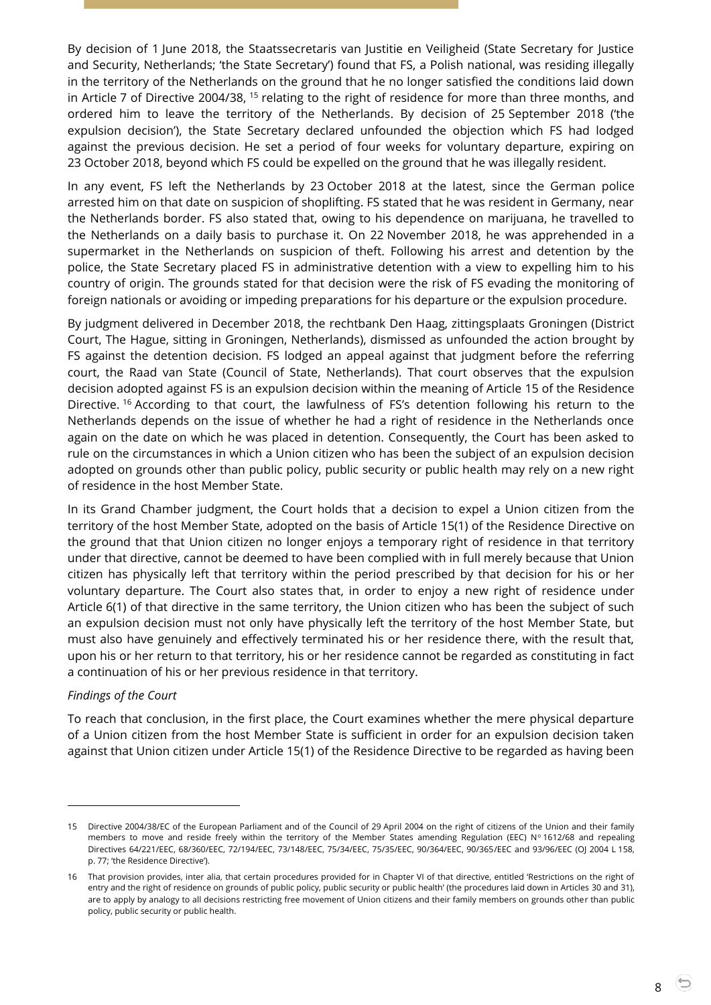By decision of 1 June 2018, the Staatssecretaris van Justitie en Veiligheid (State Secretary for Justice and Security, Netherlands; 'the State Secretary') found that FS, a Polish national, was residing illegally in the territory of the Netherlands on the ground that he no longer satisfied the conditions laid down in Article 7 of Directive 2004/38, <sup>15</sup> relating to the right of residence for more than three months, and ordered him to leave the territory of the Netherlands. By decision of 25 September 2018 ('the expulsion decision'), the State Secretary declared unfounded the objection which FS had lodged against the previous decision. He set a period of four weeks for voluntary departure, expiring on 23 October 2018, beyond which FS could be expelled on the ground that he was illegally resident.

In any event, FS left the Netherlands by 23 October 2018 at the latest, since the German police arrested him on that date on suspicion of shoplifting. FS stated that he was resident in Germany, near the Netherlands border. FS also stated that, owing to his dependence on marijuana, he travelled to the Netherlands on a daily basis to purchase it. On 22 November 2018, he was apprehended in a supermarket in the Netherlands on suspicion of theft. Following his arrest and detention by the police, the State Secretary placed FS in administrative detention with a view to expelling him to his country of origin. The grounds stated for that decision were the risk of FS evading the monitoring of foreign nationals or avoiding or impeding preparations for his departure or the expulsion procedure.

By judgment delivered in December 2018, the rechtbank Den Haag, zittingsplaats Groningen (District Court, The Hague, sitting in Groningen, Netherlands), dismissed as unfounded the action brought by FS against the detention decision. FS lodged an appeal against that judgment before the referring court, the Raad van State (Council of State, Netherlands). That court observes that the expulsion decision adopted against FS is an expulsion decision within the meaning of Article 15 of the Residence Directive. <sup>16</sup> According to that court, the lawfulness of FS's detention following his return to the Netherlands depends on the issue of whether he had a right of residence in the Netherlands once again on the date on which he was placed in detention. Consequently, the Court has been asked to rule on the circumstances in which a Union citizen who has been the subject of an expulsion decision adopted on grounds other than public policy, public security or public health may rely on a new right of residence in the host Member State.

In its Grand Chamber judgment, the Court holds that a decision to expel a Union citizen from the territory of the host Member State, adopted on the basis of Article 15(1) of the Residence Directive on the ground that that Union citizen no longer enjoys a temporary right of residence in that territory under that directive, cannot be deemed to have been complied with in full merely because that Union citizen has physically left that territory within the period prescribed by that decision for his or her voluntary departure. The Court also states that, in order to enjoy a new right of residence under Article 6(1) of that directive in the same territory, the Union citizen who has been the subject of such an expulsion decision must not only have physically left the territory of the host Member State, but must also have genuinely and effectively terminated his or her residence there, with the result that, upon his or her return to that territory, his or her residence cannot be regarded as constituting in fact a continuation of his or her previous residence in that territory.

#### *Findings of the Court*

 $\overline{a}$ 

To reach that conclusion, in the first place, the Court examines whether the mere physical departure of a Union citizen from the host Member State is sufficient in order for an expulsion decision taken against that Union citizen under Article 15(1) of the Residence Directive to be regarded as having been

<sup>15</sup> Directive 2004/38/EC of the European Parliament and of the Council of 29 April 2004 on the right of citizens of the Union and their family members to move and reside freely within the territory of the Member States amending Regulation (EEC) Nº 1612/68 and repealing Directives 64/221/EEC, 68/360/EEC, 72/194/EEC, 73/148/EEC, 75/34/EEC, 75/35/EEC, 90/364/EEC, 90/365/EEC and 93/96/EEC (OJ 2004 L 158, p. 77; 'the Residence Directive').

<sup>16</sup> That provision provides, inter alia, that certain procedures provided for in Chapter VI of that directive, entitled 'Restrictions on the right of entry and the right of residence on grounds of public policy, public security or public health' (the procedures laid down in Articles 30 and 31), are to apply by analogy to all decisions restricting free movement of Union citizens and their family members on grounds other than public policy, public security or public health.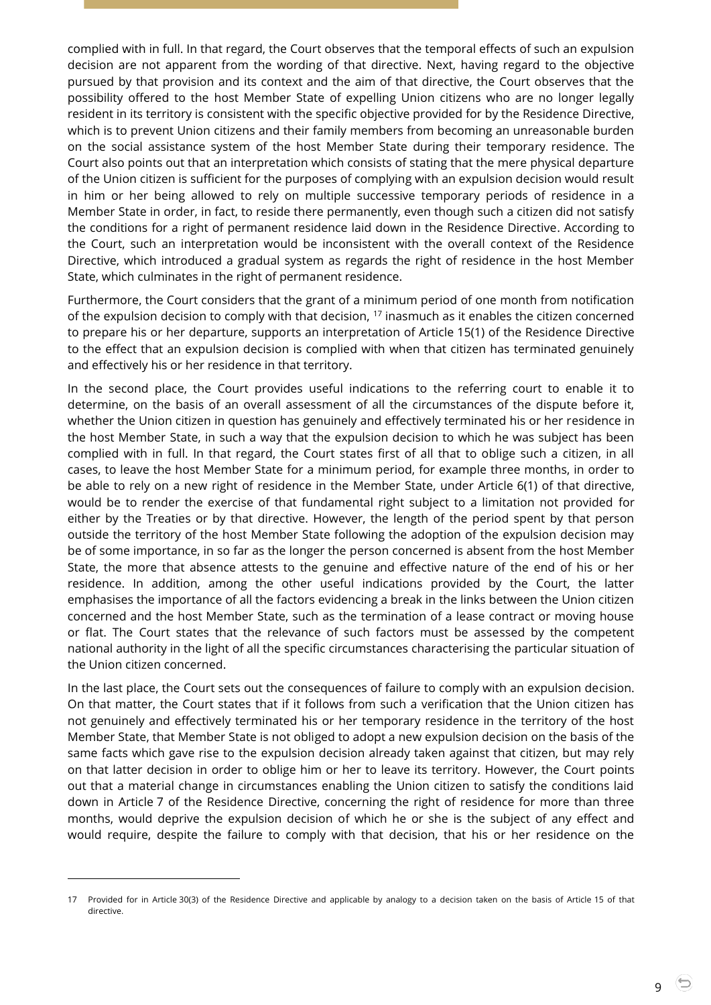complied with in full. In that regard, the Court observes that the temporal effects of such an expulsion decision are not apparent from the wording of that directive. Next, having regard to the objective pursued by that provision and its context and the aim of that directive, the Court observes that the possibility offered to the host Member State of expelling Union citizens who are no longer legally resident in its territory is consistent with the specific objective provided for by the Residence Directive, which is to prevent Union citizens and their family members from becoming an unreasonable burden on the social assistance system of the host Member State during their temporary residence. The Court also points out that an interpretation which consists of stating that the mere physical departure of the Union citizen is sufficient for the purposes of complying with an expulsion decision would result in him or her being allowed to rely on multiple successive temporary periods of residence in a Member State in order, in fact, to reside there permanently, even though such a citizen did not satisfy the conditions for a right of permanent residence laid down in the Residence Directive. According to the Court, such an interpretation would be inconsistent with the overall context of the Residence Directive, which introduced a gradual system as regards the right of residence in the host Member State, which culminates in the right of permanent residence.

Furthermore, the Court considers that the grant of a minimum period of one month from notification of the expulsion decision to comply with that decision,  $17$  inasmuch as it enables the citizen concerned to prepare his or her departure, supports an interpretation of Article 15(1) of the Residence Directive to the effect that an expulsion decision is complied with when that citizen has terminated genuinely and effectively his or her residence in that territory.

In the second place, the Court provides useful indications to the referring court to enable it to determine, on the basis of an overall assessment of all the circumstances of the dispute before it, whether the Union citizen in question has genuinely and effectively terminated his or her residence in the host Member State, in such a way that the expulsion decision to which he was subject has been complied with in full. In that regard, the Court states first of all that to oblige such a citizen, in all cases, to leave the host Member State for a minimum period, for example three months, in order to be able to rely on a new right of residence in the Member State, under Article 6(1) of that directive, would be to render the exercise of that fundamental right subject to a limitation not provided for either by the Treaties or by that directive. However, the length of the period spent by that person outside the territory of the host Member State following the adoption of the expulsion decision may be of some importance, in so far as the longer the person concerned is absent from the host Member State, the more that absence attests to the genuine and effective nature of the end of his or her residence. In addition, among the other useful indications provided by the Court, the latter emphasises the importance of all the factors evidencing a break in the links between the Union citizen concerned and the host Member State, such as the termination of a lease contract or moving house or flat. The Court states that the relevance of such factors must be assessed by the competent national authority in the light of all the specific circumstances characterising the particular situation of the Union citizen concerned.

In the last place, the Court sets out the consequences of failure to comply with an expulsion decision. On that matter, the Court states that if it follows from such a verification that the Union citizen has not genuinely and effectively terminated his or her temporary residence in the territory of the host Member State, that Member State is not obliged to adopt a new expulsion decision on the basis of the same facts which gave rise to the expulsion decision already taken against that citizen, but may rely on that latter decision in order to oblige him or her to leave its territory. However, the Court points out that a material change in circumstances enabling the Union citizen to satisfy the conditions laid down in Article 7 of the Residence Directive, concerning the right of residence for more than three months, would deprive the expulsion decision of which he or she is the subject of any effect and would require, despite the failure to comply with that decision, that his or her residence on the

<sup>17</sup> Provided for in Article 30(3) of the Residence Directive and applicable by analogy to a decision taken on the basis of Article 15 of that directive.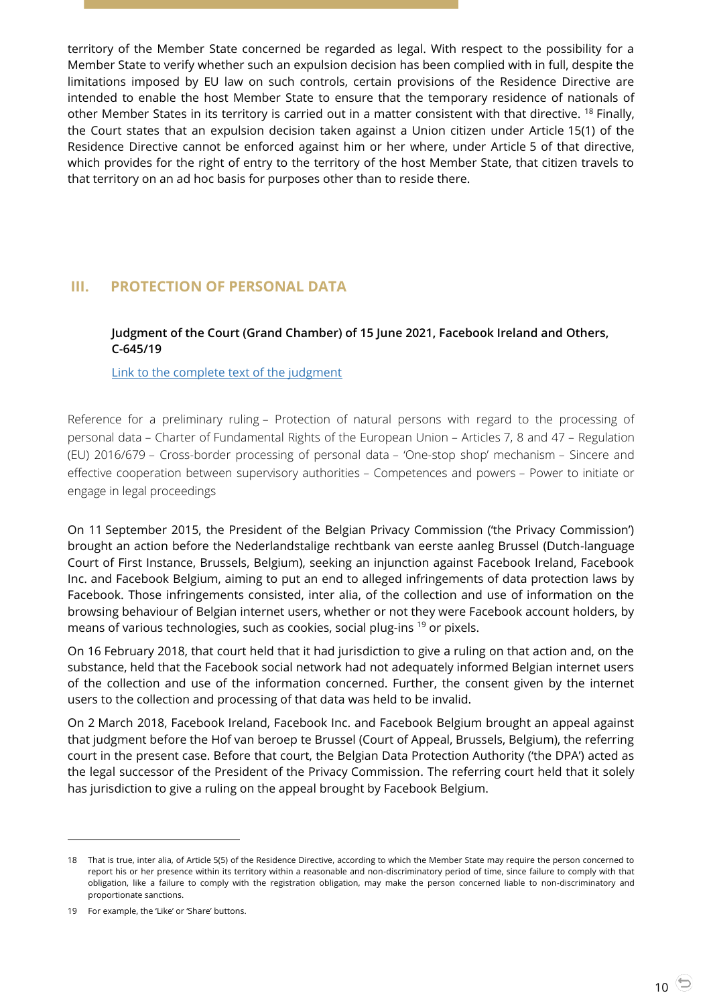territory of the Member State concerned be regarded as legal. With respect to the possibility for a Member State to verify whether such an expulsion decision has been complied with in full, despite the limitations imposed by EU law on such controls, certain provisions of the Residence Directive are intended to enable the host Member State to ensure that the temporary residence of nationals of other Member States in its territory is carried out in a matter consistent with that directive. <sup>18</sup> Finally, the Court states that an expulsion decision taken against a Union citizen under Article 15(1) of the Residence Directive cannot be enforced against him or her where, under Article 5 of that directive, which provides for the right of entry to the territory of the host Member State, that citizen travels to that territory on an ad hoc basis for purposes other than to reside there.

# <span id="page-9-1"></span><span id="page-9-0"></span>**III. PROTECTION OF PERSONAL DATA**

## **Judgment of the Court (Grand Chamber) of 15 June 2021, Facebook Ireland and Others, C-645/19**

## [Link to the complete text of the judgment](https://curia.europa.eu/juris/document/document.jsf?text=&docid=242821&pageIndex=0&doclang=en&mode=lst&dir=&occ=first&part=1&cid=347343)

Reference for a preliminary ruling – Protection of natural persons with regard to the processing of personal data – Charter of Fundamental Rights of the European Union – Articles 7, 8 and 47 – Regulation (EU) 2016/679 – Cross-border processing of personal data – 'One-stop shop' mechanism – Sincere and effective cooperation between supervisory authorities – Competences and powers – Power to initiate or engage in legal proceedings

On 11 September 2015, the President of the Belgian Privacy Commission ('the Privacy Commission') brought an action before the Nederlandstalige rechtbank van eerste aanleg Brussel (Dutch-language Court of First Instance, Brussels, Belgium), seeking an injunction against Facebook Ireland, Facebook Inc. and Facebook Belgium, aiming to put an end to alleged infringements of data protection laws by Facebook. Those infringements consisted, inter alia, of the collection and use of information on the browsing behaviour of Belgian internet users, whether or not they were Facebook account holders, by means of various technologies, such as cookies, social plug-ins <sup>19</sup> or pixels.

On 16 February 2018, that court held that it had jurisdiction to give a ruling on that action and, on the substance, held that the Facebook social network had not adequately informed Belgian internet users of the collection and use of the information concerned. Further, the consent given by the internet users to the collection and processing of that data was held to be invalid.

On 2 March 2018, Facebook Ireland, Facebook Inc. and Facebook Belgium brought an appeal against that judgment before the Hof van beroep te Brussel (Court of Appeal, Brussels, Belgium), the referring court in the present case. Before that court, the Belgian Data Protection Authority ('the DPA') acted as the legal successor of the President of the Privacy Commission. The referring court held that it solely has jurisdiction to give a ruling on the appeal brought by Facebook Belgium.

<sup>18</sup> That is true, inter alia, of Article 5(5) of the Residence Directive, according to which the Member State may require the person concerned to report his or her presence within its territory within a reasonable and non-discriminatory period of time, since failure to comply with that obligation, like a failure to comply with the registration obligation, may make the person concerned liable to non-discriminatory and proportionate sanctions.

<sup>19</sup> For example, the 'Like' or 'Share' buttons.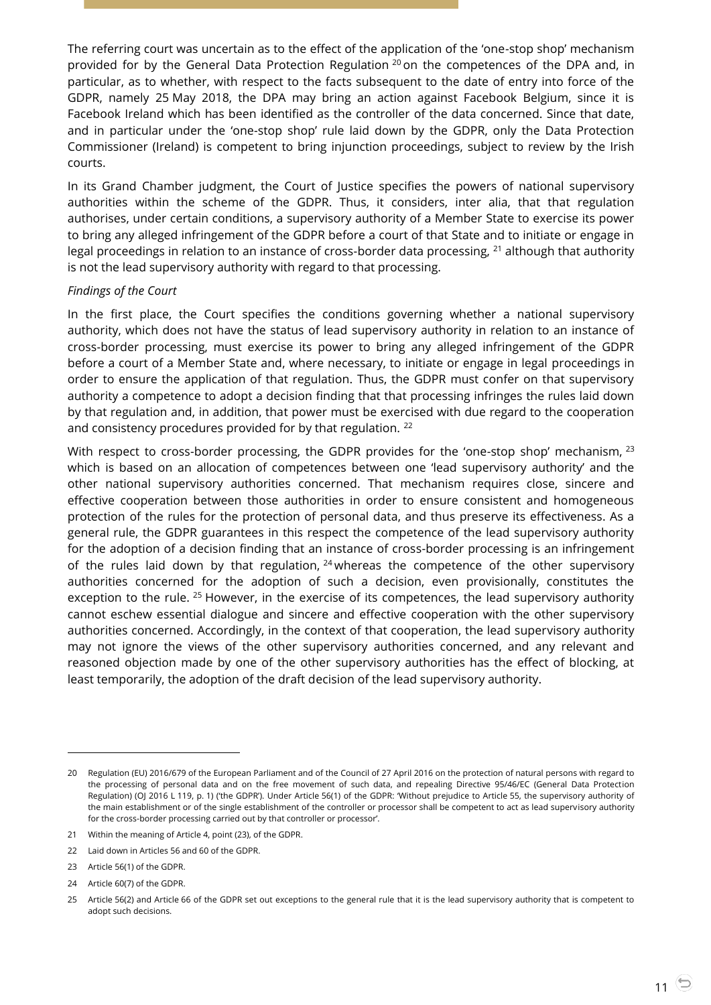The referring court was uncertain as to the effect of the application of the 'one-stop shop' mechanism provided for by the General Data Protection Regulation <sup>20</sup> on the competences of the DPA and, in particular, as to whether, with respect to the facts subsequent to the date of entry into force of the GDPR, namely 25 May 2018, the DPA may bring an action against Facebook Belgium, since it is Facebook Ireland which has been identified as the controller of the data concerned. Since that date, and in particular under the 'one-stop shop' rule laid down by the GDPR, only the Data Protection Commissioner (Ireland) is competent to bring injunction proceedings, subject to review by the Irish courts.

In its Grand Chamber judgment, the Court of Justice specifies the powers of national supervisory authorities within the scheme of the GDPR. Thus, it considers, inter alia, that that regulation authorises, under certain conditions, a supervisory authority of a Member State to exercise its power to bring any alleged infringement of the GDPR before a court of that State and to initiate or engage in legal proceedings in relation to an instance of cross-border data processing, <sup>21</sup> although that authority is not the lead supervisory authority with regard to that processing.

#### *Findings of the Court*

In the first place, the Court specifies the conditions governing whether a national supervisory authority, which does not have the status of lead supervisory authority in relation to an instance of cross-border processing, must exercise its power to bring any alleged infringement of the GDPR before a court of a Member State and, where necessary, to initiate or engage in legal proceedings in order to ensure the application of that regulation. Thus, the GDPR must confer on that supervisory authority a competence to adopt a decision finding that that processing infringes the rules laid down by that regulation and, in addition, that power must be exercised with due regard to the cooperation and consistency procedures provided for by that regulation. <sup>22</sup>

With respect to cross-border processing, the GDPR provides for the 'one-stop shop' mechanism,  $^{23}$ which is based on an allocation of competences between one 'lead supervisory authority' and the other national supervisory authorities concerned. That mechanism requires close, sincere and effective cooperation between those authorities in order to ensure consistent and homogeneous protection of the rules for the protection of personal data, and thus preserve its effectiveness. As a general rule, the GDPR guarantees in this respect the competence of the lead supervisory authority for the adoption of a decision finding that an instance of cross-border processing is an infringement of the rules laid down by that regulation,  $24$  whereas the competence of the other supervisory authorities concerned for the adoption of such a decision, even provisionally, constitutes the exception to the rule. <sup>25</sup> However, in the exercise of its competences, the lead supervisory authority cannot eschew essential dialogue and sincere and effective cooperation with the other supervisory authorities concerned. Accordingly, in the context of that cooperation, the lead supervisory authority may not ignore the views of the other supervisory authorities concerned, and any relevant and reasoned objection made by one of the other supervisory authorities has the effect of blocking, at least temporarily, the adoption of the draft decision of the lead supervisory authority.

<sup>20</sup> Regulation (EU) 2016/679 of the European Parliament and of the Council of 27 April 2016 on the protection of natural persons with regard to the processing of personal data and on the free movement of such data, and repealing Directive 95/46/EC (General Data Protection Regulation) (OJ 2016 L 119, p. 1) ('the GDPR'). Under Article 56(1) of the GDPR: 'Without prejudice to Article 55, the supervisory authority of the main establishment or of the single establishment of the controller or processor shall be competent to act as lead supervisory authority for the cross-border processing carried out by that controller or processor'.

<sup>21</sup> Within the meaning of Article 4, point (23), of the GDPR.

<sup>22</sup> Laid down in Articles 56 and 60 of the GDPR.

<sup>23</sup> Article 56(1) of the GDPR.

<sup>24</sup> Article 60(7) of the GDPR.

<sup>25</sup> Article 56(2) and Article 66 of the GDPR set out exceptions to the general rule that it is the lead supervisory authority that is competent to adopt such decisions.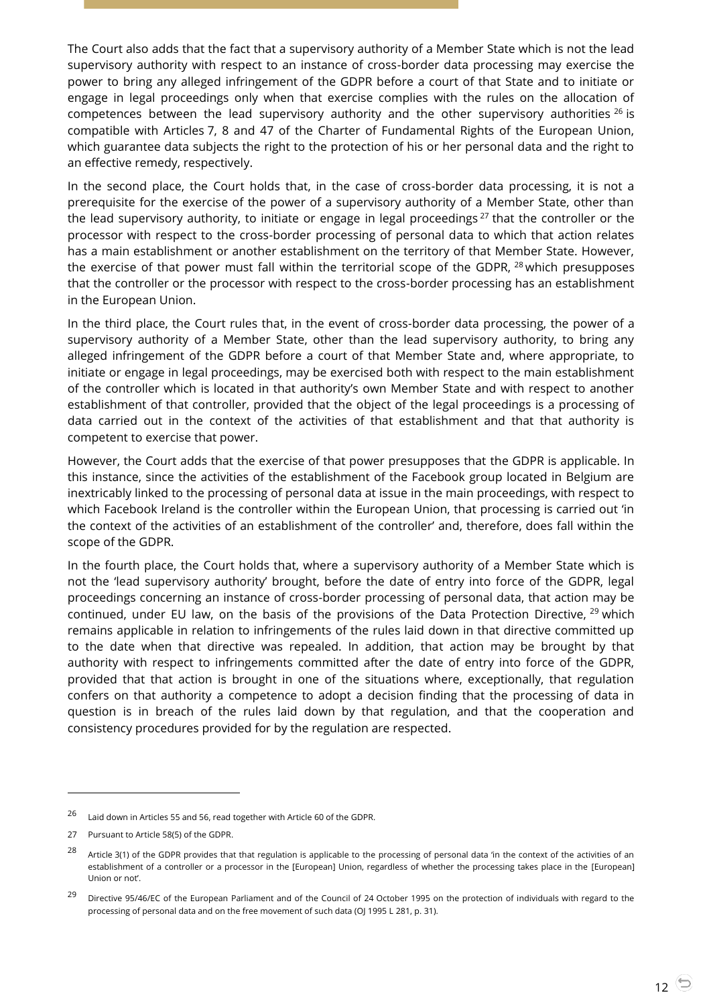The Court also adds that the fact that a supervisory authority of a Member State which is not the lead supervisory authority with respect to an instance of cross-border data processing may exercise the power to bring any alleged infringement of the GDPR before a court of that State and to initiate or engage in legal proceedings only when that exercise complies with the rules on the allocation of competences between the lead supervisory authority and the other supervisory authorities  $^{26}$  is compatible with Articles 7, 8 and 47 of the Charter of Fundamental Rights of the European Union, which guarantee data subjects the right to the protection of his or her personal data and the right to an effective remedy, respectively.

In the second place, the Court holds that, in the case of cross-border data processing, it is not a prerequisite for the exercise of the power of a supervisory authority of a Member State, other than the lead supervisory authority, to initiate or engage in legal proceedings  $27$  that the controller or the processor with respect to the cross-border processing of personal data to which that action relates has a main establishment or another establishment on the territory of that Member State. However, the exercise of that power must fall within the territorial scope of the GDPR, <sup>28</sup> which presupposes that the controller or the processor with respect to the cross-border processing has an establishment in the European Union.

In the third place, the Court rules that, in the event of cross-border data processing, the power of a supervisory authority of a Member State, other than the lead supervisory authority, to bring any alleged infringement of the GDPR before a court of that Member State and, where appropriate, to initiate or engage in legal proceedings, may be exercised both with respect to the main establishment of the controller which is located in that authority's own Member State and with respect to another establishment of that controller, provided that the object of the legal proceedings is a processing of data carried out in the context of the activities of that establishment and that that authority is competent to exercise that power.

However, the Court adds that the exercise of that power presupposes that the GDPR is applicable. In this instance, since the activities of the establishment of the Facebook group located in Belgium are inextricably linked to the processing of personal data at issue in the main proceedings, with respect to which Facebook Ireland is the controller within the European Union, that processing is carried out 'in the context of the activities of an establishment of the controller' and, therefore, does fall within the scope of the GDPR.

In the fourth place, the Court holds that, where a supervisory authority of a Member State which is not the 'lead supervisory authority' brought, before the date of entry into force of the GDPR, legal proceedings concerning an instance of cross-border processing of personal data, that action may be continued, under EU law, on the basis of the provisions of the Data Protection Directive, <sup>29</sup> which remains applicable in relation to infringements of the rules laid down in that directive committed up to the date when that directive was repealed. In addition, that action may be brought by that authority with respect to infringements committed after the date of entry into force of the GDPR, provided that that action is brought in one of the situations where, exceptionally, that regulation confers on that authority a competence to adopt a decision finding that the processing of data in question is in breach of the rules laid down by that regulation, and that the cooperation and consistency procedures provided for by the regulation are respected.

-

<sup>26</sup> Laid down in Articles 55 and 56, read together with Article 60 of the GDPR.

<sup>27</sup> Pursuant to Article 58(5) of the GDPR.

<sup>&</sup>lt;sup>28</sup> Article 3(1) of the GDPR provides that that regulation is applicable to the processing of personal data 'in the context of the activities of an establishment of a controller or a processor in the [European] Union, regardless of whether the processing takes place in the [European] Union or not'.

<sup>&</sup>lt;sup>29</sup> Directive 95/46/EC of the European Parliament and of the Council of 24 October 1995 on the protection of individuals with regard to the processing of personal data and on the free movement of such data (OJ 1995 L 281, p. 31).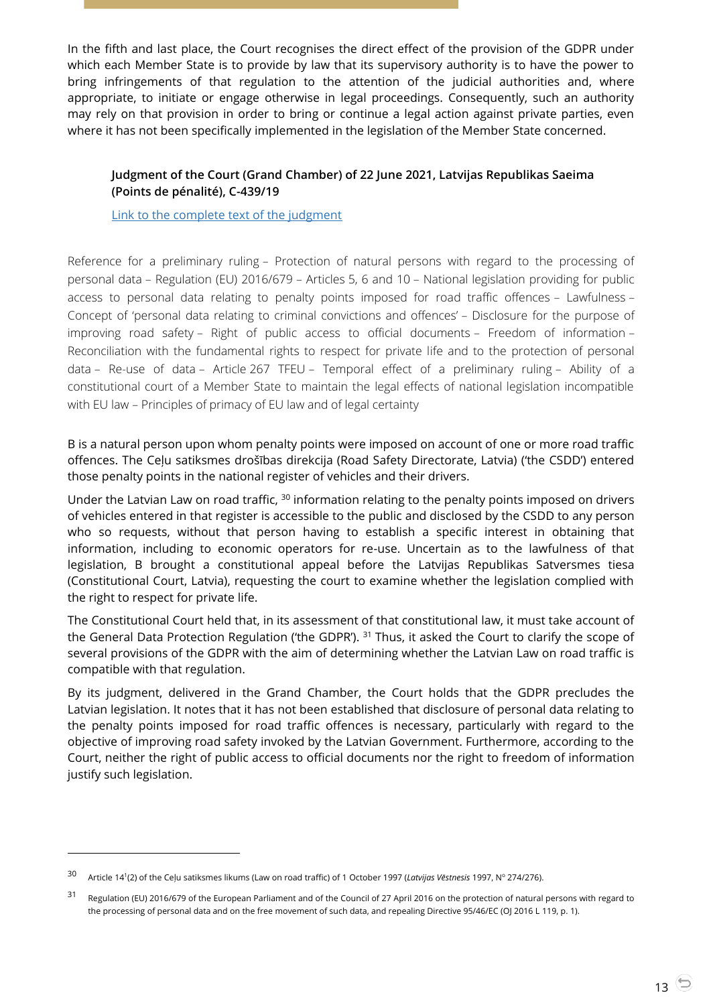In the fifth and last place, the Court recognises the direct effect of the provision of the GDPR under which each Member State is to provide by law that its supervisory authority is to have the power to bring infringements of that regulation to the attention of the judicial authorities and, where appropriate, to initiate or engage otherwise in legal proceedings. Consequently, such an authority may rely on that provision in order to bring or continue a legal action against private parties, even where it has not been specifically implemented in the legislation of the Member State concerned.

## <span id="page-12-0"></span>**Judgment of the Court (Grand Chamber) of 22 June 2021, Latvijas Republikas Saeima (Points de pénalité), C-439/19**

[Link to the complete text of the judgment](https://curia.europa.eu/juris/document/document.jsf?text=&docid=243244&pageIndex=0&doclang=en&mode=lst&dir=&occ=first&part=1&cid=367411)

Reference for a preliminary ruling – Protection of natural persons with regard to the processing of personal data – Regulation (EU) 2016/679 – Articles 5, 6 and 10 – National legislation providing for public access to personal data relating to penalty points imposed for road traffic offences – Lawfulness – Concept of 'personal data relating to criminal convictions and offences' – Disclosure for the purpose of improving road safety – Right of public access to official documents – Freedom of information – Reconciliation with the fundamental rights to respect for private life and to the protection of personal data – Re-use of data – Article 267 TFEU – Temporal effect of a preliminary ruling – Ability of a constitutional court of a Member State to maintain the legal effects of national legislation incompatible with EU law – Principles of primacy of EU law and of legal certainty

B is a natural person upon whom penalty points were imposed on account of one or more road traffic offences. The Ceļu satiksmes drošības direkcija (Road Safety Directorate, Latvia) ('the CSDD') entered those penalty points in the national register of vehicles and their drivers.

Under the Latvian Law on road traffic, <sup>30</sup> information relating to the penalty points imposed on drivers of vehicles entered in that register is accessible to the public and disclosed by the CSDD to any person who so requests, without that person having to establish a specific interest in obtaining that information, including to economic operators for re-use. Uncertain as to the lawfulness of that legislation, B brought a constitutional appeal before the Latvijas Republikas Satversmes tiesa (Constitutional Court, Latvia), requesting the court to examine whether the legislation complied with the right to respect for private life.

The Constitutional Court held that, in its assessment of that constitutional law, it must take account of the General Data Protection Regulation ('the GDPR'). <sup>31</sup> Thus, it asked the Court to clarify the scope of several provisions of the GDPR with the aim of determining whether the Latvian Law on road traffic is compatible with that regulation.

By its judgment, delivered in the Grand Chamber, the Court holds that the GDPR precludes the Latvian legislation. It notes that it has not been established that disclosure of personal data relating to the penalty points imposed for road traffic offences is necessary, particularly with regard to the objective of improving road safety invoked by the Latvian Government. Furthermore, according to the Court, neither the right of public access to official documents nor the right to freedom of information justify such legislation.

<sup>&</sup>lt;sup>30</sup> Article 14<sup>1</sup>(2) of the Ceļu satiksmes likums (Law on road traffic) of 1 October 1997 (*Latvijas Vēstnesis* 1997, № 274/276).

<sup>31</sup> Regulation (EU) 2016/679 of the European Parliament and of the Council of 27 April 2016 on the protection of natural persons with regard to the processing of personal data and on the free movement of such data, and repealing Directive 95/46/EC (OJ 2016 L 119, p. 1).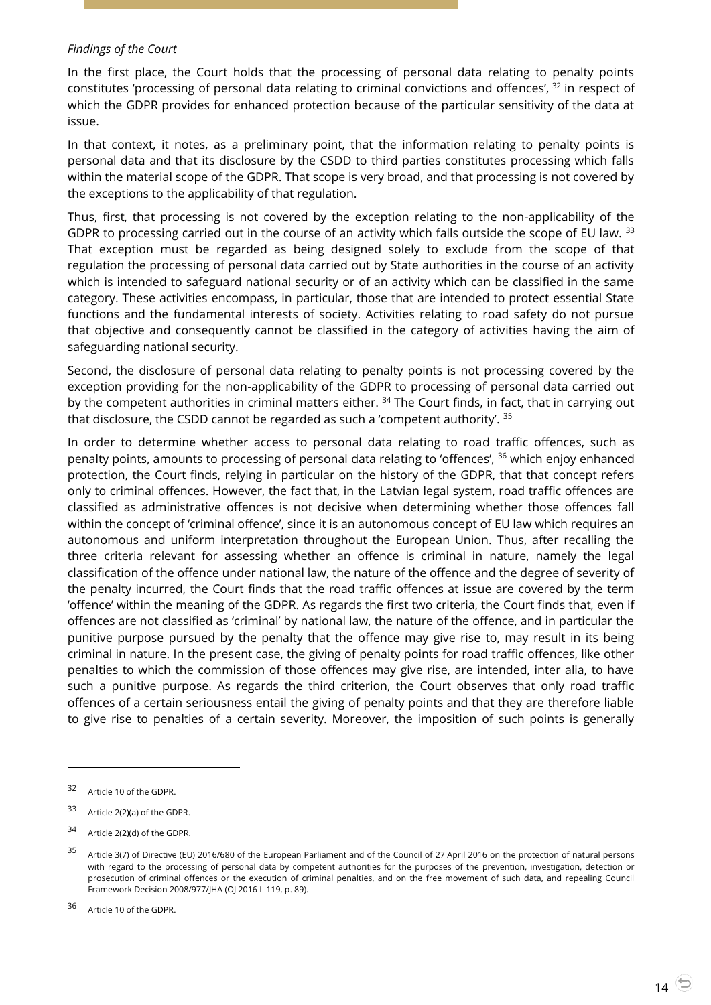#### *Findings of the Court*

In the first place, the Court holds that the processing of personal data relating to penalty points constitutes 'processing of personal data relating to criminal convictions and offences', <sup>32</sup> in respect of which the GDPR provides for enhanced protection because of the particular sensitivity of the data at issue.

In that context, it notes, as a preliminary point, that the information relating to penalty points is personal data and that its disclosure by the CSDD to third parties constitutes processing which falls within the material scope of the GDPR. That scope is very broad, and that processing is not covered by the exceptions to the applicability of that regulation.

Thus, first, that processing is not covered by the exception relating to the non-applicability of the GDPR to processing carried out in the course of an activity which falls outside the scope of EU law. 33 That exception must be regarded as being designed solely to exclude from the scope of that regulation the processing of personal data carried out by State authorities in the course of an activity which is intended to safeguard national security or of an activity which can be classified in the same category. These activities encompass, in particular, those that are intended to protect essential State functions and the fundamental interests of society. Activities relating to road safety do not pursue that objective and consequently cannot be classified in the category of activities having the aim of safeguarding national security.

Second, the disclosure of personal data relating to penalty points is not processing covered by the exception providing for the non-applicability of the GDPR to processing of personal data carried out by the competent authorities in criminal matters either. <sup>34</sup> The Court finds, in fact, that in carrying out that disclosure, the CSDD cannot be regarded as such a 'competent authority'. <sup>35</sup>

In order to determine whether access to personal data relating to road traffic offences, such as penalty points, amounts to processing of personal data relating to 'offences', <sup>36</sup> which enjoy enhanced protection, the Court finds, relying in particular on the history of the GDPR, that that concept refers only to criminal offences. However, the fact that, in the Latvian legal system, road traffic offences are classified as administrative offences is not decisive when determining whether those offences fall within the concept of 'criminal offence', since it is an autonomous concept of EU law which requires an autonomous and uniform interpretation throughout the European Union. Thus, after recalling the three criteria relevant for assessing whether an offence is criminal in nature, namely the legal classification of the offence under national law, the nature of the offence and the degree of severity of the penalty incurred, the Court finds that the road traffic offences at issue are covered by the term 'offence' within the meaning of the GDPR. As regards the first two criteria, the Court finds that, even if offences are not classified as 'criminal' by national law, the nature of the offence, and in particular the punitive purpose pursued by the penalty that the offence may give rise to, may result in its being criminal in nature. In the present case, the giving of penalty points for road traffic offences, like other penalties to which the commission of those offences may give rise, are intended, inter alia, to have such a punitive purpose. As regards the third criterion, the Court observes that only road traffic offences of a certain seriousness entail the giving of penalty points and that they are therefore liable to give rise to penalties of a certain severity. Moreover, the imposition of such points is generally

-

<sup>32</sup> Article 10 of the GDPR.

<sup>33</sup> Article 2(2)(a) of the GDPR.

<sup>34</sup> Article 2(2)(d) of the GDPR.

<sup>&</sup>lt;sup>35</sup> Article 3(7) of Directive (EU) 2016/680 of the European Parliament and of the Council of 27 April 2016 on the protection of natural persons with regard to the processing of personal data by competent authorities for the purposes of the prevention, investigation, detection or prosecution of criminal offences or the execution of criminal penalties, and on the free movement of such data, and repealing Council Framework Decision 2008/977/JHA (OJ 2016 L 119, p. 89).

<sup>36</sup> Article 10 of the GDPR.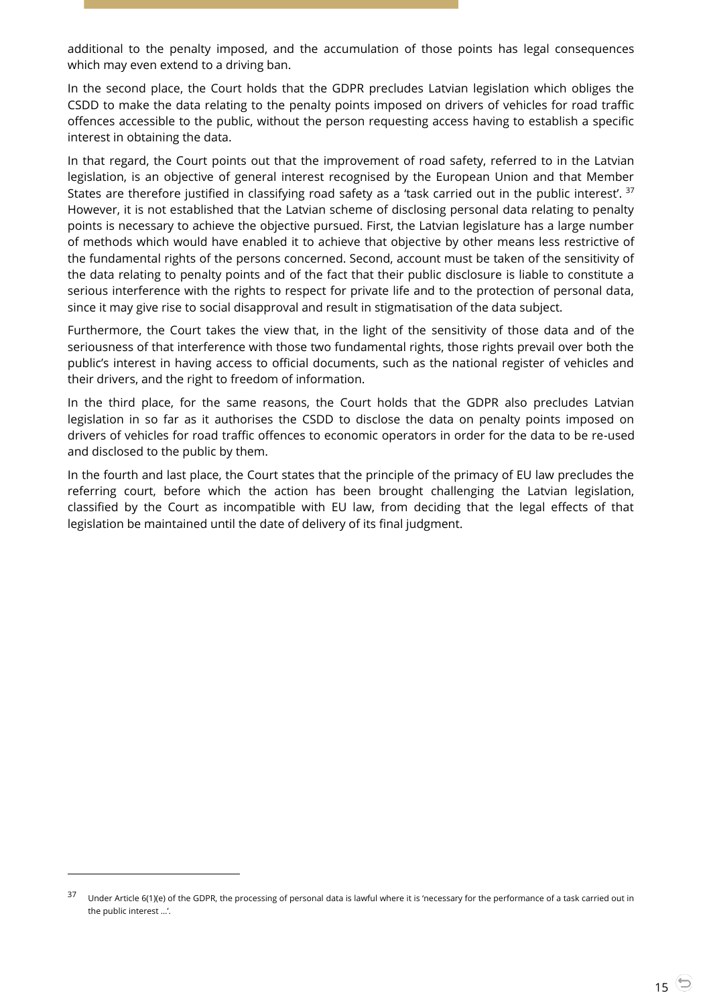additional to the penalty imposed, and the accumulation of those points has legal consequences which may even extend to a driving ban.

In the second place, the Court holds that the GDPR precludes Latvian legislation which obliges the CSDD to make the data relating to the penalty points imposed on drivers of vehicles for road traffic offences accessible to the public, without the person requesting access having to establish a specific interest in obtaining the data.

In that regard, the Court points out that the improvement of road safety, referred to in the Latvian legislation, is an objective of general interest recognised by the European Union and that Member States are therefore justified in classifying road safety as a 'task carried out in the public interest'. <sup>37</sup> However, it is not established that the Latvian scheme of disclosing personal data relating to penalty points is necessary to achieve the objective pursued. First, the Latvian legislature has a large number of methods which would have enabled it to achieve that objective by other means less restrictive of the fundamental rights of the persons concerned. Second, account must be taken of the sensitivity of the data relating to penalty points and of the fact that their public disclosure is liable to constitute a serious interference with the rights to respect for private life and to the protection of personal data, since it may give rise to social disapproval and result in stigmatisation of the data subject.

Furthermore, the Court takes the view that, in the light of the sensitivity of those data and of the seriousness of that interference with those two fundamental rights, those rights prevail over both the public's interest in having access to official documents, such as the national register of vehicles and their drivers, and the right to freedom of information.

In the third place, for the same reasons, the Court holds that the GDPR also precludes Latvian legislation in so far as it authorises the CSDD to disclose the data on penalty points imposed on drivers of vehicles for road traffic offences to economic operators in order for the data to be re-used and disclosed to the public by them.

In the fourth and last place, the Court states that the principle of the primacy of EU law precludes the referring court, before which the action has been brought challenging the Latvian legislation, classified by the Court as incompatible with EU law, from deciding that the legal effects of that legislation be maintained until the date of delivery of its final judgment.

-

<sup>&</sup>lt;sup>37</sup> Under Article 6(1)(e) of the GDPR, the processing of personal data is lawful where it is 'necessary for the performance of a task carried out in the public interest …'.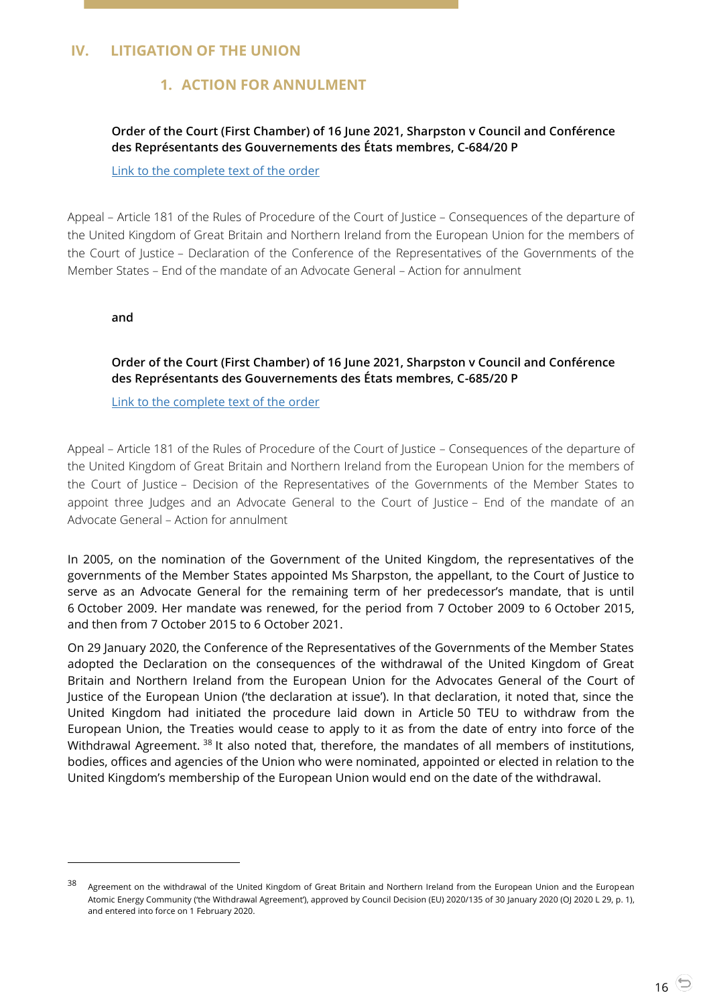## <span id="page-15-2"></span><span id="page-15-1"></span><span id="page-15-0"></span>**IV. LITIGATION OF THE UNION**

# **1. ACTION FOR ANNULMENT**

## **Order of the Court (First Chamber) of 16 June 2021, Sharpston v Council and Conférence des Représentants des Gouvernements des États membres, C-684/20 P**

[Link to the complete text of the order](https://curia.europa.eu/juris/document/document.jsf?text=&docid=243121&pageIndex=0&doclang=EN&mode=lst&dir=&occ=first&part=1&cid=367411)

Appeal – Article 181 of the Rules of Procedure of the Court of Justice – Consequences of the departure of the United Kingdom of Great Britain and Northern Ireland from the European Union for the members of the Court of Justice – Declaration of the Conference of the Representatives of the Governments of the Member States – End of the mandate of an Advocate General – Action for annulment

<span id="page-15-3"></span>**and**

 $\overline{a}$ 

**Order of the Court (First Chamber) of 16 June 2021, Sharpston v Council and Conférence des Représentants des Gouvernements des États membres, C-685/20 P**

[Link to the complete text of the order](https://curia.europa.eu/juris/document/document.jsf?text=&docid=243122&pageIndex=0&doclang=EN&mode=lst&dir=&occ=first&part=1&cid=1752934)

Appeal – Article 181 of the Rules of Procedure of the Court of Justice – Consequences of the departure of the United Kingdom of Great Britain and Northern Ireland from the European Union for the members of the Court of Justice – Decision of the Representatives of the Governments of the Member States to appoint three Judges and an Advocate General to the Court of Justice – End of the mandate of an Advocate General – Action for annulment

In 2005, on the nomination of the Government of the United Kingdom, the representatives of the governments of the Member States appointed Ms Sharpston, the appellant, to the Court of Justice to serve as an Advocate General for the remaining term of her predecessor's mandate, that is until 6 October 2009. Her mandate was renewed, for the period from 7 October 2009 to 6 October 2015, and then from 7 October 2015 to 6 October 2021.

On 29 January 2020, the Conference of the Representatives of the Governments of the Member States adopted the Declaration on the consequences of the withdrawal of the United Kingdom of Great Britain and Northern Ireland from the European Union for the Advocates General of the Court of Justice of the European Union ('the declaration at issue'). In that declaration, it noted that, since the United Kingdom had initiated the procedure laid down in Article 50 TEU to withdraw from the European Union, the Treaties would cease to apply to it as from the date of entry into force of the Withdrawal Agreement. <sup>38</sup> It also noted that, therefore, the mandates of all members of institutions, bodies, offices and agencies of the Union who were nominated, appointed or elected in relation to the United Kingdom's membership of the European Union would end on the date of the withdrawal.

<sup>38</sup> Agreement on the withdrawal of the United Kingdom of Great Britain and Northern Ireland from the European Union and the European Atomic Energy Community ('the Withdrawal Agreement'), approved by Council Decision (EU) 2020/135 of 30 January 2020 (OJ 2020 L 29, p. 1), and entered into force on 1 February 2020.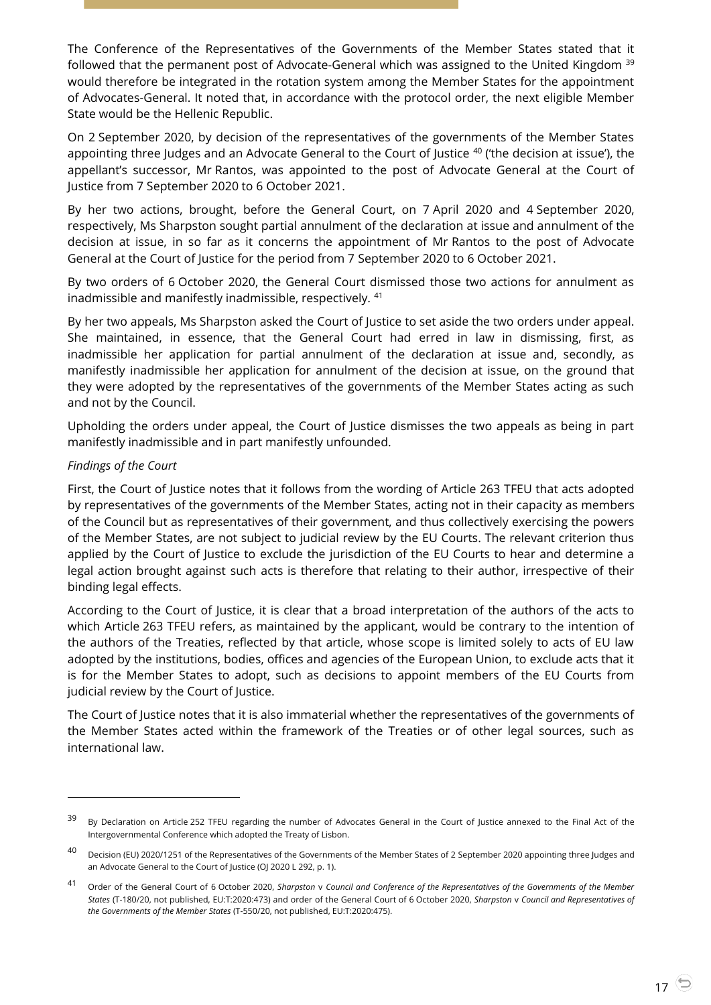The Conference of the Representatives of the Governments of the Member States stated that it followed that the permanent post of Advocate-General which was assigned to the United Kingdom <sup>39</sup> would therefore be integrated in the rotation system among the Member States for the appointment of Advocates-General. It noted that, in accordance with the protocol order, the next eligible Member State would be the Hellenic Republic.

On 2 September 2020, by decision of the representatives of the governments of the Member States appointing three Judges and an Advocate General to the Court of Justice <sup>40</sup> ('the decision at issue'), the appellant's successor, Mr Rantos, was appointed to the post of Advocate General at the Court of Justice from 7 September 2020 to 6 October 2021.

By her two actions, brought, before the General Court, on 7 April 2020 and 4 September 2020, respectively, Ms Sharpston sought partial annulment of the declaration at issue and annulment of the decision at issue, in so far as it concerns the appointment of Mr Rantos to the post of Advocate General at the Court of Justice for the period from 7 September 2020 to 6 October 2021.

By two orders of 6 October 2020, the General Court dismissed those two actions for annulment as inadmissible and manifestly inadmissible, respectively. <sup>41</sup>

By her two appeals, Ms Sharpston asked the Court of Justice to set aside the two orders under appeal. She maintained, in essence, that the General Court had erred in law in dismissing, first, as inadmissible her application for partial annulment of the declaration at issue and, secondly, as manifestly inadmissible her application for annulment of the decision at issue, on the ground that they were adopted by the representatives of the governments of the Member States acting as such and not by the Council.

Upholding the orders under appeal, the Court of Justice dismisses the two appeals as being in part manifestly inadmissible and in part manifestly unfounded.

#### *Findings of the Court*

 $\overline{a}$ 

First, the Court of Justice notes that it follows from the wording of Article 263 TFEU that acts adopted by representatives of the governments of the Member States, acting not in their capacity as members of the Council but as representatives of their government, and thus collectively exercising the powers of the Member States, are not subject to judicial review by the EU Courts. The relevant criterion thus applied by the Court of Justice to exclude the jurisdiction of the EU Courts to hear and determine a legal action brought against such acts is therefore that relating to their author, irrespective of their binding legal effects.

According to the Court of Justice, it is clear that a broad interpretation of the authors of the acts to which Article 263 TFEU refers, as maintained by the applicant, would be contrary to the intention of the authors of the Treaties, reflected by that article, whose scope is limited solely to acts of EU law adopted by the institutions, bodies, offices and agencies of the European Union, to exclude acts that it is for the Member States to adopt, such as decisions to appoint members of the EU Courts from judicial review by the Court of Justice.

The Court of Justice notes that it is also immaterial whether the representatives of the governments of the Member States acted within the framework of the Treaties or of other legal sources, such as international law.

<sup>&</sup>lt;sup>39</sup> By Declaration on Article 252 TFEU regarding the number of Advocates General in the Court of Justice annexed to the Final Act of the Intergovernmental Conference which adopted the Treaty of Lisbon.

<sup>&</sup>lt;sup>40</sup> Decision (EU) 2020/1251 of the Representatives of the Governments of the Member States of 2 September 2020 appointing three Judges and an Advocate General to the Court of Justice (OJ 2020 L 292, p. 1).

<sup>41</sup> Order of the General Court of 6 October 2020, *Sharpston* <sup>v</sup>*Council and Conference of the Representatives of the Governments of the Member States* (T-180/20, not published, EU:T:2020:473) and order of the General Court of 6 October 2020, *Sharpston* v *Council and Representatives of the Governments of the Member States* (T-550/20, not published, EU:T:2020:475).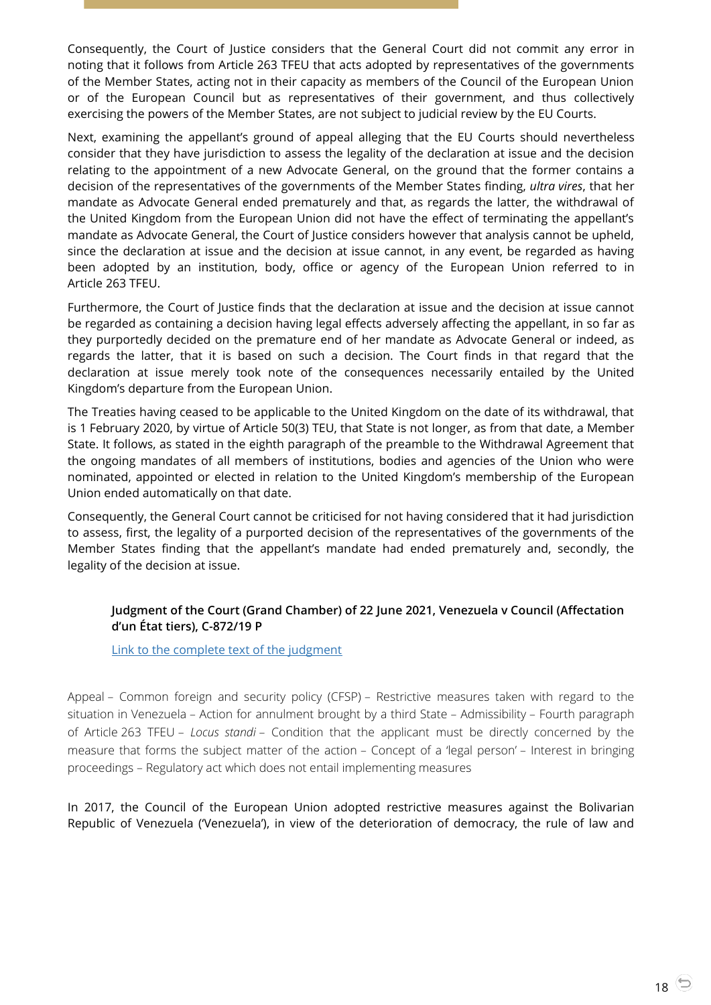Consequently, the Court of Justice considers that the General Court did not commit any error in noting that it follows from Article 263 TFEU that acts adopted by representatives of the governments of the Member States, acting not in their capacity as members of the Council of the European Union or of the European Council but as representatives of their government, and thus collectively exercising the powers of the Member States, are not subject to judicial review by the EU Courts.

Next, examining the appellant's ground of appeal alleging that the EU Courts should nevertheless consider that they have jurisdiction to assess the legality of the declaration at issue and the decision relating to the appointment of a new Advocate General, on the ground that the former contains a decision of the representatives of the governments of the Member States finding, *ultra vires*, that her mandate as Advocate General ended prematurely and that, as regards the latter, the withdrawal of the United Kingdom from the European Union did not have the effect of terminating the appellant's mandate as Advocate General, the Court of Justice considers however that analysis cannot be upheld, since the declaration at issue and the decision at issue cannot, in any event, be regarded as having been adopted by an institution, body, office or agency of the European Union referred to in Article 263 TFEU.

Furthermore, the Court of Justice finds that the declaration at issue and the decision at issue cannot be regarded as containing a decision having legal effects adversely affecting the appellant, in so far as they purportedly decided on the premature end of her mandate as Advocate General or indeed, as regards the latter, that it is based on such a decision. The Court finds in that regard that the declaration at issue merely took note of the consequences necessarily entailed by the United Kingdom's departure from the European Union.

The Treaties having ceased to be applicable to the United Kingdom on the date of its withdrawal, that is 1 February 2020, by virtue of Article 50(3) TEU, that State is not longer, as from that date, a Member State. It follows, as stated in the eighth paragraph of the preamble to the Withdrawal Agreement that the ongoing mandates of all members of institutions, bodies and agencies of the Union who were nominated, appointed or elected in relation to the United Kingdom's membership of the European Union ended automatically on that date.

Consequently, the General Court cannot be criticised for not having considered that it had jurisdiction to assess, first, the legality of a purported decision of the representatives of the governments of the Member States finding that the appellant's mandate had ended prematurely and, secondly, the legality of the decision at issue.

## <span id="page-17-0"></span>**Judgment of the Court (Grand Chamber) of 22 June 2021, Venezuela v Council (Affectation d'un État tiers), C-872/19 P**

[Link to the complete text of the judgment](https://curia.europa.eu/juris/document/document.jsf;jsessionid=B6446253C357C5C53C14AC568CE0801B?text=&docid=243242&pageIndex=0&doclang=en&mode=lst&dir=&occ=first&part=1&cid=528887)

Appeal – Common foreign and security policy (CFSP) – Restrictive measures taken with regard to the situation in Venezuela – Action for annulment brought by a third State – Admissibility – Fourth paragraph of Article 263 TFEU – *Locus standi* – Condition that the applicant must be directly concerned by the measure that forms the subject matter of the action – Concept of a 'legal person' – Interest in bringing proceedings – Regulatory act which does not entail implementing measures

In 2017, the Council of the European Union adopted restrictive measures against the Bolivarian Republic of Venezuela ('Venezuela'), in view of the deterioration of democracy, the rule of law and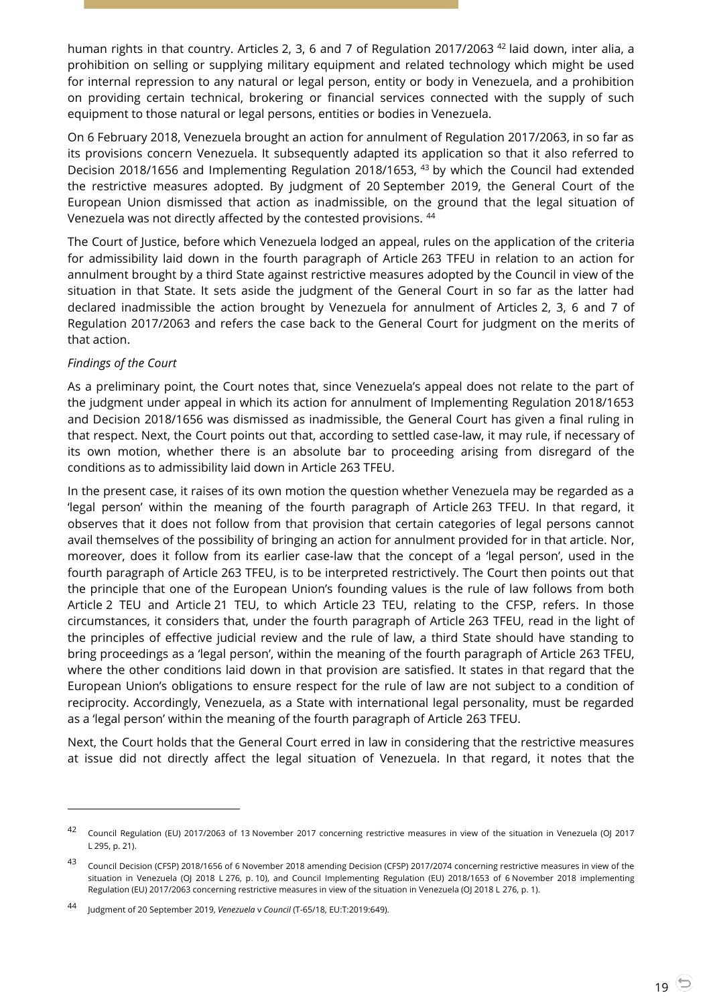human rights in that country. Articles 2, 3, 6 and 7 of Regulation 2017/2063<sup>42</sup> laid down, inter alia, a prohibition on selling or supplying military equipment and related technology which might be used for internal repression to any natural or legal person, entity or body in Venezuela, and a prohibition on providing certain technical, brokering or financial services connected with the supply of such equipment to those natural or legal persons, entities or bodies in Venezuela.

On 6 February 2018, Venezuela brought an action for annulment of Regulation 2017/2063, in so far as its provisions concern Venezuela. It subsequently adapted its application so that it also referred to Decision 2018/1656 and Implementing Regulation 2018/1653, <sup>43</sup> by which the Council had extended the restrictive measures adopted. By judgment of 20 September 2019, the General Court of the European Union dismissed that action as inadmissible, on the ground that the legal situation of Venezuela was not directly affected by the contested provisions. <sup>44</sup>

The Court of Justice, before which Venezuela lodged an appeal, rules on the application of the criteria for admissibility laid down in the fourth paragraph of Article 263 TFEU in relation to an action for annulment brought by a third State against restrictive measures adopted by the Council in view of the situation in that State. It sets aside the judgment of the General Court in so far as the latter had declared inadmissible the action brought by Venezuela for annulment of Articles 2, 3, 6 and 7 of Regulation 2017/2063 and refers the case back to the General Court for judgment on the merits of that action.

## *Findings of the Court*

-

As a preliminary point, the Court notes that, since Venezuela's appeal does not relate to the part of the judgment under appeal in which its action for annulment of Implementing Regulation 2018/1653 and Decision 2018/1656 was dismissed as inadmissible, the General Court has given a final ruling in that respect. Next, the Court points out that, according to settled case-law, it may rule, if necessary of its own motion, whether there is an absolute bar to proceeding arising from disregard of the conditions as to admissibility laid down in Article 263 TFEU.

In the present case, it raises of its own motion the question whether Venezuela may be regarded as a 'legal person' within the meaning of the fourth paragraph of Article 263 TFEU. In that regard, it observes that it does not follow from that provision that certain categories of legal persons cannot avail themselves of the possibility of bringing an action for annulment provided for in that article. Nor, moreover, does it follow from its earlier case-law that the concept of a 'legal person', used in the fourth paragraph of Article 263 TFEU, is to be interpreted restrictively. The Court then points out that the principle that one of the European Union's founding values is the rule of law follows from both Article 2 TEU and Article 21 TEU, to which Article 23 TEU, relating to the CFSP, refers. In those circumstances, it considers that, under the fourth paragraph of Article 263 TFEU, read in the light of the principles of effective judicial review and the rule of law, a third State should have standing to bring proceedings as a 'legal person', within the meaning of the fourth paragraph of Article 263 TFEU, where the other conditions laid down in that provision are satisfied. It states in that regard that the European Union's obligations to ensure respect for the rule of law are not subject to a condition of reciprocity. Accordingly, Venezuela, as a State with international legal personality, must be regarded as a 'legal person' within the meaning of the fourth paragraph of Article 263 TFEU.

Next, the Court holds that the General Court erred in law in considering that the restrictive measures at issue did not directly affect the legal situation of Venezuela. In that regard, it notes that the

<sup>42</sup> Council Regulation (EU) 2017/2063 of 13 November 2017 concerning restrictive measures in view of the situation in Venezuela (OJ 2017 L 295, p. 21).

<sup>43</sup> Council Decision (CFSP) 2018/1656 of 6 November 2018 amending Decision (CFSP) 2017/2074 concerning restrictive measures in view of the situation in Venezuela (OJ 2018 L 276, p. 10), and Council Implementing Regulation (EU) 2018/1653 of 6 November 2018 implementing Regulation (EU) 2017/2063 concerning restrictive measures in view of the situation in Venezuela (OJ 2018 L 276, p. 1).

<sup>44</sup> Judgment of 20 September 2019, *Venezuela* <sup>v</sup>*Council* (T-65/18, EU:T:2019:649).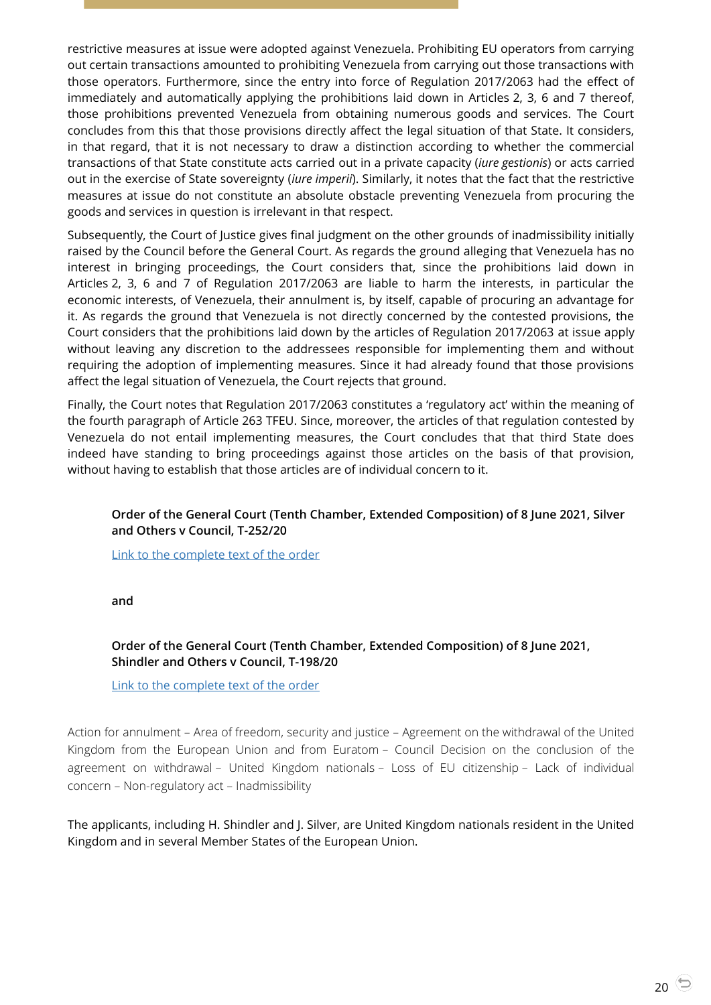restrictive measures at issue were adopted against Venezuela. Prohibiting EU operators from carrying out certain transactions amounted to prohibiting Venezuela from carrying out those transactions with those operators. Furthermore, since the entry into force of Regulation 2017/2063 had the effect of immediately and automatically applying the prohibitions laid down in Articles 2, 3, 6 and 7 thereof, those prohibitions prevented Venezuela from obtaining numerous goods and services. The Court concludes from this that those provisions directly affect the legal situation of that State. It considers, in that regard, that it is not necessary to draw a distinction according to whether the commercial transactions of that State constitute acts carried out in a private capacity (*iure gestionis*) or acts carried out in the exercise of State sovereignty (*iure imperii*). Similarly, it notes that the fact that the restrictive measures at issue do not constitute an absolute obstacle preventing Venezuela from procuring the goods and services in question is irrelevant in that respect.

Subsequently, the Court of Justice gives final judgment on the other grounds of inadmissibility initially raised by the Council before the General Court. As regards the ground alleging that Venezuela has no interest in bringing proceedings, the Court considers that, since the prohibitions laid down in Articles 2, 3, 6 and 7 of Regulation 2017/2063 are liable to harm the interests, in particular the economic interests, of Venezuela, their annulment is, by itself, capable of procuring an advantage for it. As regards the ground that Venezuela is not directly concerned by the contested provisions, the Court considers that the prohibitions laid down by the articles of Regulation 2017/2063 at issue apply without leaving any discretion to the addressees responsible for implementing them and without requiring the adoption of implementing measures. Since it had already found that those provisions affect the legal situation of Venezuela, the Court rejects that ground.

Finally, the Court notes that Regulation 2017/2063 constitutes a 'regulatory act' within the meaning of the fourth paragraph of Article 263 TFEU. Since, moreover, the articles of that regulation contested by Venezuela do not entail implementing measures, the Court concludes that that third State does indeed have standing to bring proceedings against those articles on the basis of that provision, without having to establish that those articles are of individual concern to it.

## <span id="page-19-0"></span>**Order of the General Court (Tenth Chamber, Extended Composition) of 8 June 2021, Silver and Others v Council, T-252/20**

[Link to the complete text of the order](https://curia.europa.eu/juris/document/document.jsf?text=&docid=242681&pageIndex=0&doclang=en&mode=lst&dir=&occ=first&part=1&cid=528887)

**and**

## <span id="page-19-1"></span>**Order of the General Court (Tenth Chamber, Extended Composition) of 8 June 2021, Shindler and Others v Council, T-198/20**

[Link to the complete text of the order](https://curia.europa.eu/juris/document/document.jsf?text=&docid=242682&pageIndex=0&doclang=en&mode=lst&dir=&occ=first&part=1&cid=5285458)

Action for annulment – Area of freedom, security and justice – Agreement on the withdrawal of the United Kingdom from the European Union and from Euratom – Council Decision on the conclusion of the agreement on withdrawal – United Kingdom nationals – Loss of EU citizenship – Lack of individual concern – Non-regulatory act – Inadmissibility

The applicants, including H. Shindler and J. Silver, are United Kingdom nationals resident in the United Kingdom and in several Member States of the European Union.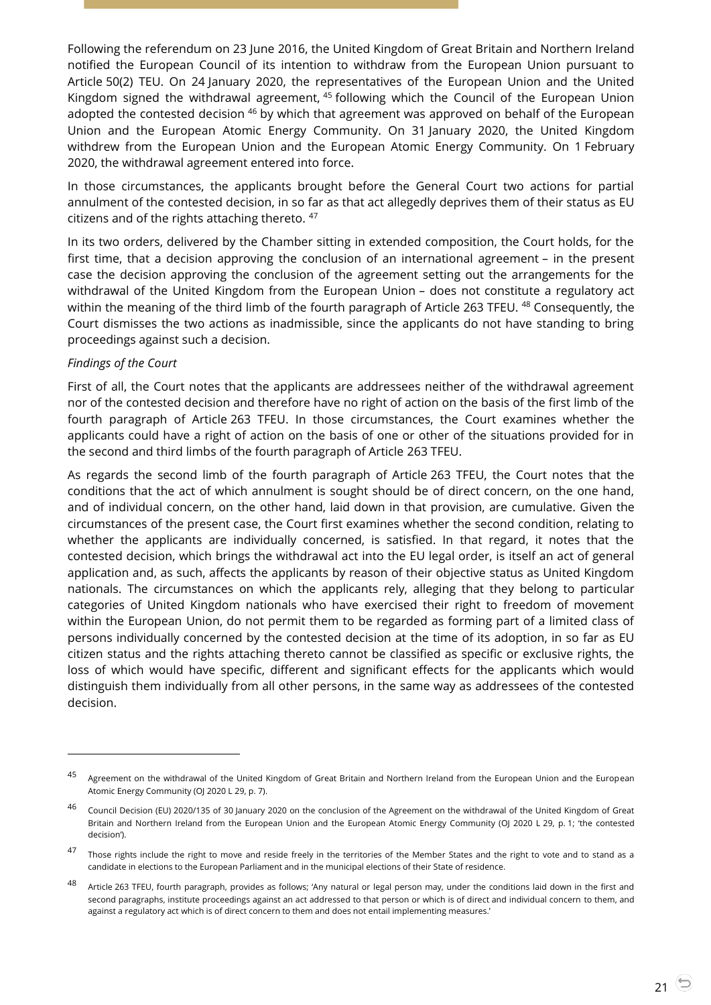Following the referendum on 23 June 2016, the United Kingdom of Great Britain and Northern Ireland notified the European Council of its intention to withdraw from the European Union pursuant to Article 50(2) TEU. On 24 January 2020, the representatives of the European Union and the United Kingdom signed the withdrawal agreement, <sup>45</sup> following which the Council of the European Union adopted the contested decision  $46$  by which that agreement was approved on behalf of the European Union and the European Atomic Energy Community. On 31 January 2020, the United Kingdom withdrew from the European Union and the European Atomic Energy Community. On 1 February 2020, the withdrawal agreement entered into force.

In those circumstances, the applicants brought before the General Court two actions for partial annulment of the contested decision, in so far as that act allegedly deprives them of their status as EU citizens and of the rights attaching thereto. <sup>47</sup>

In its two orders, delivered by the Chamber sitting in extended composition, the Court holds, for the first time, that a decision approving the conclusion of an international agreement – in the present case the decision approving the conclusion of the agreement setting out the arrangements for the withdrawal of the United Kingdom from the European Union – does not constitute a regulatory act within the meaning of the third limb of the fourth paragraph of Article 263 TFEU.<sup>48</sup> Consequently, the Court dismisses the two actions as inadmissible, since the applicants do not have standing to bring proceedings against such a decision.

#### *Findings of the Court*

 $\overline{a}$ 

First of all, the Court notes that the applicants are addressees neither of the withdrawal agreement nor of the contested decision and therefore have no right of action on the basis of the first limb of the fourth paragraph of Article 263 TFEU. In those circumstances, the Court examines whether the applicants could have a right of action on the basis of one or other of the situations provided for in the second and third limbs of the fourth paragraph of Article 263 TFEU.

As regards the second limb of the fourth paragraph of Article 263 TFEU, the Court notes that the conditions that the act of which annulment is sought should be of direct concern, on the one hand, and of individual concern, on the other hand, laid down in that provision, are cumulative. Given the circumstances of the present case, the Court first examines whether the second condition, relating to whether the applicants are individually concerned, is satisfied. In that regard, it notes that the contested decision, which brings the withdrawal act into the EU legal order, is itself an act of general application and, as such, affects the applicants by reason of their objective status as United Kingdom nationals. The circumstances on which the applicants rely, alleging that they belong to particular categories of United Kingdom nationals who have exercised their right to freedom of movement within the European Union, do not permit them to be regarded as forming part of a limited class of persons individually concerned by the contested decision at the time of its adoption, in so far as EU citizen status and the rights attaching thereto cannot be classified as specific or exclusive rights, the loss of which would have specific, different and significant effects for the applicants which would distinguish them individually from all other persons, in the same way as addressees of the contested decision.

<sup>45</sup> Agreement on the withdrawal of the United Kingdom of Great Britain and Northern Ireland from the European Union and the European Atomic Energy Community (OJ 2020 L 29, p. 7).

<sup>&</sup>lt;sup>46</sup> Council Decision (EU) 2020/135 of 30 January 2020 on the conclusion of the Agreement on the withdrawal of the United Kingdom of Great Britain and Northern Ireland from the European Union and the European Atomic Energy Community (OJ 2020 L 29, p. 1; 'the contested decision').

<sup>47</sup> Those rights include the right to move and reside freely in the territories of the Member States and the right to vote and to stand as a candidate in elections to the European Parliament and in the municipal elections of their State of residence.

<sup>48</sup> Article 263 TFEU, fourth paragraph, provides as follows; 'Any natural or legal person may, under the conditions laid down in the first and second paragraphs, institute proceedings against an act addressed to that person or which is of direct and individual concern to them, and against a regulatory act which is of direct concern to them and does not entail implementing measures.'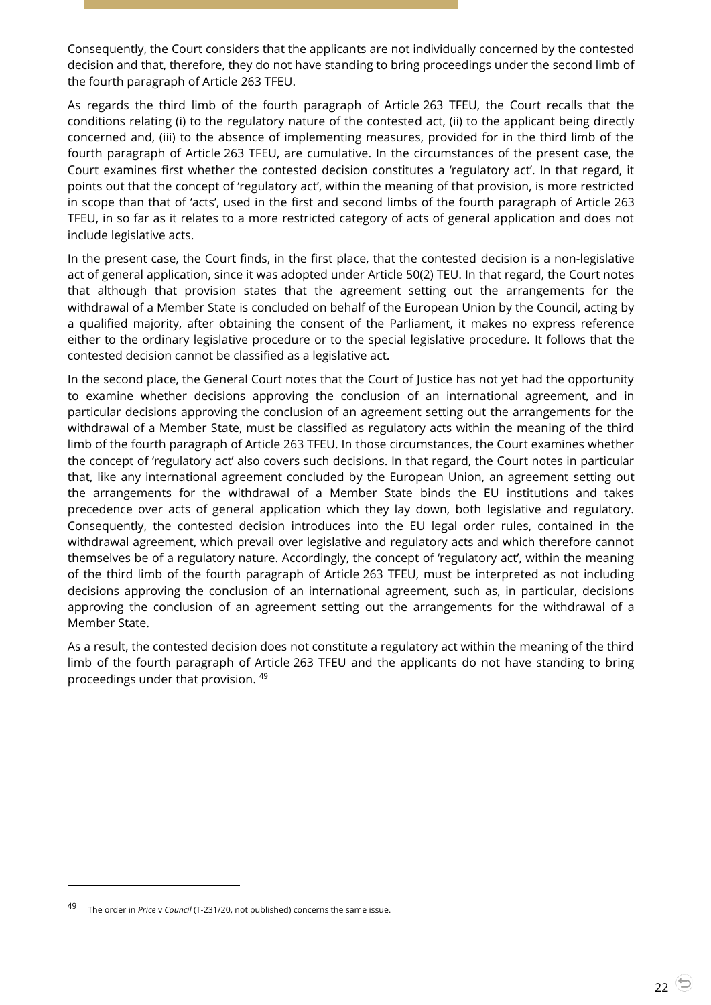Consequently, the Court considers that the applicants are not individually concerned by the contested decision and that, therefore, they do not have standing to bring proceedings under the second limb of the fourth paragraph of Article 263 TFEU.

As regards the third limb of the fourth paragraph of Article 263 TFEU, the Court recalls that the conditions relating (i) to the regulatory nature of the contested act, (ii) to the applicant being directly concerned and, (iii) to the absence of implementing measures, provided for in the third limb of the fourth paragraph of Article 263 TFEU, are cumulative. In the circumstances of the present case, the Court examines first whether the contested decision constitutes a 'regulatory act'. In that regard, it points out that the concept of 'regulatory act', within the meaning of that provision, is more restricted in scope than that of 'acts', used in the first and second limbs of the fourth paragraph of Article 263 TFEU, in so far as it relates to a more restricted category of acts of general application and does not include legislative acts.

In the present case, the Court finds, in the first place, that the contested decision is a non-legislative act of general application, since it was adopted under Article 50(2) TEU. In that regard, the Court notes that although that provision states that the agreement setting out the arrangements for the withdrawal of a Member State is concluded on behalf of the European Union by the Council, acting by a qualified majority, after obtaining the consent of the Parliament, it makes no express reference either to the ordinary legislative procedure or to the special legislative procedure. It follows that the contested decision cannot be classified as a legislative act.

In the second place, the General Court notes that the Court of Justice has not yet had the opportunity to examine whether decisions approving the conclusion of an international agreement, and in particular decisions approving the conclusion of an agreement setting out the arrangements for the withdrawal of a Member State, must be classified as regulatory acts within the meaning of the third limb of the fourth paragraph of Article 263 TFEU. In those circumstances, the Court examines whether the concept of 'regulatory act' also covers such decisions. In that regard, the Court notes in particular that, like any international agreement concluded by the European Union, an agreement setting out the arrangements for the withdrawal of a Member State binds the EU institutions and takes precedence over acts of general application which they lay down, both legislative and regulatory. Consequently, the contested decision introduces into the EU legal order rules, contained in the withdrawal agreement, which prevail over legislative and regulatory acts and which therefore cannot themselves be of a regulatory nature. Accordingly, the concept of 'regulatory act', within the meaning of the third limb of the fourth paragraph of Article 263 TFEU, must be interpreted as not including decisions approving the conclusion of an international agreement, such as, in particular, decisions approving the conclusion of an agreement setting out the arrangements for the withdrawal of a Member State.

As a result, the contested decision does not constitute a regulatory act within the meaning of the third limb of the fourth paragraph of Article 263 TFEU and the applicants do not have standing to bring proceedings under that provision. <sup>49</sup>

The order in *Price* v Council (T-231/20, not published) concerns the same issue.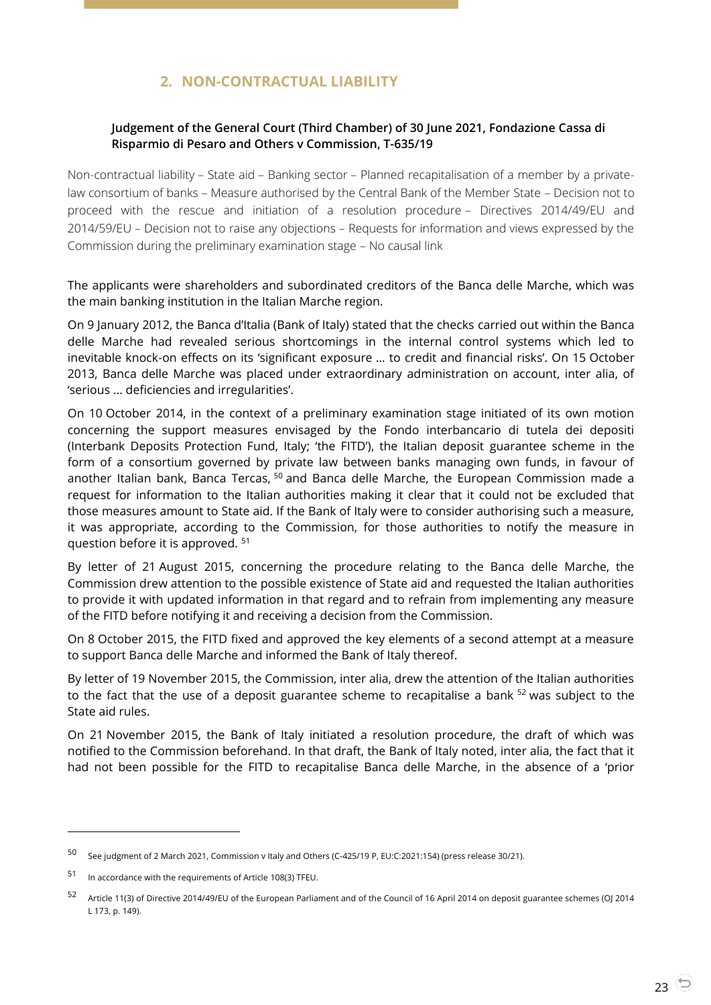# **2. NON-CONTRACTUAL LIABILITY**

## <span id="page-22-1"></span><span id="page-22-0"></span>**Judgement of the General Court (Third Chamber) of 30 June 2021, Fondazione Cassa di Risparmio di Pesaro and Others v Commission, T-635/19**

Non-contractual liability – State aid – Banking sector – Planned recapitalisation of a member by a privatelaw consortium of banks – Measure authorised by the Central Bank of the Member State – Decision not to proceed with the rescue and initiation of a resolution procedure – Directives 2014/49/EU and 2014/59/EU – Decision not to raise any objections – Requests for information and views expressed by the Commission during the preliminary examination stage – No causal link

The applicants were shareholders and subordinated creditors of the Banca delle Marche, which was the main banking institution in the Italian Marche region.

On 9 January 2012, the Banca d'Italia (Bank of Italy) stated that the checks carried out within the Banca delle Marche had revealed serious shortcomings in the internal control systems which led to inevitable knock-on effects on its 'significant exposure … to credit and financial risks'. On 15 October 2013, Banca delle Marche was placed under extraordinary administration on account, inter alia, of 'serious … deficiencies and irregularities'.

On 10 October 2014, in the context of a preliminary examination stage initiated of its own motion concerning the support measures envisaged by the Fondo interbancario di tutela dei depositi (Interbank Deposits Protection Fund, Italy; 'the FITD'), the Italian deposit guarantee scheme in the form of a consortium governed by private law between banks managing own funds, in favour of another Italian bank, Banca Tercas, <sup>50</sup> and Banca delle Marche, the European Commission made a request for information to the Italian authorities making it clear that it could not be excluded that those measures amount to State aid. If the Bank of Italy were to consider authorising such a measure, it was appropriate, according to the Commission, for those authorities to notify the measure in question before it is approved. <sup>51</sup>

By letter of 21 August 2015, concerning the procedure relating to the Banca delle Marche, the Commission drew attention to the possible existence of State aid and requested the Italian authorities to provide it with updated information in that regard and to refrain from implementing any measure of the FITD before notifying it and receiving a decision from the Commission.

On 8 October 2015, the FITD fixed and approved the key elements of a second attempt at a measure to support Banca delle Marche and informed the Bank of Italy thereof.

By letter of 19 November 2015, the Commission, inter alia, drew the attention of the Italian authorities to the fact that the use of a deposit guarantee scheme to recapitalise a bank <sup>52</sup> was subject to the State aid rules.

On 21 November 2015, the Bank of Italy initiated a resolution procedure, the draft of which was notified to the Commission beforehand. In that draft, the Bank of Italy noted, inter alia, the fact that it had not been possible for the FITD to recapitalise Banca delle Marche, in the absence of a 'prior

<sup>50</sup> See judgment of 2 March 2021, Commission v Italy and Others (C-425/19 P, EU:C:2021:154) (press release 30/21).

<sup>51</sup> In accordance with the requirements of Article 108(3) TFEU.

<sup>52</sup> Article 11(3) of Directive 2014/49/EU of the European Parliament and of the Council of 16 April 2014 on deposit guarantee schemes (OJ 2014 L 173, p. 149).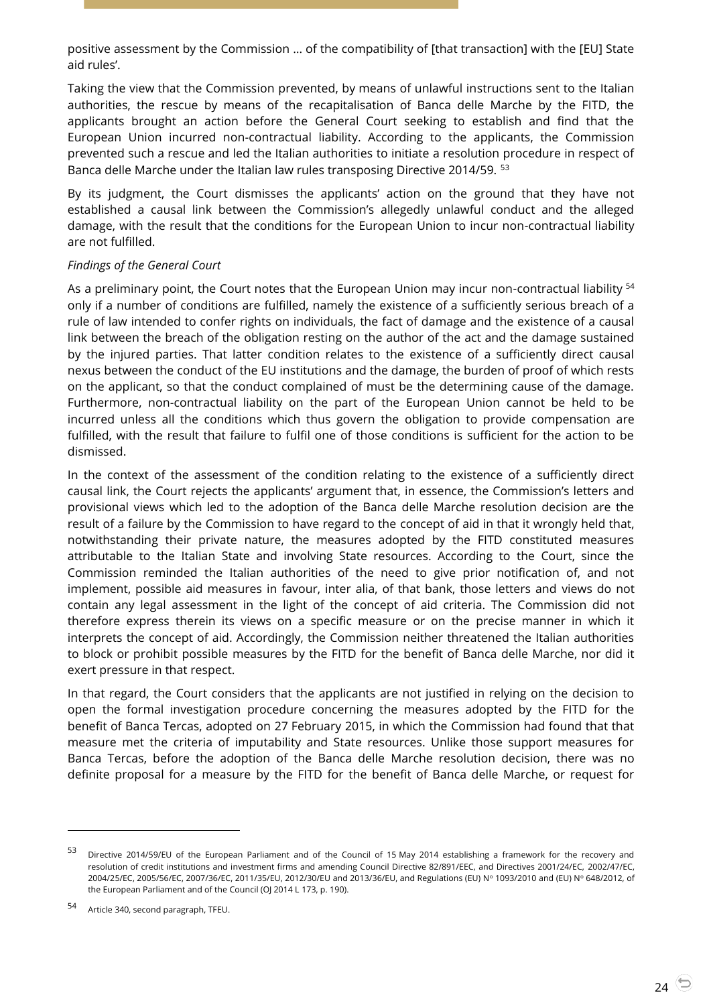positive assessment by the Commission … of the compatibility of [that transaction] with the [EU] State aid rules'.

Taking the view that the Commission prevented, by means of unlawful instructions sent to the Italian authorities, the rescue by means of the recapitalisation of Banca delle Marche by the FITD, the applicants brought an action before the General Court seeking to establish and find that the European Union incurred non-contractual liability. According to the applicants, the Commission prevented such a rescue and led the Italian authorities to initiate a resolution procedure in respect of Banca delle Marche under the Italian law rules transposing Directive 2014/59. <sup>53</sup>

By its judgment, the Court dismisses the applicants' action on the ground that they have not established a causal link between the Commission's allegedly unlawful conduct and the alleged damage, with the result that the conditions for the European Union to incur non-contractual liability are not fulfilled.

## *Findings of the General Court*

As a preliminary point, the Court notes that the European Union may incur non-contractual liability <sup>54</sup> only if a number of conditions are fulfilled, namely the existence of a sufficiently serious breach of a rule of law intended to confer rights on individuals, the fact of damage and the existence of a causal link between the breach of the obligation resting on the author of the act and the damage sustained by the injured parties. That latter condition relates to the existence of a sufficiently direct causal nexus between the conduct of the EU institutions and the damage, the burden of proof of which rests on the applicant, so that the conduct complained of must be the determining cause of the damage. Furthermore, non-contractual liability on the part of the European Union cannot be held to be incurred unless all the conditions which thus govern the obligation to provide compensation are fulfilled, with the result that failure to fulfil one of those conditions is sufficient for the action to be dismissed.

In the context of the assessment of the condition relating to the existence of a sufficiently direct causal link, the Court rejects the applicants' argument that, in essence, the Commission's letters and provisional views which led to the adoption of the Banca delle Marche resolution decision are the result of a failure by the Commission to have regard to the concept of aid in that it wrongly held that, notwithstanding their private nature, the measures adopted by the FITD constituted measures attributable to the Italian State and involving State resources. According to the Court, since the Commission reminded the Italian authorities of the need to give prior notification of, and not implement, possible aid measures in favour, inter alia, of that bank, those letters and views do not contain any legal assessment in the light of the concept of aid criteria. The Commission did not therefore express therein its views on a specific measure or on the precise manner in which it interprets the concept of aid. Accordingly, the Commission neither threatened the Italian authorities to block or prohibit possible measures by the FITD for the benefit of Banca delle Marche, nor did it exert pressure in that respect.

In that regard, the Court considers that the applicants are not justified in relying on the decision to open the formal investigation procedure concerning the measures adopted by the FITD for the benefit of Banca Tercas, adopted on 27 February 2015, in which the Commission had found that that measure met the criteria of imputability and State resources. Unlike those support measures for Banca Tercas, before the adoption of the Banca delle Marche resolution decision, there was no definite proposal for a measure by the FITD for the benefit of Banca delle Marche, or request for

-

<sup>53</sup> Directive 2014/59/EU of the European Parliament and of the Council of 15 May 2014 establishing a framework for the recovery and resolution of credit institutions and investment firms and amending Council Directive 82/891/EEC, and Directives 2001/24/EC, 2002/47/EC, 2004/25/EC, 2005/56/EC, 2007/36/EC, 2011/35/EU, 2012/30/EU and 2013/36/EU, and Regulations (EU) N° 1093/2010 and (EU) N° 648/2012, of the European Parliament and of the Council (OJ 2014 L 173, p. 190).

<sup>54</sup> Article 340, second paragraph, TFEU.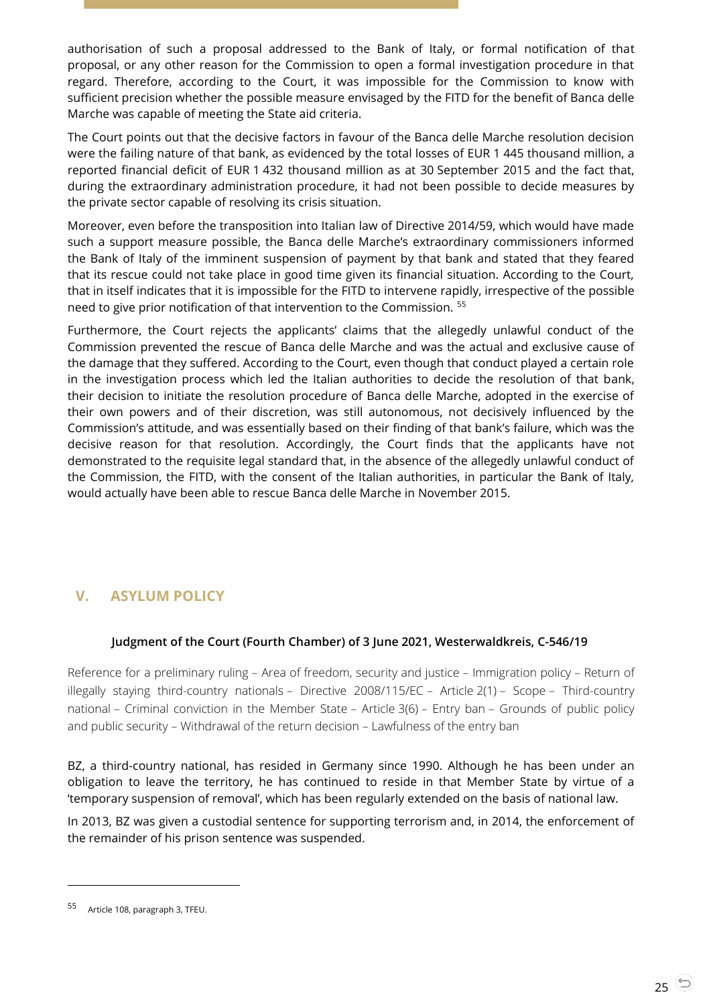authorisation of such a proposal addressed to the Bank of Italy, or formal notification of that proposal, or any other reason for the Commission to open a formal investigation procedure in that regard. Therefore, according to the Court, it was impossible for the Commission to know with sufficient precision whether the possible measure envisaged by the FITD for the benefit of Banca delle Marche was capable of meeting the State aid criteria.

The Court points out that the decisive factors in favour of the Banca delle Marche resolution decision were the failing nature of that bank, as evidenced by the total losses of EUR 1 445 thousand million, a reported financial deficit of EUR 1 432 thousand million as at 30 September 2015 and the fact that, during the extraordinary administration procedure, it had not been possible to decide measures by the private sector capable of resolving its crisis situation.

Moreover, even before the transposition into Italian law of Directive 2014/59, which would have made such a support measure possible, the Banca delle Marche's extraordinary commissioners informed the Bank of Italy of the imminent suspension of payment by that bank and stated that they feared that its rescue could not take place in good time given its financial situation. According to the Court, that in itself indicates that it is impossible for the FITD to intervene rapidly, irrespective of the possible need to give prior notification of that intervention to the Commission. <sup>55</sup>

Furthermore, the Court rejects the applicants' claims that the allegedly unlawful conduct of the Commission prevented the rescue of Banca delle Marche and was the actual and exclusive cause of the damage that they suffered. According to the Court, even though that conduct played a certain role in the investigation process which led the Italian authorities to decide the resolution of that bank, their decision to initiate the resolution procedure of Banca delle Marche, adopted in the exercise of their own powers and of their discretion, was still autonomous, not decisively influenced by the Commission's attitude, and was essentially based on their finding of that bank's failure, which was the decisive reason for that resolution. Accordingly, the Court finds that the applicants have not demonstrated to the requisite legal standard that, in the absence of the allegedly unlawful conduct of the Commission, the FITD, with the consent of the Italian authorities, in particular the Bank of Italy, would actually have been able to rescue Banca delle Marche in November 2015.

# <span id="page-24-1"></span><span id="page-24-0"></span>**V. ASYLUM POLICY**

## **Judgment of the Court (Fourth Chamber) of 3 June 2021, Westerwaldkreis, C-546/19**

Reference for a preliminary ruling – Area of freedom, security and justice – Immigration policy – Return of illegally staying third-country nationals – Directive 2008/115/EC – Article 2(1) – Scope – Third-country national – Criminal conviction in the Member State – Article 3(6) – Entry ban – Grounds of public policy and public security – Withdrawal of the return decision – Lawfulness of the entry ban

BZ, a third-country national, has resided in Germany since 1990. Although he has been under an obligation to leave the territory, he has continued to reside in that Member State by virtue of a 'temporary suspension of removal', which has been regularly extended on the basis of national law.

In 2013, BZ was given a custodial sentence for supporting terrorism and, in 2014, the enforcement of the remainder of his prison sentence was suspended.

<sup>55</sup> Article 108, paragraph 3, TFEU.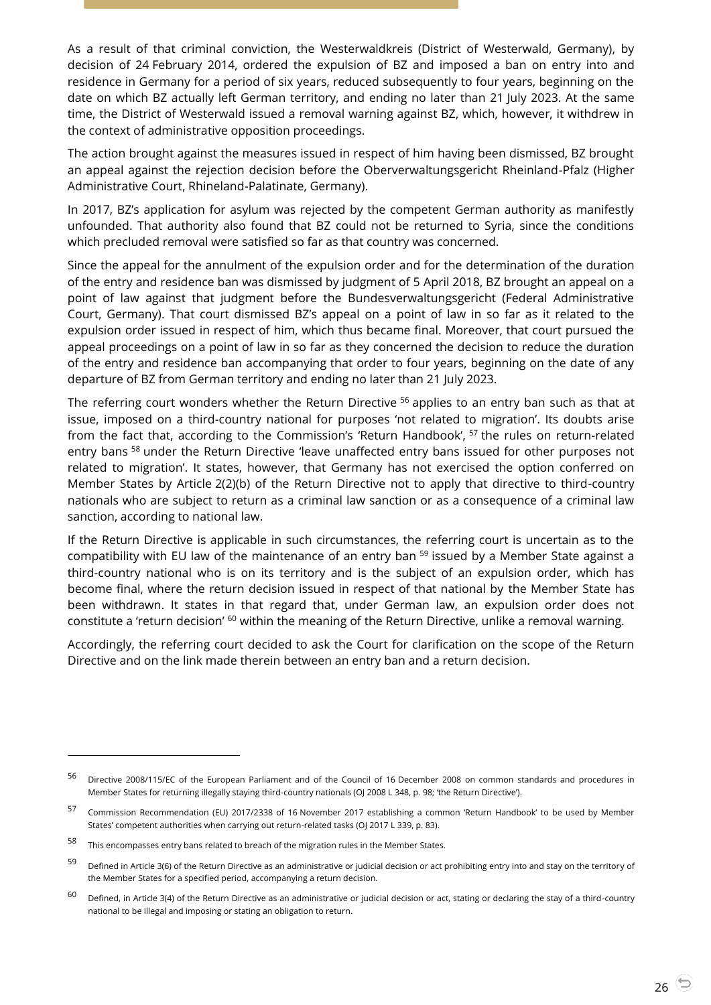As a result of that criminal conviction, the Westerwaldkreis (District of Westerwald, Germany), by decision of 24 February 2014, ordered the expulsion of BZ and imposed a ban on entry into and residence in Germany for a period of six years, reduced subsequently to four years, beginning on the date on which BZ actually left German territory, and ending no later than 21 July 2023. At the same time, the District of Westerwald issued a removal warning against BZ, which, however, it withdrew in the context of administrative opposition proceedings.

The action brought against the measures issued in respect of him having been dismissed, BZ brought an appeal against the rejection decision before the Oberverwaltungsgericht Rheinland-Pfalz (Higher Administrative Court, Rhineland-Palatinate, Germany).

In 2017, BZ's application for asylum was rejected by the competent German authority as manifestly unfounded. That authority also found that BZ could not be returned to Syria, since the conditions which precluded removal were satisfied so far as that country was concerned.

Since the appeal for the annulment of the expulsion order and for the determination of the duration of the entry and residence ban was dismissed by judgment of 5 April 2018, BZ brought an appeal on a point of law against that judgment before the Bundesverwaltungsgericht (Federal Administrative Court, Germany). That court dismissed BZ's appeal on a point of law in so far as it related to the expulsion order issued in respect of him, which thus became final. Moreover, that court pursued the appeal proceedings on a point of law in so far as they concerned the decision to reduce the duration of the entry and residence ban accompanying that order to four years, beginning on the date of any departure of BZ from German territory and ending no later than 21 July 2023.

The referring court wonders whether the Return Directive <sup>56</sup> applies to an entry ban such as that at issue, imposed on a third-country national for purposes 'not related to migration'. Its doubts arise from the fact that, according to the Commission's 'Return Handbook', <sup>57</sup> the rules on return-related entry bans <sup>58</sup> under the Return Directive 'leave unaffected entry bans issued for other purposes not related to migration'. It states, however, that Germany has not exercised the option conferred on Member States by Article 2(2)(b) of the Return Directive not to apply that directive to third-country nationals who are subject to return as a criminal law sanction or as a consequence of a criminal law sanction, according to national law.

If the Return Directive is applicable in such circumstances, the referring court is uncertain as to the compatibility with EU law of the maintenance of an entry ban <sup>59</sup> issued by a Member State against a third-country national who is on its territory and is the subject of an expulsion order, which has become final, where the return decision issued in respect of that national by the Member State has been withdrawn. It states in that regard that, under German law, an expulsion order does not constitute a 'return decision' <sup>60</sup> within the meaning of the Return Directive, unlike a removal warning.

Accordingly, the referring court decided to ask the Court for clarification on the scope of the Return Directive and on the link made therein between an entry ban and a return decision.

<sup>56</sup> Directive 2008/115/EC of the European Parliament and of the Council of 16 December 2008 on common standards and procedures in Member States for returning illegally staying third-country nationals (OJ 2008 L 348, p. 98; 'the Return Directive').

<sup>57</sup> Commission Recommendation (EU) 2017/2338 of 16 November 2017 establishing a common 'Return Handbook' to be used by Member States' competent authorities when carrying out return-related tasks (OJ 2017 L 339, p. 83).

<sup>58</sup> This encompasses entry bans related to breach of the migration rules in the Member States.

 $59$  Defined in Article 3(6) of the Return Directive as an administrative or judicial decision or act prohibiting entry into and stay on the territory of the Member States for a specified period, accompanying a return decision.

 $60$  Defined, in Article 3(4) of the Return Directive as an administrative or judicial decision or act, stating or declaring the stay of a third-country national to be illegal and imposing or stating an obligation to return.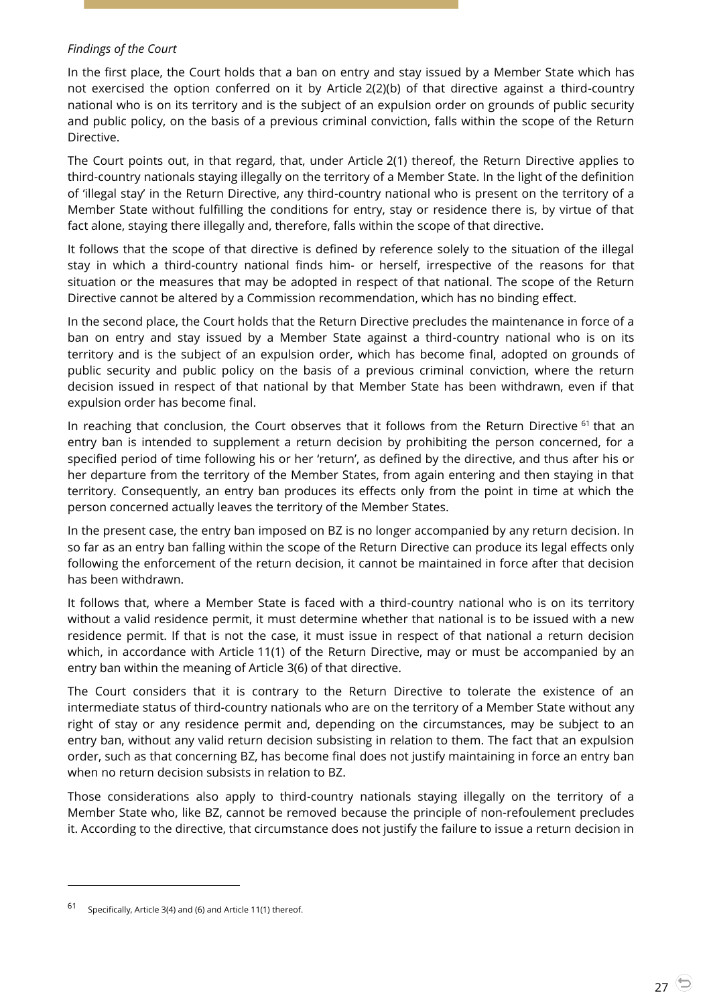## *Findings of the Court*

In the first place, the Court holds that a ban on entry and stay issued by a Member State which has not exercised the option conferred on it by Article 2(2)(b) of that directive against a third-country national who is on its territory and is the subject of an expulsion order on grounds of public security and public policy, on the basis of a previous criminal conviction, falls within the scope of the Return Directive.

The Court points out, in that regard, that, under Article 2(1) thereof, the Return Directive applies to third-country nationals staying illegally on the territory of a Member State. In the light of the definition of 'illegal stay' in the Return Directive, any third-country national who is present on the territory of a Member State without fulfilling the conditions for entry, stay or residence there is, by virtue of that fact alone, staying there illegally and, therefore, falls within the scope of that directive.

It follows that the scope of that directive is defined by reference solely to the situation of the illegal stay in which a third-country national finds him- or herself, irrespective of the reasons for that situation or the measures that may be adopted in respect of that national. The scope of the Return Directive cannot be altered by a Commission recommendation, which has no binding effect.

In the second place, the Court holds that the Return Directive precludes the maintenance in force of a ban on entry and stay issued by a Member State against a third-country national who is on its territory and is the subject of an expulsion order, which has become final, adopted on grounds of public security and public policy on the basis of a previous criminal conviction, where the return decision issued in respect of that national by that Member State has been withdrawn, even if that expulsion order has become final.

In reaching that conclusion, the Court observes that it follows from the Return Directive  $61$  that an entry ban is intended to supplement a return decision by prohibiting the person concerned, for a specified period of time following his or her 'return', as defined by the directive, and thus after his or her departure from the territory of the Member States, from again entering and then staying in that territory. Consequently, an entry ban produces its effects only from the point in time at which the person concerned actually leaves the territory of the Member States.

In the present case, the entry ban imposed on BZ is no longer accompanied by any return decision. In so far as an entry ban falling within the scope of the Return Directive can produce its legal effects only following the enforcement of the return decision, it cannot be maintained in force after that decision has been withdrawn.

It follows that, where a Member State is faced with a third-country national who is on its territory without a valid residence permit, it must determine whether that national is to be issued with a new residence permit. If that is not the case, it must issue in respect of that national a return decision which, in accordance with Article 11(1) of the Return Directive, may or must be accompanied by an entry ban within the meaning of Article 3(6) of that directive.

The Court considers that it is contrary to the Return Directive to tolerate the existence of an intermediate status of third-country nationals who are on the territory of a Member State without any right of stay or any residence permit and, depending on the circumstances, may be subject to an entry ban, without any valid return decision subsisting in relation to them. The fact that an expulsion order, such as that concerning BZ, has become final does not justify maintaining in force an entry ban when no return decision subsists in relation to BZ.

Those considerations also apply to third-country nationals staying illegally on the territory of a Member State who, like BZ, cannot be removed because the principle of non-refoulement precludes it. According to the directive, that circumstance does not justify the failure to issue a return decision in

<sup>61</sup> Specifically, Article 3(4) and (6) and Article 11(1) thereof.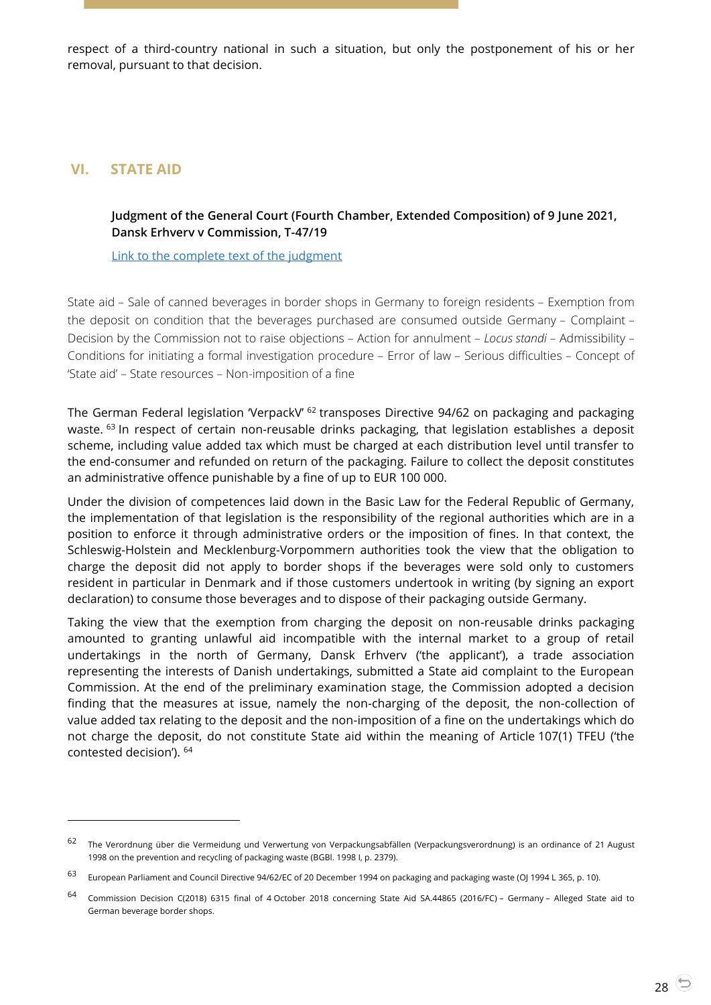respect of a third-country national in such a situation, but only the postponement of his or her removal, pursuant to that decision.

# <span id="page-27-1"></span><span id="page-27-0"></span>**VI. STATE AID**

 $\overline{a}$ 

## **Judgment of the General Court (Fourth Chamber, Extended Composition) of 9 June 2021, Dansk Erhverv v Commission, T-47/19**

[Link to the complete text of the judgment](https://curia.europa.eu/juris/document/document.jsf?text=&docid=242381&pageIndex=0&doclang=en&mode=lst&dir=&occ=first&part=1&cid=4086284)

State aid – Sale of canned beverages in border shops in Germany to foreign residents – Exemption from the deposit on condition that the beverages purchased are consumed outside Germany – Complaint – Decision by the Commission not to raise objections – Action for annulment – *Locus standi* – Admissibility – Conditions for initiating a formal investigation procedure – Error of law – Serious difficulties – Concept of 'State aid' – State resources – Non-imposition of a fine

The German Federal legislation 'VerpackV' <sup>62</sup> transposes Directive 94/62 on packaging and packaging waste. <sup>63</sup> In respect of certain non-reusable drinks packaging, that legislation establishes a deposit scheme, including value added tax which must be charged at each distribution level until transfer to the end-consumer and refunded on return of the packaging. Failure to collect the deposit constitutes an administrative offence punishable by a fine of up to EUR 100 000.

Under the division of competences laid down in the Basic Law for the Federal Republic of Germany, the implementation of that legislation is the responsibility of the regional authorities which are in a position to enforce it through administrative orders or the imposition of fines. In that context, the Schleswig-Holstein and Mecklenburg-Vorpommern authorities took the view that the obligation to charge the deposit did not apply to border shops if the beverages were sold only to customers resident in particular in Denmark and if those customers undertook in writing (by signing an export declaration) to consume those beverages and to dispose of their packaging outside Germany.

Taking the view that the exemption from charging the deposit on non-reusable drinks packaging amounted to granting unlawful aid incompatible with the internal market to a group of retail undertakings in the north of Germany, Dansk Erhverv ('the applicant'), a trade association representing the interests of Danish undertakings, submitted a State aid complaint to the European Commission. At the end of the preliminary examination stage, the Commission adopted a decision finding that the measures at issue, namely the non-charging of the deposit, the non-collection of value added tax relating to the deposit and the non-imposition of a fine on the undertakings which do not charge the deposit, do not constitute State aid within the meaning of Article 107(1) TFEU ('the contested decision'). <sup>64</sup>

<sup>62</sup> The Verordnung über die Vermeidung und Verwertung von Verpackungsabfällen (Verpackungsverordnung) is an ordinance of 21 August 1998 on the prevention and recycling of packaging waste (BGBl. 1998 I, p. 2379).

<sup>63</sup> European Parliament and Council Directive 94/62/EC of 20 December 1994 on packaging and packaging waste (OJ 1994 L 365, p. 10).

<sup>64</sup> Commission Decision C(2018) 6315 final of 4 October 2018 concerning State Aid SA.44865 (2016/FC) – Germany – Alleged State aid to German beverage border shops.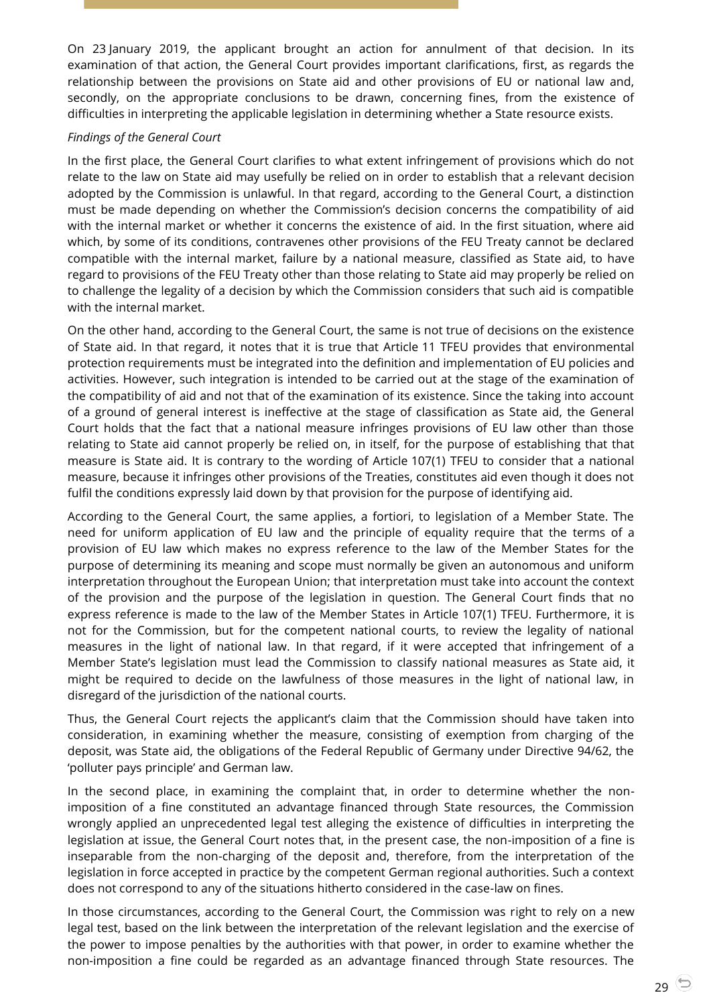On 23 January 2019, the applicant brought an action for annulment of that decision. In its examination of that action, the General Court provides important clarifications, first, as regards the relationship between the provisions on State aid and other provisions of EU or national law and, secondly, on the appropriate conclusions to be drawn, concerning fines, from the existence of difficulties in interpreting the applicable legislation in determining whether a State resource exists.

#### *Findings of the General Court*

In the first place, the General Court clarifies to what extent infringement of provisions which do not relate to the law on State aid may usefully be relied on in order to establish that a relevant decision adopted by the Commission is unlawful. In that regard, according to the General Court, a distinction must be made depending on whether the Commission's decision concerns the compatibility of aid with the internal market or whether it concerns the existence of aid. In the first situation, where aid which, by some of its conditions, contravenes other provisions of the FEU Treaty cannot be declared compatible with the internal market, failure by a national measure, classified as State aid, to have regard to provisions of the FEU Treaty other than those relating to State aid may properly be relied on to challenge the legality of a decision by which the Commission considers that such aid is compatible with the internal market.

On the other hand, according to the General Court, the same is not true of decisions on the existence of State aid. In that regard, it notes that it is true that Article 11 TFEU provides that environmental protection requirements must be integrated into the definition and implementation of EU policies and activities. However, such integration is intended to be carried out at the stage of the examination of the compatibility of aid and not that of the examination of its existence. Since the taking into account of a ground of general interest is ineffective at the stage of classification as State aid, the General Court holds that the fact that a national measure infringes provisions of EU law other than those relating to State aid cannot properly be relied on, in itself, for the purpose of establishing that that measure is State aid. It is contrary to the wording of Article 107(1) TFEU to consider that a national measure, because it infringes other provisions of the Treaties, constitutes aid even though it does not fulfil the conditions expressly laid down by that provision for the purpose of identifying aid.

According to the General Court, the same applies, a fortiori, to legislation of a Member State. The need for uniform application of EU law and the principle of equality require that the terms of a provision of EU law which makes no express reference to the law of the Member States for the purpose of determining its meaning and scope must normally be given an autonomous and uniform interpretation throughout the European Union; that interpretation must take into account the context of the provision and the purpose of the legislation in question. The General Court finds that no express reference is made to the law of the Member States in Article 107(1) TFEU. Furthermore, it is not for the Commission, but for the competent national courts, to review the legality of national measures in the light of national law. In that regard, if it were accepted that infringement of a Member State's legislation must lead the Commission to classify national measures as State aid, it might be required to decide on the lawfulness of those measures in the light of national law, in disregard of the jurisdiction of the national courts.

Thus, the General Court rejects the applicant's claim that the Commission should have taken into consideration, in examining whether the measure, consisting of exemption from charging of the deposit, was State aid, the obligations of the Federal Republic of Germany under Directive 94/62, the 'polluter pays principle' and German law.

In the second place, in examining the complaint that, in order to determine whether the nonimposition of a fine constituted an advantage financed through State resources, the Commission wrongly applied an unprecedented legal test alleging the existence of difficulties in interpreting the legislation at issue, the General Court notes that, in the present case, the non-imposition of a fine is inseparable from the non-charging of the deposit and, therefore, from the interpretation of the legislation in force accepted in practice by the competent German regional authorities. Such a context does not correspond to any of the situations hitherto considered in the case-law on fines.

In those circumstances, according to the General Court, the Commission was right to rely on a new legal test, based on the link between the interpretation of the relevant legislation and the exercise of the power to impose penalties by the authorities with that power, in order to examine whether the non-imposition a fine could be regarded as an advantage financed through State resources. The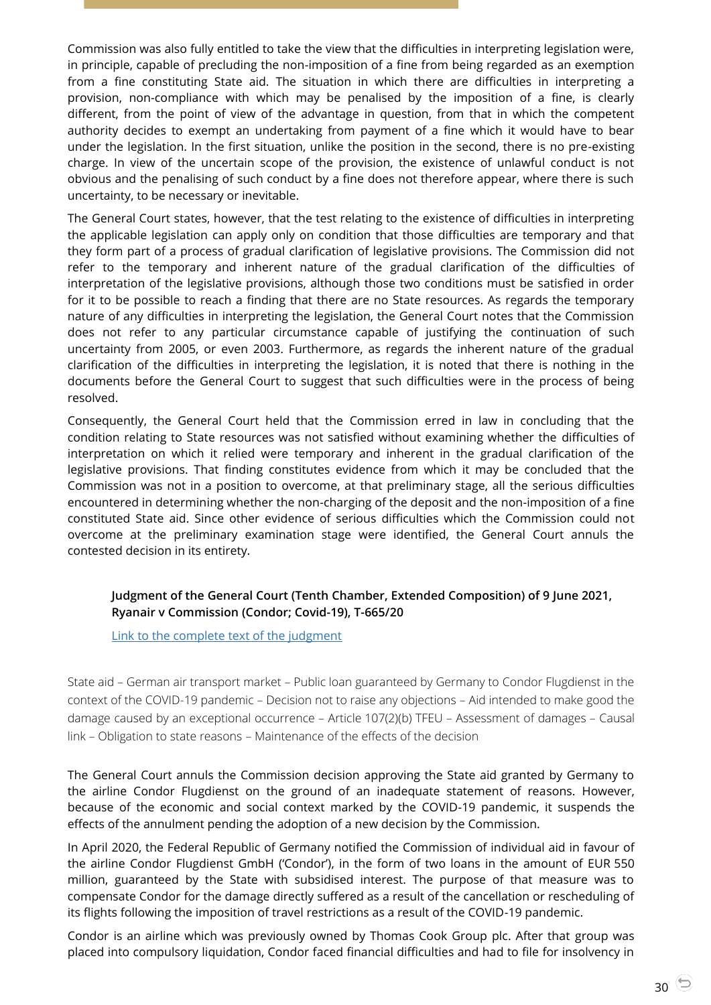Commission was also fully entitled to take the view that the difficulties in interpreting legislation were, in principle, capable of precluding the non-imposition of a fine from being regarded as an exemption from a fine constituting State aid. The situation in which there are difficulties in interpreting a provision, non-compliance with which may be penalised by the imposition of a fine, is clearly different, from the point of view of the advantage in question, from that in which the competent authority decides to exempt an undertaking from payment of a fine which it would have to bear under the legislation. In the first situation, unlike the position in the second, there is no pre-existing charge. In view of the uncertain scope of the provision, the existence of unlawful conduct is not obvious and the penalising of such conduct by a fine does not therefore appear, where there is such uncertainty, to be necessary or inevitable.

The General Court states, however, that the test relating to the existence of difficulties in interpreting the applicable legislation can apply only on condition that those difficulties are temporary and that they form part of a process of gradual clarification of legislative provisions. The Commission did not refer to the temporary and inherent nature of the gradual clarification of the difficulties of interpretation of the legislative provisions, although those two conditions must be satisfied in order for it to be possible to reach a finding that there are no State resources. As regards the temporary nature of any difficulties in interpreting the legislation, the General Court notes that the Commission does not refer to any particular circumstance capable of justifying the continuation of such uncertainty from 2005, or even 2003. Furthermore, as regards the inherent nature of the gradual clarification of the difficulties in interpreting the legislation, it is noted that there is nothing in the documents before the General Court to suggest that such difficulties were in the process of being resolved.

Consequently, the General Court held that the Commission erred in law in concluding that the condition relating to State resources was not satisfied without examining whether the difficulties of interpretation on which it relied were temporary and inherent in the gradual clarification of the legislative provisions. That finding constitutes evidence from which it may be concluded that the Commission was not in a position to overcome, at that preliminary stage, all the serious difficulties encountered in determining whether the non-charging of the deposit and the non-imposition of a fine constituted State aid. Since other evidence of serious difficulties which the Commission could not overcome at the preliminary examination stage were identified, the General Court annuls the contested decision in its entirety.

## <span id="page-29-0"></span>**Judgment of the General Court (Tenth Chamber, Extended Composition) of 9 June 2021, Ryanair v Commission (Condor; Covid-19), T-665/20**

[Link to the complete text of the judgment](https://curia.europa.eu/juris/document/document.jsf?text=&docid=242384&pageIndex=0&doclang=en&mode=lst&dir=&occ=first&part=1&cid=4086284)

State aid – German air transport market – Public loan guaranteed by Germany to Condor Flugdienst in the context of the COVID-19 pandemic – Decision not to raise any objections – Aid intended to make good the damage caused by an exceptional occurrence – Article 107(2)(b) TFEU – Assessment of damages – Causal link – Obligation to state reasons – Maintenance of the effects of the decision

The General Court annuls the Commission decision approving the State aid granted by Germany to the airline Condor Flugdienst on the ground of an inadequate statement of reasons. However, because of the economic and social context marked by the COVID-19 pandemic, it suspends the effects of the annulment pending the adoption of a new decision by the Commission.

In April 2020, the Federal Republic of Germany notified the Commission of individual aid in favour of the airline Condor Flugdienst GmbH ('Condor'), in the form of two loans in the amount of EUR 550 million, guaranteed by the State with subsidised interest. The purpose of that measure was to compensate Condor for the damage directly suffered as a result of the cancellation or rescheduling of its flights following the imposition of travel restrictions as a result of the COVID-19 pandemic.

Condor is an airline which was previously owned by Thomas Cook Group plc. After that group was placed into compulsory liquidation, Condor faced financial difficulties and had to file for insolvency in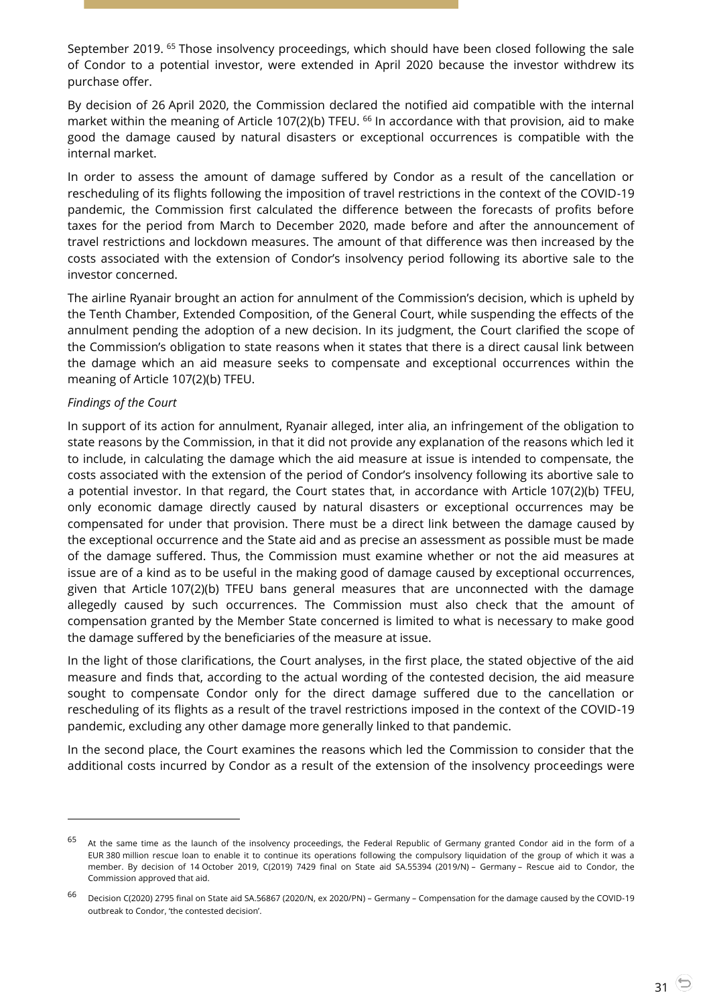September 2019. <sup>65</sup> Those insolvency proceedings, which should have been closed following the sale of Condor to a potential investor, were extended in April 2020 because the investor withdrew its purchase offer.

By decision of 26 April 2020, the Commission declared the notified aid compatible with the internal market within the meaning of Article 107(2)(b) TFEU. <sup>66</sup> In accordance with that provision, aid to make good the damage caused by natural disasters or exceptional occurrences is compatible with the internal market.

In order to assess the amount of damage suffered by Condor as a result of the cancellation or rescheduling of its flights following the imposition of travel restrictions in the context of the COVID-19 pandemic, the Commission first calculated the difference between the forecasts of profits before taxes for the period from March to December 2020, made before and after the announcement of travel restrictions and lockdown measures. The amount of that difference was then increased by the costs associated with the extension of Condor's insolvency period following its abortive sale to the investor concerned.

The airline Ryanair brought an action for annulment of the Commission's decision, which is upheld by the Tenth Chamber, Extended Composition, of the General Court, while suspending the effects of the annulment pending the adoption of a new decision. In its judgment, the Court clarified the scope of the Commission's obligation to state reasons when it states that there is a direct causal link between the damage which an aid measure seeks to compensate and exceptional occurrences within the meaning of Article 107(2)(b) TFEU.

#### *Findings of the Court*

 $\overline{a}$ 

In support of its action for annulment, Ryanair alleged, inter alia, an infringement of the obligation to state reasons by the Commission, in that it did not provide any explanation of the reasons which led it to include, in calculating the damage which the aid measure at issue is intended to compensate, the costs associated with the extension of the period of Condor's insolvency following its abortive sale to a potential investor. In that regard, the Court states that, in accordance with Article 107(2)(b) TFEU, only economic damage directly caused by natural disasters or exceptional occurrences may be compensated for under that provision. There must be a direct link between the damage caused by the exceptional occurrence and the State aid and as precise an assessment as possible must be made of the damage suffered. Thus, the Commission must examine whether or not the aid measures at issue are of a kind as to be useful in the making good of damage caused by exceptional occurrences, given that Article 107(2)(b) TFEU bans general measures that are unconnected with the damage allegedly caused by such occurrences. The Commission must also check that the amount of compensation granted by the Member State concerned is limited to what is necessary to make good the damage suffered by the beneficiaries of the measure at issue.

In the light of those clarifications, the Court analyses, in the first place, the stated objective of the aid measure and finds that, according to the actual wording of the contested decision, the aid measure sought to compensate Condor only for the direct damage suffered due to the cancellation or rescheduling of its flights as a result of the travel restrictions imposed in the context of the COVID-19 pandemic, excluding any other damage more generally linked to that pandemic.

In the second place, the Court examines the reasons which led the Commission to consider that the additional costs incurred by Condor as a result of the extension of the insolvency proceedings were

<sup>&</sup>lt;sup>65</sup> At the same time as the launch of the insolvency proceedings, the Federal Republic of Germany granted Condor aid in the form of a EUR 380 million rescue loan to enable it to continue its operations following the compulsory liquidation of the group of which it was a member. By decision of 14 October 2019, C(2019) 7429 final on State aid SA.55394 (2019/N) – Germany – Rescue aid to Condor, the Commission approved that aid.

<sup>66</sup> Decision C(2020) 2795 final on State aid SA.56867 (2020/N, ex 2020/PN) – Germany – Compensation for the damage caused by the COVID-19 outbreak to Condor, 'the contested decision'.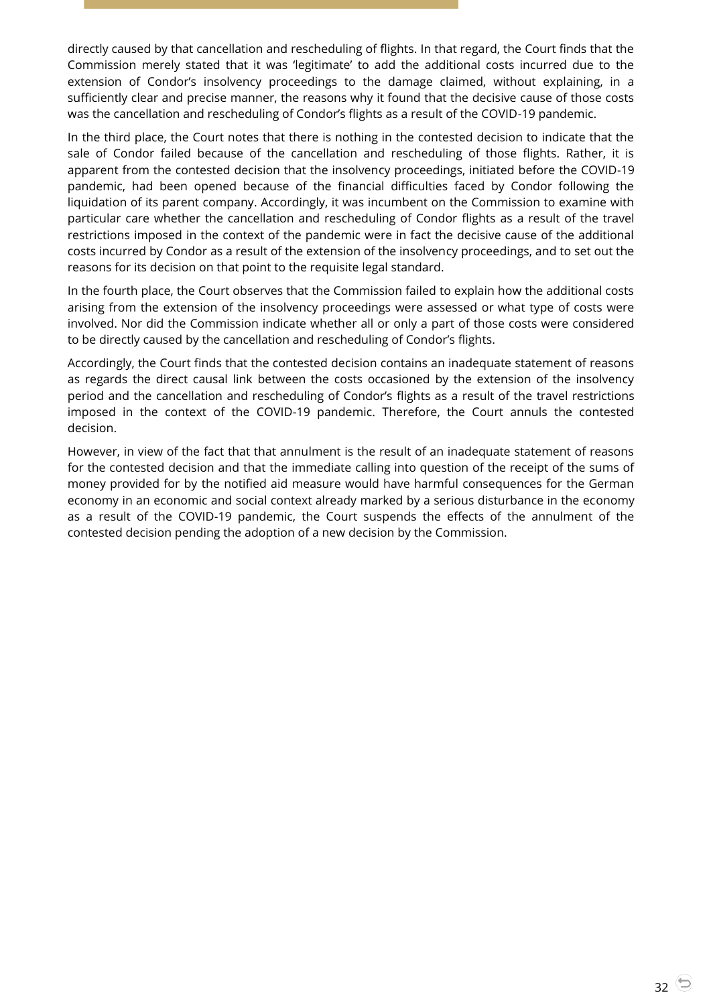directly caused by that cancellation and rescheduling of flights. In that regard, the Court finds that the Commission merely stated that it was 'legitimate' to add the additional costs incurred due to the extension of Condor's insolvency proceedings to the damage claimed, without explaining, in a sufficiently clear and precise manner, the reasons why it found that the decisive cause of those costs was the cancellation and rescheduling of Condor's flights as a result of the COVID-19 pandemic.

In the third place, the Court notes that there is nothing in the contested decision to indicate that the sale of Condor failed because of the cancellation and rescheduling of those flights. Rather, it is apparent from the contested decision that the insolvency proceedings, initiated before the COVID-19 pandemic, had been opened because of the financial difficulties faced by Condor following the liquidation of its parent company. Accordingly, it was incumbent on the Commission to examine with particular care whether the cancellation and rescheduling of Condor flights as a result of the travel restrictions imposed in the context of the pandemic were in fact the decisive cause of the additional costs incurred by Condor as a result of the extension of the insolvency proceedings, and to set out the reasons for its decision on that point to the requisite legal standard.

In the fourth place, the Court observes that the Commission failed to explain how the additional costs arising from the extension of the insolvency proceedings were assessed or what type of costs were involved. Nor did the Commission indicate whether all or only a part of those costs were considered to be directly caused by the cancellation and rescheduling of Condor's flights.

Accordingly, the Court finds that the contested decision contains an inadequate statement of reasons as regards the direct causal link between the costs occasioned by the extension of the insolvency period and the cancellation and rescheduling of Condor's flights as a result of the travel restrictions imposed in the context of the COVID-19 pandemic. Therefore, the Court annuls the contested decision.

However, in view of the fact that that annulment is the result of an inadequate statement of reasons for the contested decision and that the immediate calling into question of the receipt of the sums of money provided for by the notified aid measure would have harmful consequences for the German economy in an economic and social context already marked by a serious disturbance in the economy as a result of the COVID-19 pandemic, the Court suspends the effects of the annulment of the contested decision pending the adoption of a new decision by the Commission.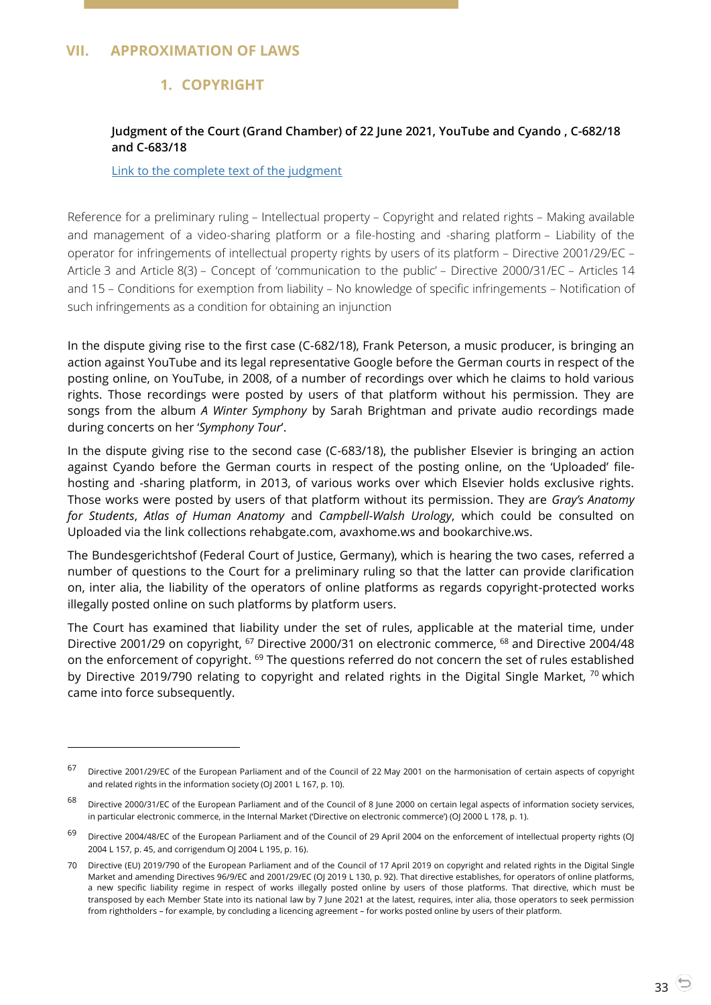## <span id="page-32-2"></span><span id="page-32-1"></span><span id="page-32-0"></span>**VII. APPROXIMATION OF LAWS**

 $\overline{a}$ 

## **1. COPYRIGHT**

## **Judgment of the Court (Grand Chamber) of 22 June 2021, YouTube and Cyando , C-682/18 and C-683/18**

#### [Link to the complete text of the judgment](https://curia.europa.eu/juris/document/document.jsf?text=&docid=243241&pageIndex=0&doclang=en&mode=lst&dir=&occ=first&part=1&cid=4086284)

Reference for a preliminary ruling – Intellectual property – Copyright and related rights – Making available and management of a video-sharing platform or a file-hosting and -sharing platform – Liability of the operator for infringements of intellectual property rights by users of its platform – Directive 2001/29/EC – Article 3 and Article 8(3) – Concept of 'communication to the public' – Directive 2000/31/EC – Articles 14 and 15 – Conditions for exemption from liability – No knowledge of specific infringements – Notification of such infringements as a condition for obtaining an injunction

In the dispute giving rise to the first case (C-682/18), Frank Peterson, a music producer, is bringing an action against YouTube and its legal representative Google before the German courts in respect of the posting online, on YouTube, in 2008, of a number of recordings over which he claims to hold various rights. Those recordings were posted by users of that platform without his permission. They are songs from the album *A Winter Symphony* by Sarah Brightman and private audio recordings made during concerts on her '*Symphony Tour*'.

In the dispute giving rise to the second case (C-683/18), the publisher Elsevier is bringing an action against Cyando before the German courts in respect of the posting online, on the 'Uploaded' filehosting and -sharing platform, in 2013, of various works over which Elsevier holds exclusive rights. Those works were posted by users of that platform without its permission. They are *Gray's Anatomy for Students*, *Atlas of Human Anatomy* and *Campbell-Walsh Urology*, which could be consulted on Uploaded via the link collections rehabgate.com, avaxhome.ws and bookarchive.ws.

The Bundesgerichtshof (Federal Court of Justice, Germany), which is hearing the two cases, referred a number of questions to the Court for a preliminary ruling so that the latter can provide clarification on, inter alia, the liability of the operators of online platforms as regards copyright-protected works illegally posted online on such platforms by platform users.

The Court has examined that liability under the set of rules, applicable at the material time, under Directive 2001/29 on copyright, <sup>67</sup> Directive 2000/31 on electronic commerce, <sup>68</sup> and Directive 2004/48 on the enforcement of copyright. <sup>69</sup> The questions referred do not concern the set of rules established by Directive 2019/790 relating to copyright and related rights in the Digital Single Market, <sup>70</sup> which came into force subsequently.

<sup>67</sup> Directive 2001/29/EC of the European Parliament and of the Council of 22 May 2001 on the harmonisation of certain aspects of copyright and related rights in the information society (OJ 2001 L 167, p. 10).

<sup>&</sup>lt;sup>68</sup> Directive 2000/31/EC of the European Parliament and of the Council of 8 June 2000 on certain legal aspects of information society services, in particular electronic commerce, in the Internal Market ('Directive on electronic commerce') (OJ 2000 L 178, p. 1).

<sup>69</sup> Directive 2004/48/EC of the European Parliament and of the Council of 29 April 2004 on the enforcement of intellectual property rights (OJ 2004 L 157, p. 45, and corrigendum OJ 2004 L 195, p. 16).

<sup>70</sup> Directive (EU) 2019/790 of the European Parliament and of the Council of 17 April 2019 on copyright and related rights in the Digital Single Market and amending Directives 96/9/EC and 2001/29/EC (OJ 2019 L 130, p. 92). That directive establishes, for operators of online platforms, a new specific liability regime in respect of works illegally posted online by users of those platforms. That directive, which must be transposed by each Member State into its national law by 7 June 2021 at the latest, requires, inter alia, those operators to seek permission from rightholders – for example, by concluding a licencing agreement – for works posted online by users of their platform.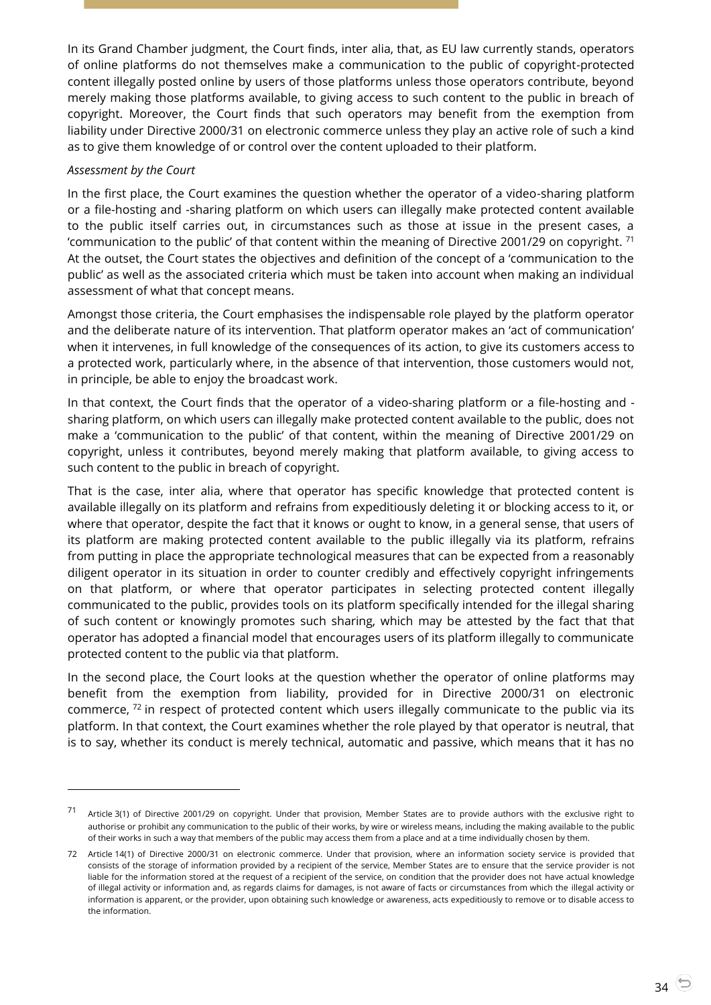In its Grand Chamber judgment, the Court finds, inter alia, that, as EU law currently stands, operators of online platforms do not themselves make a communication to the public of copyright-protected content illegally posted online by users of those platforms unless those operators contribute, beyond merely making those platforms available, to giving access to such content to the public in breach of copyright. Moreover, the Court finds that such operators may benefit from the exemption from liability under Directive 2000/31 on electronic commerce unless they play an active role of such a kind as to give them knowledge of or control over the content uploaded to their platform.

#### *Assessment by the Court*

-

In the first place, the Court examines the question whether the operator of a video-sharing platform or a file-hosting and -sharing platform on which users can illegally make protected content available to the public itself carries out, in circumstances such as those at issue in the present cases, a 'communication to the public' of that content within the meaning of Directive 2001/29 on copyright.  $^{71}$ At the outset, the Court states the objectives and definition of the concept of a 'communication to the public' as well as the associated criteria which must be taken into account when making an individual assessment of what that concept means.

Amongst those criteria, the Court emphasises the indispensable role played by the platform operator and the deliberate nature of its intervention. That platform operator makes an 'act of communication' when it intervenes, in full knowledge of the consequences of its action, to give its customers access to a protected work, particularly where, in the absence of that intervention, those customers would not, in principle, be able to enjoy the broadcast work.

In that context, the Court finds that the operator of a video-sharing platform or a file-hosting and sharing platform, on which users can illegally make protected content available to the public, does not make a 'communication to the public' of that content, within the meaning of Directive 2001/29 on copyright, unless it contributes, beyond merely making that platform available, to giving access to such content to the public in breach of copyright.

That is the case, inter alia, where that operator has specific knowledge that protected content is available illegally on its platform and refrains from expeditiously deleting it or blocking access to it, or where that operator, despite the fact that it knows or ought to know, in a general sense, that users of its platform are making protected content available to the public illegally via its platform, refrains from putting in place the appropriate technological measures that can be expected from a reasonably diligent operator in its situation in order to counter credibly and effectively copyright infringements on that platform, or where that operator participates in selecting protected content illegally communicated to the public, provides tools on its platform specifically intended for the illegal sharing of such content or knowingly promotes such sharing, which may be attested by the fact that that operator has adopted a financial model that encourages users of its platform illegally to communicate protected content to the public via that platform.

In the second place, the Court looks at the question whether the operator of online platforms may benefit from the exemption from liability, provided for in Directive 2000/31 on electronic commerce, <sup>72</sup> in respect of protected content which users illegally communicate to the public via its platform. In that context, the Court examines whether the role played by that operator is neutral, that is to say, whether its conduct is merely technical, automatic and passive, which means that it has no

<sup>71</sup> Article 3(1) of Directive 2001/29 on copyright. Under that provision, Member States are to provide authors with the exclusive right to authorise or prohibit any communication to the public of their works, by wire or wireless means, including the making available to the public of their works in such a way that members of the public may access them from a place and at a time individually chosen by them.

<sup>72</sup> Article 14(1) of Directive 2000/31 on electronic commerce. Under that provision, where an information society service is provided that consists of the storage of information provided by a recipient of the service, Member States are to ensure that the service provider is not liable for the information stored at the request of a recipient of the service, on condition that the provider does not have actual knowledge of illegal activity or information and, as regards claims for damages, is not aware of facts or circumstances from which the illegal activity or information is apparent, or the provider, upon obtaining such knowledge or awareness, acts expeditiously to remove or to disable access to the information.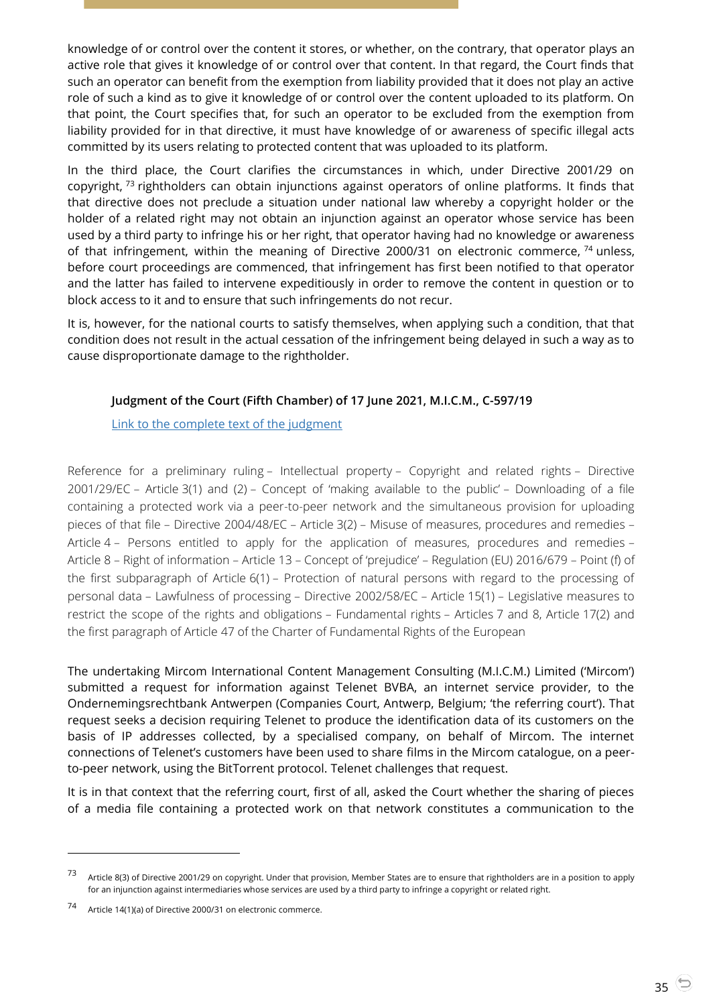knowledge of or control over the content it stores, or whether, on the contrary, that operator plays an active role that gives it knowledge of or control over that content. In that regard, the Court finds that such an operator can benefit from the exemption from liability provided that it does not play an active role of such a kind as to give it knowledge of or control over the content uploaded to its platform. On that point, the Court specifies that, for such an operator to be excluded from the exemption from liability provided for in that directive, it must have knowledge of or awareness of specific illegal acts committed by its users relating to protected content that was uploaded to its platform.

In the third place, the Court clarifies the circumstances in which, under Directive 2001/29 on copyright,  $73$  rightholders can obtain injunctions against operators of online platforms. It finds that that directive does not preclude a situation under national law whereby a copyright holder or the holder of a related right may not obtain an injunction against an operator whose service has been used by a third party to infringe his or her right, that operator having had no knowledge or awareness of that infringement, within the meaning of Directive 2000/31 on electronic commerce,  $74$  unless, before court proceedings are commenced, that infringement has first been notified to that operator and the latter has failed to intervene expeditiously in order to remove the content in question or to block access to it and to ensure that such infringements do not recur.

It is, however, for the national courts to satisfy themselves, when applying such a condition, that that condition does not result in the actual cessation of the infringement being delayed in such a way as to cause disproportionate damage to the rightholder.

## <span id="page-34-0"></span>**Judgment of the Court (Fifth Chamber) of 17 June 2021, M.I.C.M., C-597/19**

## [Link to the complete text of the judgment](https://curia.europa.eu/juris/document/document.jsf?text=&docid=243102&pageIndex=0&doclang=en&mode=lst&dir=&occ=first&part=1&cid=4086284)

Reference for a preliminary ruling – Intellectual property – Copyright and related rights – Directive 2001/29/EC – Article 3(1) and (2) – Concept of 'making available to the public' – Downloading of a file containing a protected work via a peer-to-peer network and the simultaneous provision for uploading pieces of that file – Directive 2004/48/EC – Article 3(2) – Misuse of measures, procedures and remedies – Article 4 – Persons entitled to apply for the application of measures, procedures and remedies – Article 8 – Right of information – Article 13 – Concept of 'prejudice' – Regulation (EU) 2016/679 – Point (f) of the first subparagraph of Article 6(1) – Protection of natural persons with regard to the processing of personal data – Lawfulness of processing – Directive 2002/58/EC – Article 15(1) – Legislative measures to restrict the scope of the rights and obligations – Fundamental rights – Articles 7 and 8, Article 17(2) and the first paragraph of Article 47 of the Charter of Fundamental Rights of the European

The undertaking Mircom International Content Management Consulting (M.I.C.M.) Limited ('Mircom') submitted a request for information against Telenet BVBA, an internet service provider, to the Ondernemingsrechtbank Antwerpen (Companies Court, Antwerp, Belgium; 'the referring court'). That request seeks a decision requiring Telenet to produce the identification data of its customers on the basis of IP addresses collected, by a specialised company, on behalf of Mircom. The internet connections of Telenet's customers have been used to share films in the Mircom catalogue, on a peerto-peer network, using the BitTorrent protocol. Telenet challenges that request.

It is in that context that the referring court, first of all, asked the Court whether the sharing of pieces of a media file containing a protected work on that network constitutes a communication to the

<sup>73</sup> Article 8(3) of Directive 2001/29 on copyright. Under that provision, Member States are to ensure that rightholders are in a position to apply for an injunction against intermediaries whose services are used by a third party to infringe a copyright or related right.

<sup>74</sup> Article 14(1)(a) of Directive 2000/31 on electronic commerce.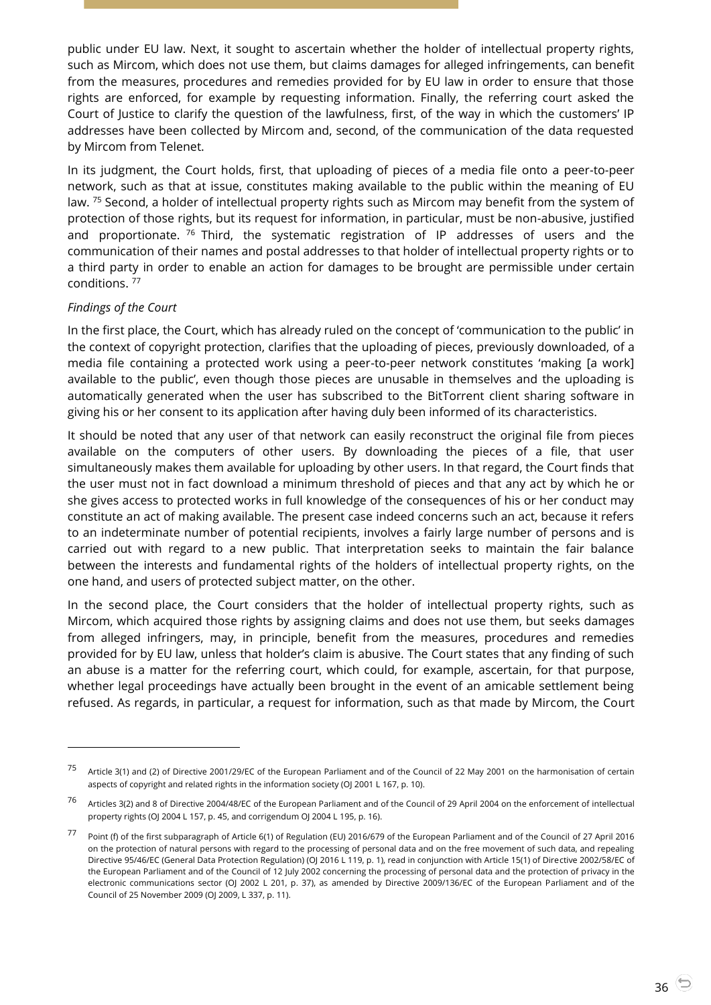public under EU law. Next, it sought to ascertain whether the holder of intellectual property rights, such as Mircom, which does not use them, but claims damages for alleged infringements, can benefit from the measures, procedures and remedies provided for by EU law in order to ensure that those rights are enforced, for example by requesting information. Finally, the referring court asked the Court of Justice to clarify the question of the lawfulness, first, of the way in which the customers' IP addresses have been collected by Mircom and, second, of the communication of the data requested by Mircom from Telenet.

In its judgment, the Court holds, first, that uploading of pieces of a media file onto a peer-to-peer network, such as that at issue, constitutes making available to the public within the meaning of EU law. <sup>75</sup> Second, a holder of intellectual property rights such as Mircom may benefit from the system of protection of those rights, but its request for information, in particular, must be non-abusive, justified and proportionate.  $76$  Third, the systematic registration of IP addresses of users and the communication of their names and postal addresses to that holder of intellectual property rights or to a third party in order to enable an action for damages to be brought are permissible under certain conditions. <sup>77</sup>

## *Findings of the Court*

 $\overline{a}$ 

In the first place, the Court, which has already ruled on the concept of 'communication to the public' in the context of copyright protection, clarifies that the uploading of pieces, previously downloaded, of a media file containing a protected work using a peer-to-peer network constitutes 'making [a work] available to the public', even though those pieces are unusable in themselves and the uploading is automatically generated when the user has subscribed to the BitTorrent client sharing software in giving his or her consent to its application after having duly been informed of its characteristics.

It should be noted that any user of that network can easily reconstruct the original file from pieces available on the computers of other users. By downloading the pieces of a file, that user simultaneously makes them available for uploading by other users. In that regard, the Court finds that the user must not in fact download a minimum threshold of pieces and that any act by which he or she gives access to protected works in full knowledge of the consequences of his or her conduct may constitute an act of making available. The present case indeed concerns such an act, because it refers to an indeterminate number of potential recipients, involves a fairly large number of persons and is carried out with regard to a new public. That interpretation seeks to maintain the fair balance between the interests and fundamental rights of the holders of intellectual property rights, on the one hand, and users of protected subject matter, on the other.

In the second place, the Court considers that the holder of intellectual property rights, such as Mircom, which acquired those rights by assigning claims and does not use them, but seeks damages from alleged infringers, may, in principle, benefit from the measures, procedures and remedies provided for by EU law, unless that holder's claim is abusive. The Court states that any finding of such an abuse is a matter for the referring court, which could, for example, ascertain, for that purpose, whether legal proceedings have actually been brought in the event of an amicable settlement being refused. As regards, in particular, a request for information, such as that made by Mircom, the Court

<sup>75</sup> Article 3(1) and (2) of Directive 2001/29/EC of the European Parliament and of the Council of 22 May 2001 on the harmonisation of certain aspects of copyright and related rights in the information society (OJ 2001 L 167, p. 10).

<sup>76</sup> Articles 3(2) and 8 of Directive 2004/48/EC of the European Parliament and of the Council of 29 April 2004 on the enforcement of intellectual property rights (OJ 2004 L 157, p. 45, and corrigendum OJ 2004 L 195, p. 16).

<sup>77</sup> Point (f) of the first subparagraph of Article 6(1) of Regulation (EU) 2016/679 of the European Parliament and of the Council of 27 April 2016 on the protection of natural persons with regard to the processing of personal data and on the free movement of such data, and repealing Directive 95/46/EC (General Data Protection Regulation) (OJ 2016 L 119, p. 1), read in conjunction with Article 15(1) of Directive 2002/58/EC of the European Parliament and of the Council of 12 July 2002 concerning the processing of personal data and the protection of privacy in the electronic communications sector (OJ 2002 L 201, p. 37), as amended by Directive 2009/136/EC of the European Parliament and of the Council of 25 November 2009 (OJ 2009, L 337, p. 11).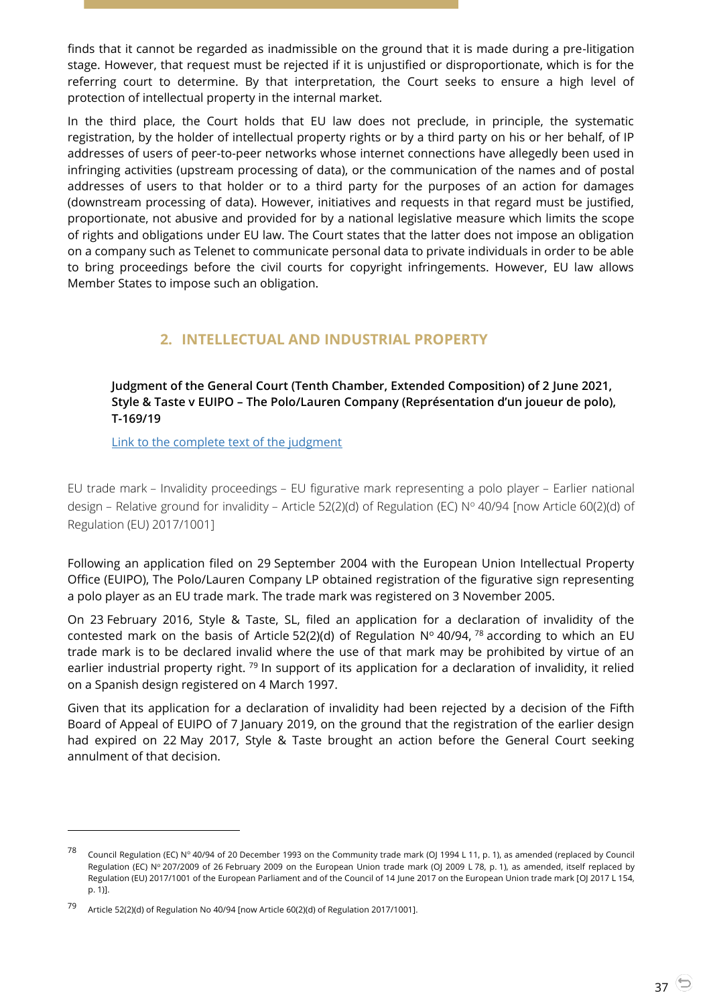finds that it cannot be regarded as inadmissible on the ground that it is made during a pre-litigation stage. However, that request must be rejected if it is unjustified or disproportionate, which is for the referring court to determine. By that interpretation, the Court seeks to ensure a high level of protection of intellectual property in the internal market.

In the third place, the Court holds that EU law does not preclude, in principle, the systematic registration, by the holder of intellectual property rights or by a third party on his or her behalf, of IP addresses of users of peer-to-peer networks whose internet connections have allegedly been used in infringing activities (upstream processing of data), or the communication of the names and of postal addresses of users to that holder or to a third party for the purposes of an action for damages (downstream processing of data). However, initiatives and requests in that regard must be justified, proportionate, not abusive and provided for by a national legislative measure which limits the scope of rights and obligations under EU law. The Court states that the latter does not impose an obligation on a company such as Telenet to communicate personal data to private individuals in order to be able to bring proceedings before the civil courts for copyright infringements. However, EU law allows Member States to impose such an obligation.

# **2. INTELLECTUAL AND INDUSTRIAL PROPERTY**

## <span id="page-36-1"></span><span id="page-36-0"></span>**Judgment of the General Court (Tenth Chamber, Extended Composition) of 2 June 2021, Style & Taste v EUIPO – The Polo/Lauren Company (Représentation d'un joueur de polo), T-169/19**

[Link to the complete text of the judgment](https://curia.europa.eu/juris/document/document.jsf?text=&docid=241981&pageIndex=0&doclang=en&mode=lst&dir=&occ=first&part=1&cid=5281150)

EU trade mark – Invalidity proceedings – EU figurative mark representing a polo player – Earlier national design - Relative ground for invalidity - Article 52(2)(d) of Regulation (EC) Nº 40/94 [now Article 60(2)(d) of Regulation (EU) 2017/1001]

Following an application filed on 29 September 2004 with the European Union Intellectual Property Office (EUIPO), The Polo/Lauren Company LP obtained registration of the figurative sign representing a polo player as an EU trade mark. The trade mark was registered on 3 November 2005.

On 23 February 2016, Style & Taste, SL, filed an application for a declaration of invalidity of the contested mark on the basis of Article 52(2)(d) of Regulation  $N^{\circ}$  40/94, <sup>78</sup> according to which an EU trade mark is to be declared invalid where the use of that mark may be prohibited by virtue of an earlier industrial property right.<sup>79</sup> In support of its application for a declaration of invalidity, it relied on a Spanish design registered on 4 March 1997.

Given that its application for a declaration of invalidity had been rejected by a decision of the Fifth Board of Appeal of EUIPO of 7 January 2019, on the ground that the registration of the earlier design had expired on 22 May 2017, Style & Taste brought an action before the General Court seeking annulment of that decision.

-

<sup>78</sup> Council Regulation (EC) Nº 40/94 of 20 December 1993 on the Community trade mark (OJ 1994 L 11, p. 1), as amended (replaced by Council Regulation (EC) Nº 207/2009 of 26 February 2009 on the European Union trade mark (OJ 2009 L 78, p. 1), as amended, itself replaced by Regulation (EU) 2017/1001 of the European Parliament and of the Council of 14 June 2017 on the European Union trade mark [OJ 2017 L 154, p. 1)].

<sup>79</sup> Article 52(2)(d) of Regulation No 40/94 [now Article 60(2)(d) of Regulation 2017/1001].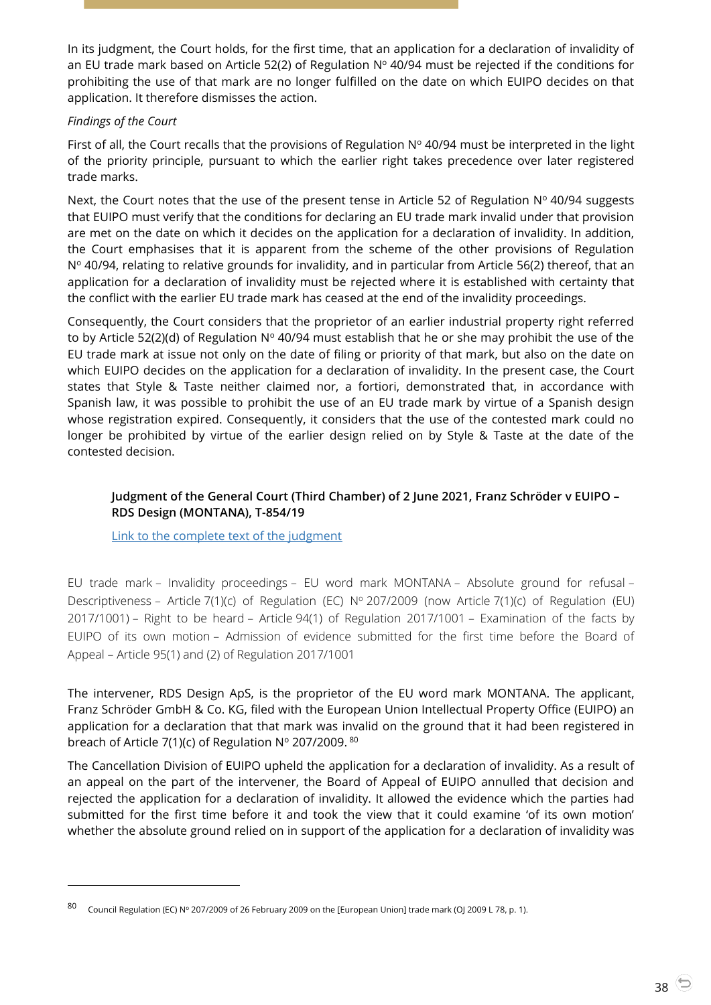In its judgment, the Court holds, for the first time, that an application for a declaration of invalidity of an EU trade mark based on Article 52(2) of Regulation  $N^{\circ}$  40/94 must be rejected if the conditions for prohibiting the use of that mark are no longer fulfilled on the date on which EUIPO decides on that application. It therefore dismisses the action.

## *Findings of the Court*

 $\overline{a}$ 

First of all, the Court recalls that the provisions of Regulation  $N^{\circ}$  40/94 must be interpreted in the light of the priority principle, pursuant to which the earlier right takes precedence over later registered trade marks.

Next, the Court notes that the use of the present tense in Article 52 of Regulation  $N^{\circ}$  40/94 suggests that EUIPO must verify that the conditions for declaring an EU trade mark invalid under that provision are met on the date on which it decides on the application for a declaration of invalidity. In addition, the Court emphasises that it is apparent from the scheme of the other provisions of Regulation N<sup>o</sup> 40/94, relating to relative grounds for invalidity, and in particular from Article 56(2) thereof, that an application for a declaration of invalidity must be rejected where it is established with certainty that the conflict with the earlier EU trade mark has ceased at the end of the invalidity proceedings.

Consequently, the Court considers that the proprietor of an earlier industrial property right referred to by Article 52(2)(d) of Regulation  $N^{\circ}$  40/94 must establish that he or she may prohibit the use of the EU trade mark at issue not only on the date of filing or priority of that mark, but also on the date on which EUIPO decides on the application for a declaration of invalidity. In the present case, the Court states that Style & Taste neither claimed nor, a fortiori, demonstrated that, in accordance with Spanish law, it was possible to prohibit the use of an EU trade mark by virtue of a Spanish design whose registration expired. Consequently, it considers that the use of the contested mark could no longer be prohibited by virtue of the earlier design relied on by Style & Taste at the date of the contested decision.

## <span id="page-37-0"></span>**Judgment of the General Court (Third Chamber) of 2 June 2021, Franz Schröder v EUIPO – RDS Design (MONTANA), T-854/19**

[Link to the complete text of the judgment](https://curia.europa.eu/juris/document/document.jsf?text=&docid=241989&pageIndex=0&doclang=EN&mode=lst&dir=&occ=first&part=1&cid=4086284)

EU trade mark – Invalidity proceedings – EU word mark MONTANA – Absolute ground for refusal – Descriptiveness – Article 7(1)(c) of Regulation (EC)  $N^{\circ}$  207/2009 (now Article 7(1)(c) of Regulation (EU) 2017/1001) – Right to be heard – Article 94(1) of Regulation 2017/1001 – Examination of the facts by EUIPO of its own motion – Admission of evidence submitted for the first time before the Board of Appeal – Article 95(1) and (2) of Regulation 2017/1001

The intervener, RDS Design ApS, is the proprietor of the EU word mark MONTANA. The applicant, Franz Schröder GmbH & Co. KG, filed with the European Union Intellectual Property Office (EUIPO) an application for a declaration that that mark was invalid on the ground that it had been registered in breach of Article 7(1)(c) of Regulation  $N^{\circ}$  207/2009.  $80$ 

The Cancellation Division of EUIPO upheld the application for a declaration of invalidity. As a result of an appeal on the part of the intervener, the Board of Appeal of EUIPO annulled that decision and rejected the application for a declaration of invalidity. It allowed the evidence which the parties had submitted for the first time before it and took the view that it could examine 'of its own motion' whether the absolute ground relied on in support of the application for a declaration of invalidity was

Council Regulation (EC) Nº 207/2009 of 26 February 2009 on the [European Union] trade mark (OJ 2009 L 78, p. 1).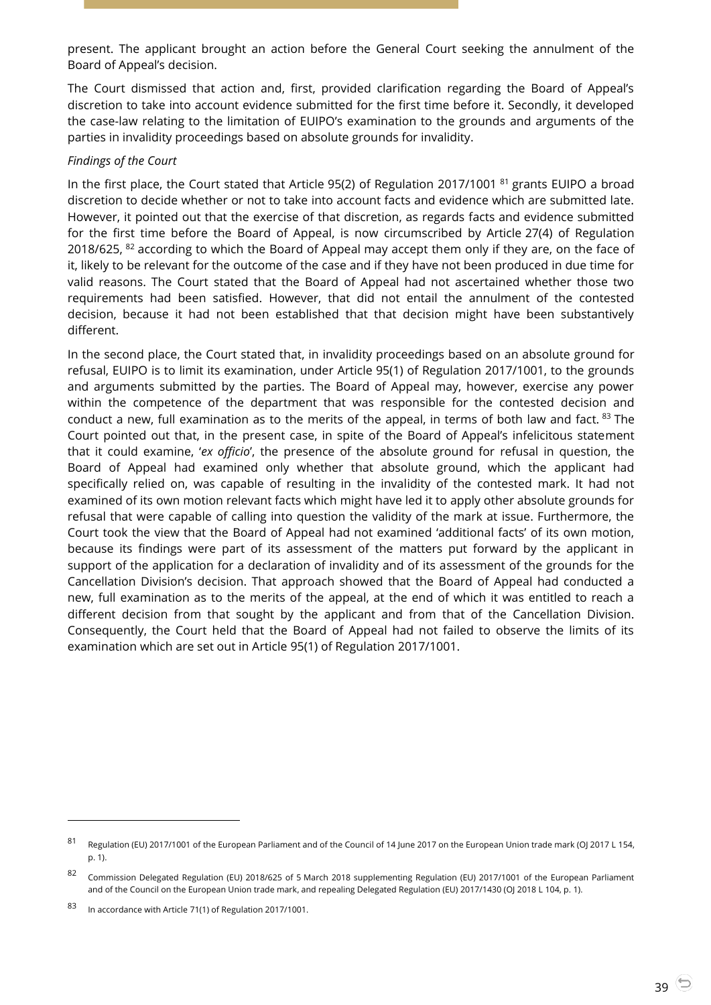present. The applicant brought an action before the General Court seeking the annulment of the Board of Appeal's decision.

The Court dismissed that action and, first, provided clarification regarding the Board of Appeal's discretion to take into account evidence submitted for the first time before it. Secondly, it developed the case-law relating to the limitation of EUIPO's examination to the grounds and arguments of the parties in invalidity proceedings based on absolute grounds for invalidity.

#### *Findings of the Court*

In the first place, the Court stated that Article 95(2) of Regulation 2017/1001<sup>81</sup> grants EUIPO a broad discretion to decide whether or not to take into account facts and evidence which are submitted late. However, it pointed out that the exercise of that discretion, as regards facts and evidence submitted for the first time before the Board of Appeal, is now circumscribed by Article 27(4) of Regulation 2018/625, <sup>82</sup> according to which the Board of Appeal may accept them only if they are, on the face of it, likely to be relevant for the outcome of the case and if they have not been produced in due time for valid reasons. The Court stated that the Board of Appeal had not ascertained whether those two requirements had been satisfied. However, that did not entail the annulment of the contested decision, because it had not been established that that decision might have been substantively different.

In the second place, the Court stated that, in invalidity proceedings based on an absolute ground for refusal, EUIPO is to limit its examination, under Article 95(1) of Regulation 2017/1001, to the grounds and arguments submitted by the parties. The Board of Appeal may, however, exercise any power within the competence of the department that was responsible for the contested decision and conduct a new, full examination as to the merits of the appeal, in terms of both law and fact. <sup>83</sup> The Court pointed out that, in the present case, in spite of the Board of Appeal's infelicitous statement that it could examine, '*ex officio*', the presence of the absolute ground for refusal in question, the Board of Appeal had examined only whether that absolute ground, which the applicant had specifically relied on, was capable of resulting in the invalidity of the contested mark. It had not examined of its own motion relevant facts which might have led it to apply other absolute grounds for refusal that were capable of calling into question the validity of the mark at issue. Furthermore, the Court took the view that the Board of Appeal had not examined 'additional facts' of its own motion, because its findings were part of its assessment of the matters put forward by the applicant in support of the application for a declaration of invalidity and of its assessment of the grounds for the Cancellation Division's decision. That approach showed that the Board of Appeal had conducted a new, full examination as to the merits of the appeal, at the end of which it was entitled to reach a different decision from that sought by the applicant and from that of the Cancellation Division. Consequently, the Court held that the Board of Appeal had not failed to observe the limits of its examination which are set out in Article 95(1) of Regulation 2017/1001.

<sup>81</sup> Regulation (EU) 2017/1001 of the European Parliament and of the Council of 14 June 2017 on the European Union trade mark (OJ 2017 L 154, p. 1).

<sup>82</sup> Commission Delegated Regulation (EU) 2018/625 of 5 March 2018 supplementing Regulation (EU) 2017/1001 of the European Parliament and of the Council on the European Union trade mark, and repealing Delegated Regulation (EU) 2017/1430 (OJ 2018 L 104, p. 1).

<sup>83</sup> In accordance with Article 71(1) of Regulation 2017/1001.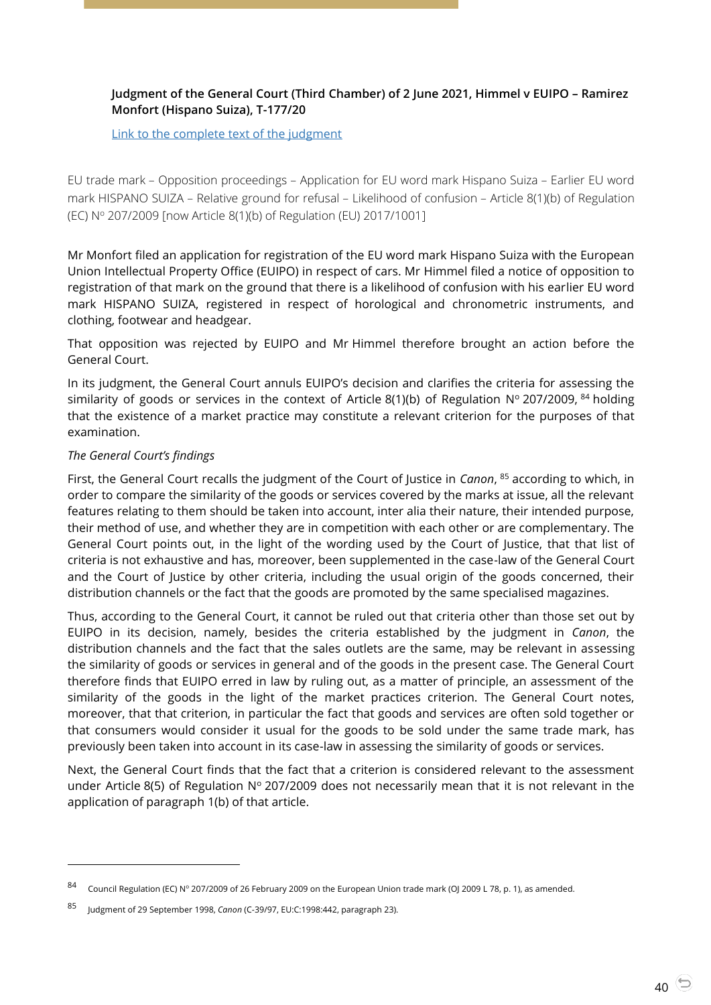## <span id="page-39-0"></span>**Judgment of the General Court (Third Chamber) of 2 June 2021, Himmel v EUIPO – Ramirez Monfort (Hispano Suiza), T-177/20**

[Link to the complete text of the judgment](https://curia.europa.eu/juris/document/document.jsf?text=&docid=241982&pageIndex=0&doclang=en&mode=lst&dir=&occ=first&part=1&cid=4086284)

EU trade mark – Opposition proceedings – Application for EU word mark Hispano Suiza – Earlier EU word mark HISPANO SUIZA – Relative ground for refusal – Likelihood of confusion – Article 8(1)(b) of Regulation (EC) N<sup>o</sup> 207/2009 [now Article 8(1)(b) of Regulation (EU) 2017/1001]

Mr Monfort filed an application for registration of the EU word mark Hispano Suiza with the European Union Intellectual Property Office (EUIPO) in respect of cars. Mr Himmel filed a notice of opposition to registration of that mark on the ground that there is a likelihood of confusion with his earlier EU word mark HISPANO SUIZA, registered in respect of horological and chronometric instruments, and clothing, footwear and headgear.

That opposition was rejected by EUIPO and Mr Himmel therefore brought an action before the General Court.

In its judgment, the General Court annuls EUIPO's decision and clarifies the criteria for assessing the similarity of goods or services in the context of Article 8(1)(b) of Regulation N° 207/2009,  $^{84}$  holding that the existence of a market practice may constitute a relevant criterion for the purposes of that examination.

## *The General Court's findings*

 $\overline{a}$ 

First, the General Court recalls the judgment of the Court of Justice in *Canon*, <sup>85</sup> according to which, in order to compare the similarity of the goods or services covered by the marks at issue, all the relevant features relating to them should be taken into account, inter alia their nature, their intended purpose, their method of use, and whether they are in competition with each other or are complementary. The General Court points out, in the light of the wording used by the Court of Justice, that that list of criteria is not exhaustive and has, moreover, been supplemented in the case-law of the General Court and the Court of Justice by other criteria, including the usual origin of the goods concerned, their distribution channels or the fact that the goods are promoted by the same specialised magazines.

Thus, according to the General Court, it cannot be ruled out that criteria other than those set out by EUIPO in its decision, namely, besides the criteria established by the judgment in *Canon*, the distribution channels and the fact that the sales outlets are the same, may be relevant in assessing the similarity of goods or services in general and of the goods in the present case. The General Court therefore finds that EUIPO erred in law by ruling out, as a matter of principle, an assessment of the similarity of the goods in the light of the market practices criterion. The General Court notes, moreover, that that criterion, in particular the fact that goods and services are often sold together or that consumers would consider it usual for the goods to be sold under the same trade mark, has previously been taken into account in its case-law in assessing the similarity of goods or services.

Next, the General Court finds that the fact that a criterion is considered relevant to the assessment under Article 8(5) of Regulation  $N^{\circ}$  207/2009 does not necessarily mean that it is not relevant in the application of paragraph 1(b) of that article.

<sup>84</sup> Council Regulation (EC) N° 207/2009 of 26 February 2009 on the European Union trade mark (OJ 2009 L 78, p. 1), as amended.

<sup>85</sup> Judgment of 29 September 1998, *Canon* (C-39/97, EU:C:1998:442, paragraph 23).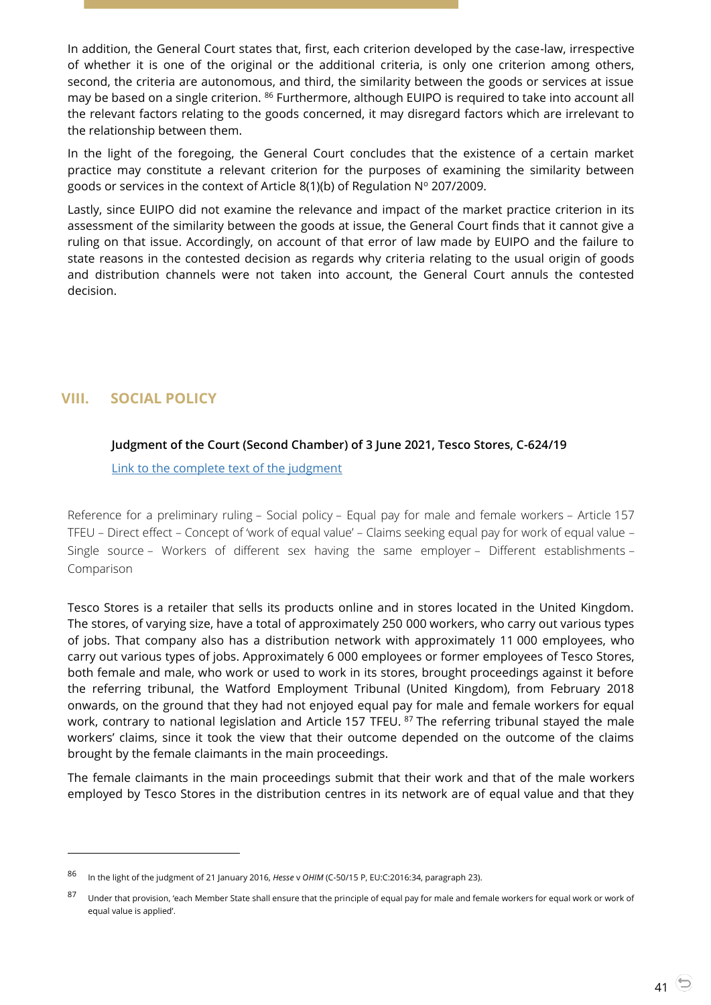In addition, the General Court states that, first, each criterion developed by the case-law, irrespective of whether it is one of the original or the additional criteria, is only one criterion among others, second, the criteria are autonomous, and third, the similarity between the goods or services at issue may be based on a single criterion. <sup>86</sup> Furthermore, although EUIPO is required to take into account all the relevant factors relating to the goods concerned, it may disregard factors which are irrelevant to the relationship between them.

In the light of the foregoing, the General Court concludes that the existence of a certain market practice may constitute a relevant criterion for the purposes of examining the similarity between goods or services in the context of Article 8(1)(b) of Regulation  $N^{\circ}$  207/2009.

Lastly, since EUIPO did not examine the relevance and impact of the market practice criterion in its assessment of the similarity between the goods at issue, the General Court finds that it cannot give a ruling on that issue. Accordingly, on account of that error of law made by EUIPO and the failure to state reasons in the contested decision as regards why criteria relating to the usual origin of goods and distribution channels were not taken into account, the General Court annuls the contested decision.

# <span id="page-40-1"></span><span id="page-40-0"></span>**VIII. SOCIAL POLICY**

 $\overline{a}$ 

## **Judgment of the Court (Second Chamber) of 3 June 2021, Tesco Stores, C-624/19**

[Link to the complete text of the judgment](https://curia.europa.eu/juris/document/document.jsf?text=&docid=242024&pageIndex=0&doclang=en&mode=lst&dir=&occ=first&part=1&cid=4086284)

Reference for a preliminary ruling – Social policy – Equal pay for male and female workers – Article 157 TFEU – Direct effect – Concept of 'work of equal value' – Claims seeking equal pay for work of equal value – Single source – Workers of different sex having the same employer – Different establishments – Comparison

Tesco Stores is a retailer that sells its products online and in stores located in the United Kingdom. The stores, of varying size, have a total of approximately 250 000 workers, who carry out various types of jobs. That company also has a distribution network with approximately 11 000 employees, who carry out various types of jobs. Approximately 6 000 employees or former employees of Tesco Stores, both female and male, who work or used to work in its stores, brought proceedings against it before the referring tribunal, the Watford Employment Tribunal (United Kingdom), from February 2018 onwards, on the ground that they had not enjoyed equal pay for male and female workers for equal work, contrary to national legislation and Article 157 TFEU. <sup>87</sup> The referring tribunal stayed the male workers' claims, since it took the view that their outcome depended on the outcome of the claims brought by the female claimants in the main proceedings.

The female claimants in the main proceedings submit that their work and that of the male workers employed by Tesco Stores in the distribution centres in its network are of equal value and that they

<sup>86</sup> In the light of the judgment of 21 January 2016, *Hesse* <sup>v</sup>*OHIM* (C-50/15 P, EU:C:2016:34, paragraph 23).

<sup>87</sup> Under that provision, 'each Member State shall ensure that the principle of equal pay for male and female workers for equal work or work of equal value is applied'.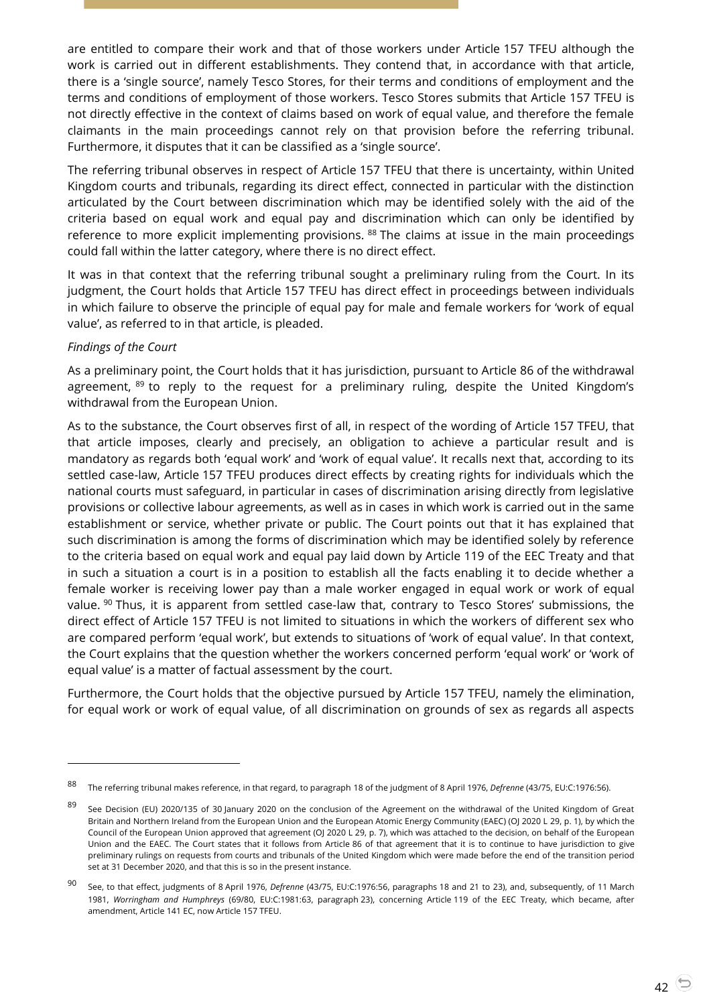are entitled to compare their work and that of those workers under Article 157 TFEU although the work is carried out in different establishments. They contend that, in accordance with that article, there is a 'single source', namely Tesco Stores, for their terms and conditions of employment and the terms and conditions of employment of those workers. Tesco Stores submits that Article 157 TFEU is not directly effective in the context of claims based on work of equal value, and therefore the female claimants in the main proceedings cannot rely on that provision before the referring tribunal. Furthermore, it disputes that it can be classified as a 'single source'.

The referring tribunal observes in respect of Article 157 TFEU that there is uncertainty, within United Kingdom courts and tribunals, regarding its direct effect, connected in particular with the distinction articulated by the Court between discrimination which may be identified solely with the aid of the criteria based on equal work and equal pay and discrimination which can only be identified by reference to more explicit implementing provisions. <sup>88</sup> The claims at issue in the main proceedings could fall within the latter category, where there is no direct effect.

It was in that context that the referring tribunal sought a preliminary ruling from the Court. In its judgment, the Court holds that Article 157 TFEU has direct effect in proceedings between individuals in which failure to observe the principle of equal pay for male and female workers for 'work of equal value', as referred to in that article, is pleaded.

## *Findings of the Court*

 $\overline{a}$ 

As a preliminary point, the Court holds that it has jurisdiction, pursuant to Article 86 of the withdrawal agreement,  $89$  to reply to the request for a preliminary ruling, despite the United Kingdom's withdrawal from the European Union.

As to the substance, the Court observes first of all, in respect of the wording of Article 157 TFEU, that that article imposes, clearly and precisely, an obligation to achieve a particular result and is mandatory as regards both 'equal work' and 'work of equal value'. It recalls next that, according to its settled case-law, Article 157 TFEU produces direct effects by creating rights for individuals which the national courts must safeguard, in particular in cases of discrimination arising directly from legislative provisions or collective labour agreements, as well as in cases in which work is carried out in the same establishment or service, whether private or public. The Court points out that it has explained that such discrimination is among the forms of discrimination which may be identified solely by reference to the criteria based on equal work and equal pay laid down by Article 119 of the EEC Treaty and that in such a situation a court is in a position to establish all the facts enabling it to decide whether a female worker is receiving lower pay than a male worker engaged in equal work or work of equal value. <sup>90</sup> Thus, it is apparent from settled case-law that, contrary to Tesco Stores' submissions, the direct effect of Article 157 TFEU is not limited to situations in which the workers of different sex who are compared perform 'equal work', but extends to situations of 'work of equal value'. In that context, the Court explains that the question whether the workers concerned perform 'equal work' or 'work of equal value' is a matter of factual assessment by the court.

Furthermore, the Court holds that the objective pursued by Article 157 TFEU, namely the elimination, for equal work or work of equal value, of all discrimination on grounds of sex as regards all aspects

<sup>88</sup> The referring tribunal makes reference, in that regard, to paragraph 18 of the judgment of 8 April 1976, *Defrenne* (43/75, EU:C:1976:56).

<sup>89</sup> See Decision (EU) 2020/135 of 30 January 2020 on the conclusion of the Agreement on the withdrawal of the United Kingdom of Great Britain and Northern Ireland from the European Union and the European Atomic Energy Community (EAEC) (OJ 2020 L 29, p. 1), by which the Council of the European Union approved that agreement (OJ 2020 L 29, p. 7), which was attached to the decision, on behalf of the European Union and the EAEC. The Court states that it follows from Article 86 of that agreement that it is to continue to have jurisdiction to give preliminary rulings on requests from courts and tribunals of the United Kingdom which were made before the end of the transition period set at 31 December 2020, and that this is so in the present instance.

<sup>90</sup> See, to that effect, judgments of <sup>8</sup> April 1976, *Defrenne* (43/75, EU:C:1976:56, paragraphs 18 and 21 to 23), and, subsequently, of 11 March 1981, *Worringham and Humphreys* (69/80, EU:C:1981:63, paragraph 23), concerning Article 119 of the EEC Treaty, which became, after amendment, Article 141 EC, now Article 157 TFEU.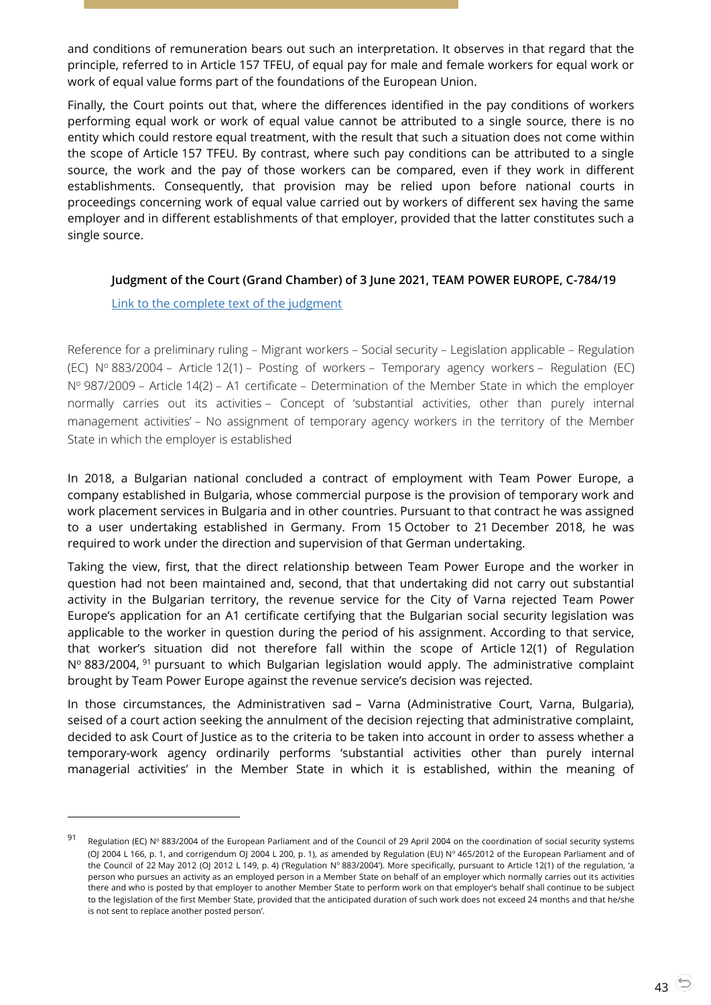and conditions of remuneration bears out such an interpretation. It observes in that regard that the principle, referred to in Article 157 TFEU, of equal pay for male and female workers for equal work or work of equal value forms part of the foundations of the European Union.

Finally, the Court points out that, where the differences identified in the pay conditions of workers performing equal work or work of equal value cannot be attributed to a single source, there is no entity which could restore equal treatment, with the result that such a situation does not come within the scope of Article 157 TFEU. By contrast, where such pay conditions can be attributed to a single source, the work and the pay of those workers can be compared, even if they work in different establishments. Consequently, that provision may be relied upon before national courts in proceedings concerning work of equal value carried out by workers of different sex having the same employer and in different establishments of that employer, provided that the latter constitutes such a single source.

## <span id="page-42-0"></span>**Judgment of the Court (Grand Chamber) of 3 June 2021, TEAM POWER EUROPE, C-784/19**

[Link to the complete text](https://curia.europa.eu/juris/document/document.jsf?text=&docid=242031&pageIndex=0&doclang=en&mode=lst&dir=&occ=first&part=1&cid=4099857) of the judgment

 $\overline{a}$ 

Reference for a preliminary ruling – Migrant workers – Social security – Legislation applicable – Regulation (EC) N<sup>o</sup> 883/2004 – Article 12(1) – Posting of workers – Temporary agency workers – Regulation (EC) Nº 987/2009 – Article 14(2) – A1 certificate – Determination of the Member State in which the employer normally carries out its activities – Concept of 'substantial activities, other than purely internal management activities' – No assignment of temporary agency workers in the territory of the Member State in which the employer is established

In 2018, a Bulgarian national concluded a contract of employment with Team Power Europe, a company established in Bulgaria, whose commercial purpose is the provision of temporary work and work placement services in Bulgaria and in other countries. Pursuant to that contract he was assigned to a user undertaking established in Germany. From 15 October to 21 December 2018, he was required to work under the direction and supervision of that German undertaking.

Taking the view, first, that the direct relationship between Team Power Europe and the worker in question had not been maintained and, second, that that undertaking did not carry out substantial activity in the Bulgarian territory, the revenue service for the City of Varna rejected Team Power Europe's application for an A1 certificate certifying that the Bulgarian social security legislation was applicable to the worker in question during the period of his assignment. According to that service, that worker's situation did not therefore fall within the scope of Article 12(1) of Regulation Nº 883/2004, <sup>91</sup> pursuant to which Bulgarian legislation would apply. The administrative complaint brought by Team Power Europe against the revenue service's decision was rejected.

In those circumstances, the Administrativen sad – Varna (Administrative Court, Varna, Bulgaria), seised of a court action seeking the annulment of the decision rejecting that administrative complaint, decided to ask Court of Justice as to the criteria to be taken into account in order to assess whether a temporary-work agency ordinarily performs 'substantial activities other than purely internal managerial activities' in the Member State in which it is established, within the meaning of

<sup>91</sup> Regulation (EC) Nº 883/2004 of the European Parliament and of the Council of 29 April 2004 on the coordination of social security systems (OJ 2004 L 166, p. 1, and corrigendum OJ 2004 L 200, p. 1), as amended by Regulation (EU) Nº 465/2012 of the European Parliament and of the Council of 22 May 2012 (OJ 2012 L 149, p. 4) ('Regulation N° 883/2004'). More specifically, pursuant to Article 12(1) of the regulation, 'a person who pursues an activity as an employed person in a Member State on behalf of an employer which normally carries out its activities there and who is posted by that employer to another Member State to perform work on that employer's behalf shall continue to be subject to the legislation of the first Member State, provided that the anticipated duration of such work does not exceed 24 months and that he/she is not sent to replace another posted person'.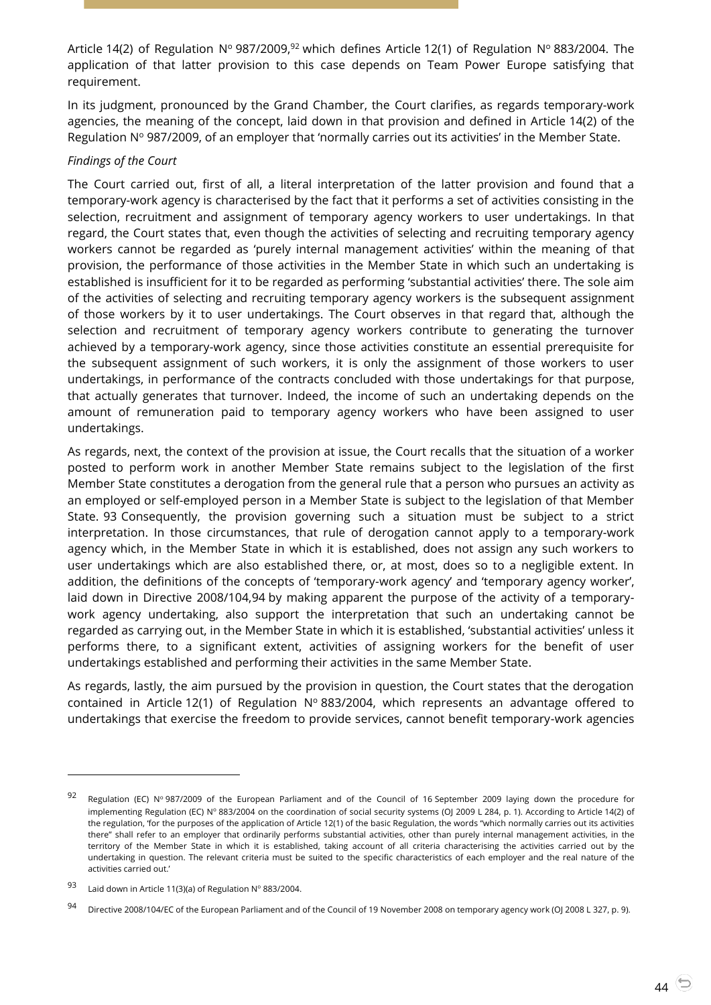Article 14(2) of Regulation Nº 987/2009,<sup>92</sup> which defines Article 12(1) of Regulation Nº 883/2004. The application of that latter provision to this case depends on Team Power Europe satisfying that requirement.

In its judgment, pronounced by the Grand Chamber, the Court clarifies, as regards temporary-work agencies, the meaning of the concept, laid down in that provision and defined in Article 14(2) of the Regulation  $N^{\circ}$  987/2009, of an employer that 'normally carries out its activities' in the Member State.

## *Findings of the Court*

The Court carried out, first of all, a literal interpretation of the latter provision and found that a temporary-work agency is characterised by the fact that it performs a set of activities consisting in the selection, recruitment and assignment of temporary agency workers to user undertakings. In that regard, the Court states that, even though the activities of selecting and recruiting temporary agency workers cannot be regarded as 'purely internal management activities' within the meaning of that provision, the performance of those activities in the Member State in which such an undertaking is established is insufficient for it to be regarded as performing 'substantial activities' there. The sole aim of the activities of selecting and recruiting temporary agency workers is the subsequent assignment of those workers by it to user undertakings. The Court observes in that regard that, although the selection and recruitment of temporary agency workers contribute to generating the turnover achieved by a temporary-work agency, since those activities constitute an essential prerequisite for the subsequent assignment of such workers, it is only the assignment of those workers to user undertakings, in performance of the contracts concluded with those undertakings for that purpose, that actually generates that turnover. Indeed, the income of such an undertaking depends on the amount of remuneration paid to temporary agency workers who have been assigned to user undertakings.

As regards, next, the context of the provision at issue, the Court recalls that the situation of a worker posted to perform work in another Member State remains subject to the legislation of the first Member State constitutes a derogation from the general rule that a person who pursues an activity as an employed or self-employed person in a Member State is subject to the legislation of that Member State. 93 Consequently, the provision governing such a situation must be subject to a strict interpretation. In those circumstances, that rule of derogation cannot apply to a temporary-work agency which, in the Member State in which it is established, does not assign any such workers to user undertakings which are also established there, or, at most, does so to a negligible extent. In addition, the definitions of the concepts of 'temporary-work agency' and 'temporary agency worker', laid down in Directive 2008/104,94 by making apparent the purpose of the activity of a temporarywork agency undertaking, also support the interpretation that such an undertaking cannot be regarded as carrying out, in the Member State in which it is established, 'substantial activities' unless it performs there, to a significant extent, activities of assigning workers for the benefit of user undertakings established and performing their activities in the same Member State.

As regards, lastly, the aim pursued by the provision in question, the Court states that the derogation contained in Article 12(1) of Regulation  $N^{\circ}$  883/2004, which represents an advantage offered to undertakings that exercise the freedom to provide services, cannot benefit temporary-work agencies

<sup>92</sup> Regulation (EC) N° 987/2009 of the European Parliament and of the Council of 16 September 2009 laying down the procedure for implementing Regulation (EC) N° 883/2004 on the coordination of social security systems (OJ 2009 L 284, p. 1). According to Article 14(2) of the regulation, 'for the purposes of the application of Article 12(1) of the basic Regulation, the words "which normally carries out its activities there" shall refer to an employer that ordinarily performs substantial activities, other than purely internal management activities, in the territory of the Member State in which it is established, taking account of all criteria characterising the activities carried out by the undertaking in question. The relevant criteria must be suited to the specific characteristics of each employer and the real nature of the activities carried out.'

<sup>93</sup> Laid down in Article 11(3)(a) of Regulation  $N^{\circ}$  883/2004.

<sup>94</sup> Directive 2008/104/EC of the European Parliament and of the Council of 19 November 2008 on temporary agency work (OJ 2008 L 327, p. 9).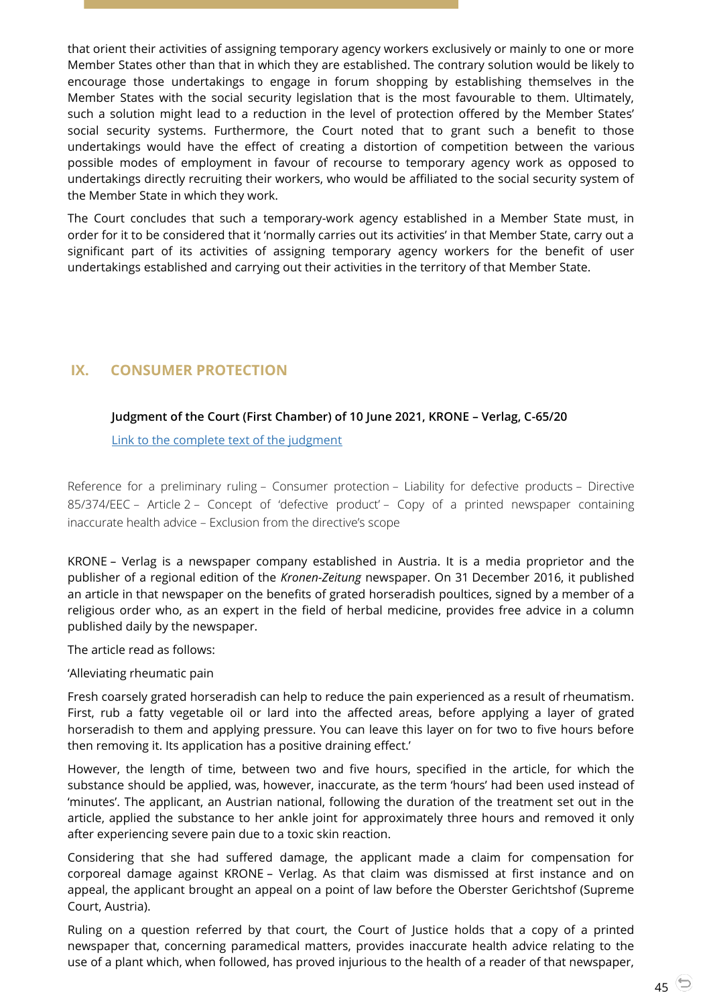that orient their activities of assigning temporary agency workers exclusively or mainly to one or more Member States other than that in which they are established. The contrary solution would be likely to encourage those undertakings to engage in forum shopping by establishing themselves in the Member States with the social security legislation that is the most favourable to them. Ultimately, such a solution might lead to a reduction in the level of protection offered by the Member States' social security systems. Furthermore, the Court noted that to grant such a benefit to those undertakings would have the effect of creating a distortion of competition between the various possible modes of employment in favour of recourse to temporary agency work as opposed to undertakings directly recruiting their workers, who would be affiliated to the social security system of the Member State in which they work.

The Court concludes that such a temporary-work agency established in a Member State must, in order for it to be considered that it 'normally carries out its activities' in that Member State, carry out a significant part of its activities of assigning temporary agency workers for the benefit of user undertakings established and carrying out their activities in the territory of that Member State.

# <span id="page-44-1"></span><span id="page-44-0"></span>**IX. CONSUMER PROTECTION**

## **Judgment of the Court (First Chamber) of 10 June 2021, KRONE – Verlag, C-65/20**

[Link to the complete text of the judgment](https://curia.europa.eu/juris/document/document.jsf?text=&docid=242561&pageIndex=0&doclang=en&mode=lst&dir=&occ=first&part=1&cid=4099857)

Reference for a preliminary ruling – Consumer protection – Liability for defective products – Directive 85/374/EEC – Article 2 – Concept of 'defective product' – Copy of a printed newspaper containing inaccurate health advice – Exclusion from the directive's scope

KRONE – Verlag is a newspaper company established in Austria. It is a media proprietor and the publisher of a regional edition of the *Kronen-Zeitung* newspaper. On 31 December 2016, it published an article in that newspaper on the benefits of grated horseradish poultices, signed by a member of a religious order who, as an expert in the field of herbal medicine, provides free advice in a column published daily by the newspaper.

The article read as follows:

'Alleviating rheumatic pain

Fresh coarsely grated horseradish can help to reduce the pain experienced as a result of rheumatism. First, rub a fatty vegetable oil or lard into the affected areas, before applying a layer of grated horseradish to them and applying pressure. You can leave this layer on for two to five hours before then removing it. Its application has a positive draining effect.'

However, the length of time, between two and five hours, specified in the article, for which the substance should be applied, was, however, inaccurate, as the term 'hours' had been used instead of 'minutes'. The applicant, an Austrian national, following the duration of the treatment set out in the article, applied the substance to her ankle joint for approximately three hours and removed it only after experiencing severe pain due to a toxic skin reaction.

Considering that she had suffered damage, the applicant made a claim for compensation for corporeal damage against KRONE – Verlag. As that claim was dismissed at first instance and on appeal, the applicant brought an appeal on a point of law before the Oberster Gerichtshof (Supreme Court, Austria).

Ruling on a question referred by that court, the Court of Justice holds that a copy of a printed newspaper that, concerning paramedical matters, provides inaccurate health advice relating to the use of a plant which, when followed, has proved injurious to the health of a reader of that newspaper,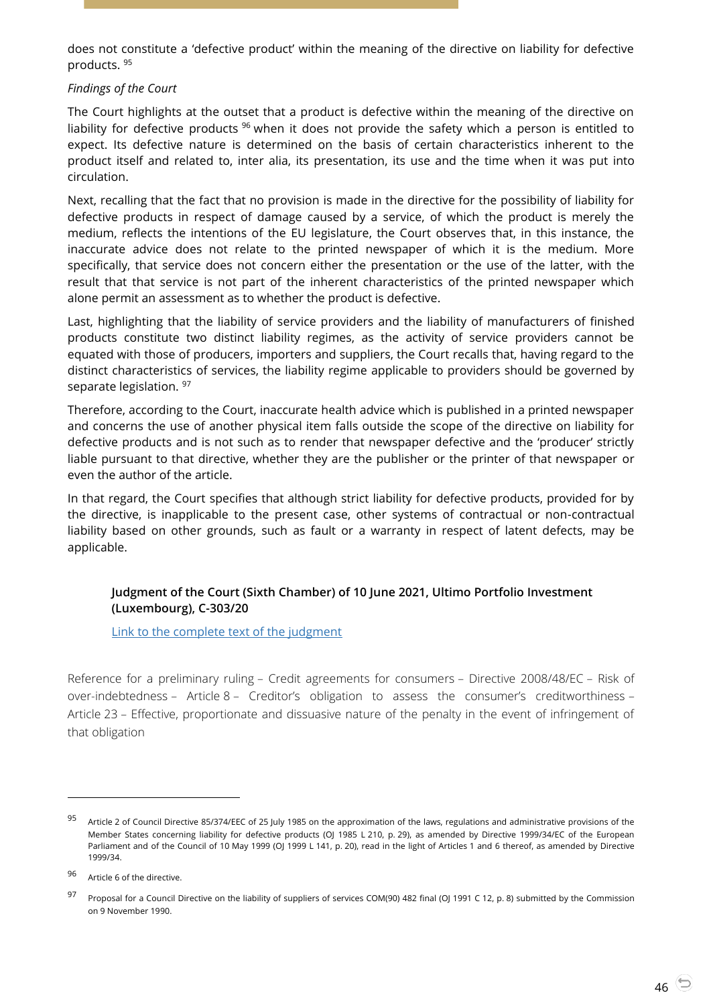does not constitute a 'defective product' within the meaning of the directive on liability for defective products. <sup>95</sup>

## *Findings of the Court*

The Court highlights at the outset that a product is defective within the meaning of the directive on liability for defective products <sup>96</sup> when it does not provide the safety which a person is entitled to expect. Its defective nature is determined on the basis of certain characteristics inherent to the product itself and related to, inter alia, its presentation, its use and the time when it was put into circulation.

Next, recalling that the fact that no provision is made in the directive for the possibility of liability for defective products in respect of damage caused by a service, of which the product is merely the medium, reflects the intentions of the EU legislature, the Court observes that, in this instance, the inaccurate advice does not relate to the printed newspaper of which it is the medium. More specifically, that service does not concern either the presentation or the use of the latter, with the result that that service is not part of the inherent characteristics of the printed newspaper which alone permit an assessment as to whether the product is defective.

Last, highlighting that the liability of service providers and the liability of manufacturers of finished products constitute two distinct liability regimes, as the activity of service providers cannot be equated with those of producers, importers and suppliers, the Court recalls that, having regard to the distinct characteristics of services, the liability regime applicable to providers should be governed by separate legislation. 97

Therefore, according to the Court, inaccurate health advice which is published in a printed newspaper and concerns the use of another physical item falls outside the scope of the directive on liability for defective products and is not such as to render that newspaper defective and the 'producer' strictly liable pursuant to that directive, whether they are the publisher or the printer of that newspaper or even the author of the article.

In that regard, the Court specifies that although strict liability for defective products, provided for by the directive, is inapplicable to the present case, other systems of contractual or non-contractual liability based on other grounds, such as fault or a warranty in respect of latent defects, may be applicable.

## <span id="page-45-0"></span>**Judgment of the Court (Sixth Chamber) of 10 June 2021, Ultimo Portfolio Investment (Luxembourg), C-303/20**

[Link to the complete text of the judgment](https://curia.europa.eu/juris/document/document.jsf?text=&docid=242562&pageIndex=0&doclang=en&mode=lst&dir=&occ=first&part=1&cid=4104379)

Reference for a preliminary ruling – Credit agreements for consumers – Directive 2008/48/EC – Risk of over-indebtedness – Article 8 – Creditor's obligation to assess the consumer's creditworthiness – Article 23 – Effective, proportionate and dissuasive nature of the penalty in the event of infringement of that obligation

<sup>95</sup> Article 2 of Council Directive 85/374/EEC of 25 July 1985 on the approximation of the laws, regulations and administrative provisions of the Member States concerning liability for defective products (OJ 1985 L 210, p. 29), as amended by Directive 1999/34/EC of the European Parliament and of the Council of 10 May 1999 (OJ 1999 L 141, p. 20), read in the light of Articles 1 and 6 thereof, as amended by Directive 1999/34.

<sup>96</sup> Article 6 of the directive.

<sup>&</sup>lt;sup>97</sup> Proposal for a Council Directive on the liability of suppliers of services COM(90) 482 final (OI 1991 C 12, p. 8) submitted by the Commission on 9 November 1990.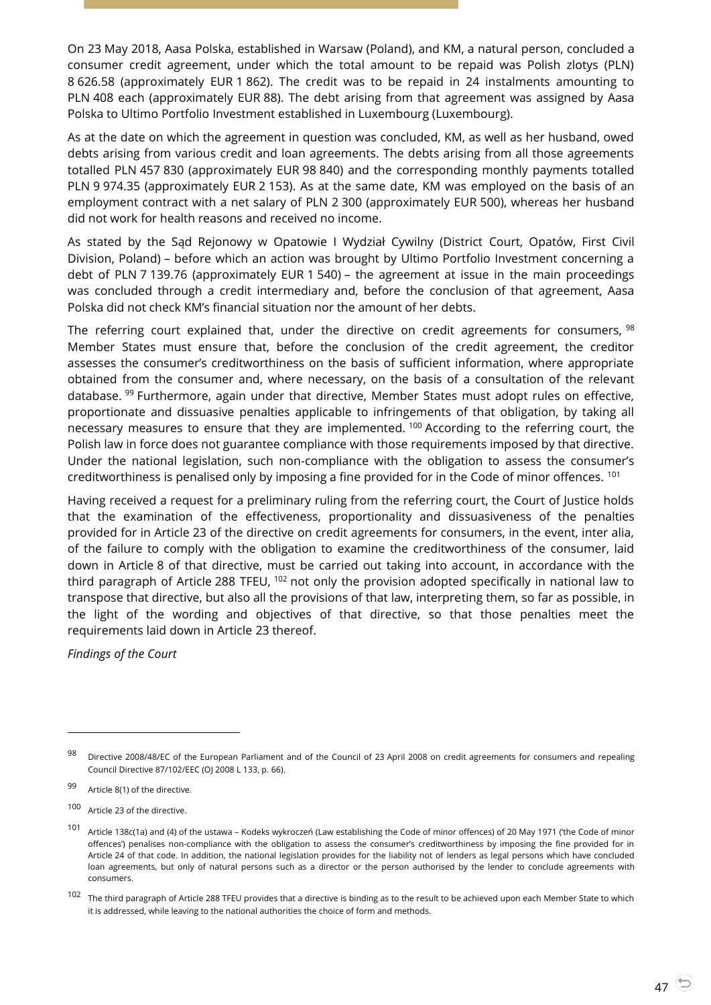On 23 May 2018, Aasa Polska, established in Warsaw (Poland), and KM, a natural person, concluded a consumer credit agreement, under which the total amount to be repaid was Polish zlotys (PLN) 8 626.58 (approximately EUR 1 862). The credit was to be repaid in 24 instalments amounting to PLN 408 each (approximately EUR 88). The debt arising from that agreement was assigned by Aasa Polska to Ultimo Portfolio Investment established in Luxembourg (Luxembourg).

As at the date on which the agreement in question was concluded, KM, as well as her husband, owed debts arising from various credit and loan agreements. The debts arising from all those agreements totalled PLN 457 830 (approximately EUR 98 840) and the corresponding monthly payments totalled PLN 9 974.35 (approximately EUR 2 153). As at the same date, KM was employed on the basis of an employment contract with a net salary of PLN 2 300 (approximately EUR 500), whereas her husband did not work for health reasons and received no income.

As stated by the Sąd Rejonowy w Opatowie I Wydział Cywilny (District Court, Opatów, First Civil Division, Poland) – before which an action was brought by Ultimo Portfolio Investment concerning a debt of PLN 7 139.76 (approximately EUR 1 540) – the agreement at issue in the main proceedings was concluded through a credit intermediary and, before the conclusion of that agreement, Aasa Polska did not check KM's financial situation nor the amount of her debts.

The referring court explained that, under the directive on credit agreements for consumers,  $98$ Member States must ensure that, before the conclusion of the credit agreement, the creditor assesses the consumer's creditworthiness on the basis of sufficient information, where appropriate obtained from the consumer and, where necessary, on the basis of a consultation of the relevant database. <sup>99</sup> Furthermore, again under that directive, Member States must adopt rules on effective, proportionate and dissuasive penalties applicable to infringements of that obligation, by taking all necessary measures to ensure that they are implemented.  $100$  According to the referring court, the Polish law in force does not guarantee compliance with those requirements imposed by that directive. Under the national legislation, such non-compliance with the obligation to assess the consumer's creditworthiness is penalised only by imposing a fine provided for in the Code of minor offences. <sup>101</sup>

Having received a request for a preliminary ruling from the referring court, the Court of Justice holds that the examination of the effectiveness, proportionality and dissuasiveness of the penalties provided for in Article 23 of the directive on credit agreements for consumers, in the event, inter alia, of the failure to comply with the obligation to examine the creditworthiness of the consumer, laid down in Article 8 of that directive, must be carried out taking into account, in accordance with the third paragraph of Article 288 TFEU, <sup>102</sup> not only the provision adopted specifically in national law to transpose that directive, but also all the provisions of that law, interpreting them, so far as possible, in the light of the wording and objectives of that directive, so that those penalties meet the requirements laid down in Article 23 thereof.

*Findings of the Court*

Directive 2008/48/EC of the European Parliament and of the Council of 23 April 2008 on credit agreements for consumers and repealing Council Directive 87/102/EEC (OJ 2008 L 133, p. 66).

<sup>99</sup> Article 8(1) of the directive.

<sup>100</sup> Article 23 of the directive.

<sup>101</sup> Article 138c(1a) and (4) of the ustawa – Kodeks wykroczeń (Law establishing the Code of minor offences) of 20 May 1971 ('the Code of minor offences') penalises non-compliance with the obligation to assess the consumer's creditworthiness by imposing the fine provided for in Article 24 of that code. In addition, the national legislation provides for the liability not of lenders as legal persons which have concluded loan agreements, but only of natural persons such as a director or the person authorised by the lender to conclude agreements with consumers.

<sup>&</sup>lt;sup>102</sup> The third paragraph of Article 288 TFEU provides that a directive is binding as to the result to be achieved upon each Member State to which it is addressed, while leaving to the national authorities the choice of form and methods.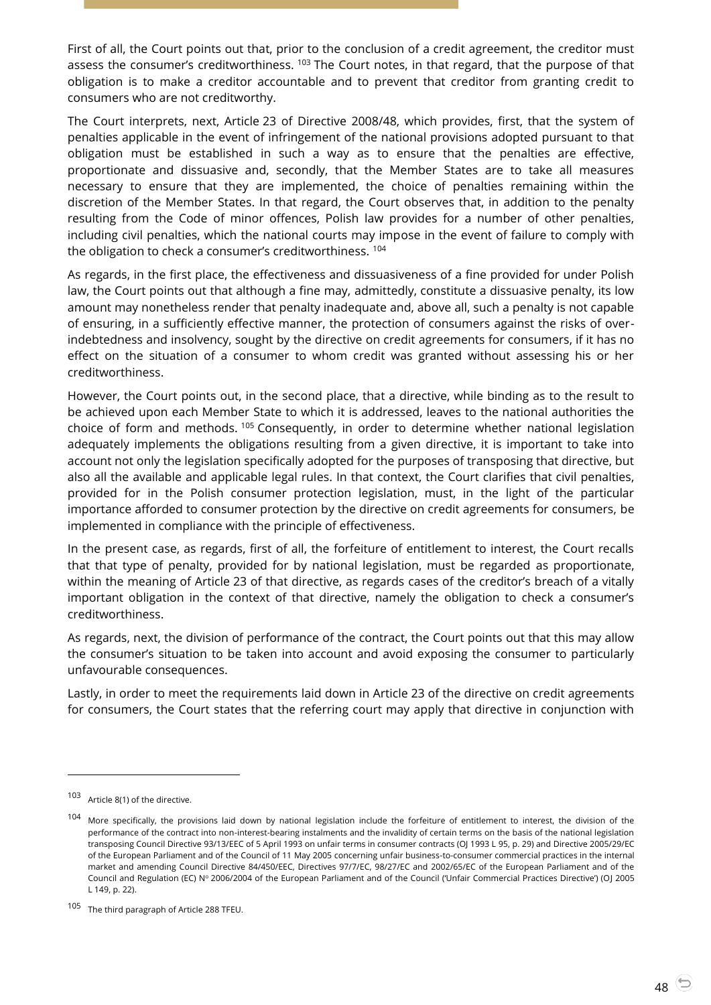First of all, the Court points out that, prior to the conclusion of a credit agreement, the creditor must assess the consumer's creditworthiness. <sup>103</sup> The Court notes, in that regard, that the purpose of that obligation is to make a creditor accountable and to prevent that creditor from granting credit to consumers who are not creditworthy.

The Court interprets, next, Article 23 of Directive 2008/48, which provides, first, that the system of penalties applicable in the event of infringement of the national provisions adopted pursuant to that obligation must be established in such a way as to ensure that the penalties are effective, proportionate and dissuasive and, secondly, that the Member States are to take all measures necessary to ensure that they are implemented, the choice of penalties remaining within the discretion of the Member States. In that regard, the Court observes that, in addition to the penalty resulting from the Code of minor offences, Polish law provides for a number of other penalties, including civil penalties, which the national courts may impose in the event of failure to comply with the obligation to check a consumer's creditworthiness. <sup>104</sup>

As regards, in the first place, the effectiveness and dissuasiveness of a fine provided for under Polish law, the Court points out that although a fine may, admittedly, constitute a dissuasive penalty, its low amount may nonetheless render that penalty inadequate and, above all, such a penalty is not capable of ensuring, in a sufficiently effective manner, the protection of consumers against the risks of overindebtedness and insolvency, sought by the directive on credit agreements for consumers, if it has no effect on the situation of a consumer to whom credit was granted without assessing his or her creditworthiness.

However, the Court points out, in the second place, that a directive, while binding as to the result to be achieved upon each Member State to which it is addressed, leaves to the national authorities the choice of form and methods. <sup>105</sup> Consequently, in order to determine whether national legislation adequately implements the obligations resulting from a given directive, it is important to take into account not only the legislation specifically adopted for the purposes of transposing that directive, but also all the available and applicable legal rules. In that context, the Court clarifies that civil penalties, provided for in the Polish consumer protection legislation, must, in the light of the particular importance afforded to consumer protection by the directive on credit agreements for consumers, be implemented in compliance with the principle of effectiveness.

In the present case, as regards, first of all, the forfeiture of entitlement to interest, the Court recalls that that type of penalty, provided for by national legislation, must be regarded as proportionate, within the meaning of Article 23 of that directive, as regards cases of the creditor's breach of a vitally important obligation in the context of that directive, namely the obligation to check a consumer's creditworthiness.

As regards, next, the division of performance of the contract, the Court points out that this may allow the consumer's situation to be taken into account and avoid exposing the consumer to particularly unfavourable consequences.

Lastly, in order to meet the requirements laid down in Article 23 of the directive on credit agreements for consumers, the Court states that the referring court may apply that directive in conjunction with

<sup>103</sup> Article 8(1) of the directive.

<sup>104</sup> More specifically, the provisions laid down by national legislation include the forfeiture of entitlement to interest, the division of the performance of the contract into non-interest-bearing instalments and the invalidity of certain terms on the basis of the national legislation transposing Council Directive 93/13/EEC of 5 April 1993 on unfair terms in consumer contracts (OJ 1993 L 95, p. 29) and Directive 2005/29/EC of the European Parliament and of the Council of 11 May 2005 concerning unfair business-to-consumer commercial practices in the internal market and amending Council Directive 84/450/EEC, Directives 97/7/EC, 98/27/EC and 2002/65/EC of the European Parliament and of the Council and Regulation (EC) Nº 2006/2004 of the European Parliament and of the Council ('Unfair Commercial Practices Directive') (OJ 2005 L 149, p. 22).

<sup>105</sup> The third paragraph of Article 288 TFEU.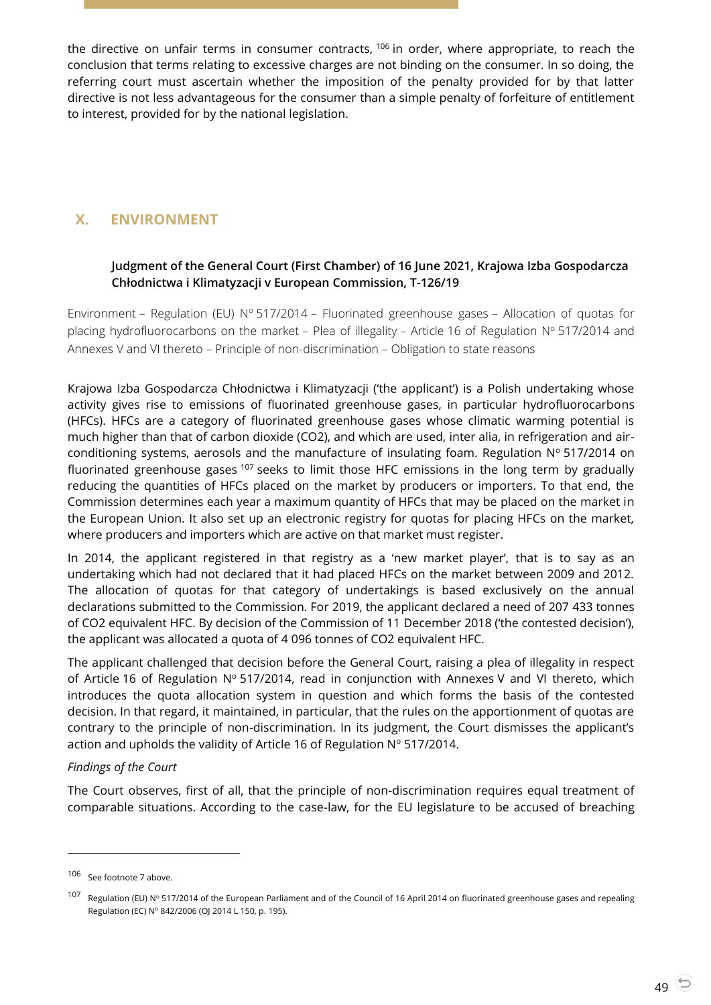the directive on unfair terms in consumer contracts, <sup>106</sup> in order, where appropriate, to reach the conclusion that terms relating to excessive charges are not binding on the consumer. In so doing, the referring court must ascertain whether the imposition of the penalty provided for by that latter directive is not less advantageous for the consumer than a simple penalty of forfeiture of entitlement to interest, provided for by the national legislation.

# <span id="page-48-1"></span><span id="page-48-0"></span>**X. ENVIRONMENT**

## **Judgment of the General Court (First Chamber) of 16 June 2021, Krajowa Izba Gospodarcza Chłodnictwa i Klimatyzacji v European Commission, T-126/19**

Environment – Regulation (EU)  $N^{\circ}$  517/2014 – Fluorinated greenhouse gases – Allocation of quotas for placing hydrofluorocarbons on the market – Plea of illegality – Article 16 of Regulation Nº 517/2014 and Annexes V and VI thereto – Principle of non-discrimination – Obligation to state reasons

Krajowa Izba Gospodarcza Chłodnictwa i Klimatyzacji ('the applicant') is a Polish undertaking whose activity gives rise to emissions of fluorinated greenhouse gases, in particular hydrofluorocarbons (HFCs). HFCs are a category of fluorinated greenhouse gases whose climatic warming potential is much higher than that of carbon dioxide (CO2), and which are used, inter alia, in refrigeration and airconditioning systems, aerosols and the manufacture of insulating foam. Regulation  $N^{\circ}$  517/2014 on fluorinated greenhouse gases <sup>107</sup> seeks to limit those HFC emissions in the long term by gradually reducing the quantities of HFCs placed on the market by producers or importers. To that end, the Commission determines each year a maximum quantity of HFCs that may be placed on the market in the European Union. It also set up an electronic registry for quotas for placing HFCs on the market, where producers and importers which are active on that market must register.

In 2014, the applicant registered in that registry as a 'new market player', that is to say as an undertaking which had not declared that it had placed HFCs on the market between 2009 and 2012. The allocation of quotas for that category of undertakings is based exclusively on the annual declarations submitted to the Commission. For 2019, the applicant declared a need of 207 433 tonnes of CO2 equivalent HFC. By decision of the Commission of 11 December 2018 ('the contested decision'), the applicant was allocated a quota of 4 096 tonnes of CO2 equivalent HFC.

The applicant challenged that decision before the General Court, raising a plea of illegality in respect of Article 16 of Regulation  $N^{\circ}$  517/2014, read in conjunction with Annexes V and VI thereto, which introduces the quota allocation system in question and which forms the basis of the contested decision. In that regard, it maintained, in particular, that the rules on the apportionment of quotas are contrary to the principle of non-discrimination. In its judgment, the Court dismisses the applicant's action and upholds the validity of Article 16 of Regulation  $N^{\circ}$  517/2014.

## *Findings of the Court*

The Court observes, first of all, that the principle of non-discrimination requires equal treatment of comparable situations. According to the case-law, for the EU legislature to be accused of breaching

<sup>106</sup> See footnote 7 above.

<sup>107</sup> Regulation (EU) Nº 517/2014 of the European Parliament and of the Council of 16 April 2014 on fluorinated greenhouse gases and repealing Regulation (EC) Nº 842/2006 (OJ 2014 L 150, p. 195).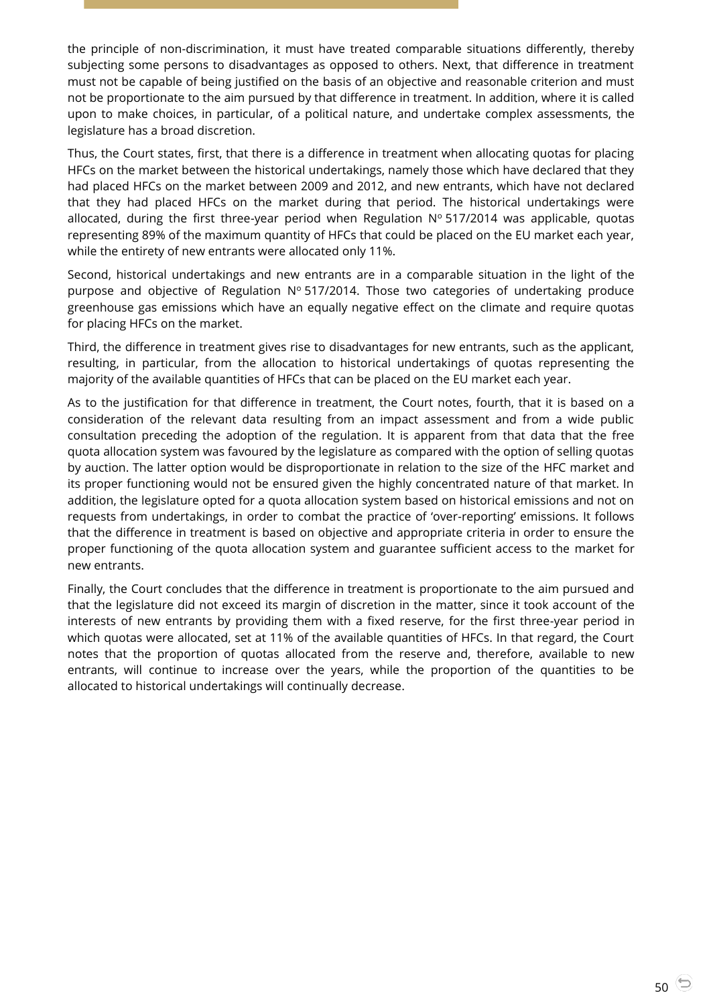the principle of non-discrimination, it must have treated comparable situations differently, thereby subjecting some persons to disadvantages as opposed to others. Next, that difference in treatment must not be capable of being justified on the basis of an objective and reasonable criterion and must not be proportionate to the aim pursued by that difference in treatment. In addition, where it is called upon to make choices, in particular, of a political nature, and undertake complex assessments, the legislature has a broad discretion.

Thus, the Court states, first, that there is a difference in treatment when allocating quotas for placing HFCs on the market between the historical undertakings, namely those which have declared that they had placed HFCs on the market between 2009 and 2012, and new entrants, which have not declared that they had placed HFCs on the market during that period. The historical undertakings were allocated, during the first three-year period when Regulation  $N^{\circ}$  517/2014 was applicable, quotas representing 89% of the maximum quantity of HFCs that could be placed on the EU market each year, while the entirety of new entrants were allocated only 11%.

Second, historical undertakings and new entrants are in a comparable situation in the light of the purpose and objective of Regulation  $N^{\circ}$  517/2014. Those two categories of undertaking produce greenhouse gas emissions which have an equally negative effect on the climate and require quotas for placing HFCs on the market.

Third, the difference in treatment gives rise to disadvantages for new entrants, such as the applicant, resulting, in particular, from the allocation to historical undertakings of quotas representing the majority of the available quantities of HFCs that can be placed on the EU market each year.

As to the justification for that difference in treatment, the Court notes, fourth, that it is based on a consideration of the relevant data resulting from an impact assessment and from a wide public consultation preceding the adoption of the regulation. It is apparent from that data that the free quota allocation system was favoured by the legislature as compared with the option of selling quotas by auction. The latter option would be disproportionate in relation to the size of the HFC market and its proper functioning would not be ensured given the highly concentrated nature of that market. In addition, the legislature opted for a quota allocation system based on historical emissions and not on requests from undertakings, in order to combat the practice of 'over-reporting' emissions. It follows that the difference in treatment is based on objective and appropriate criteria in order to ensure the proper functioning of the quota allocation system and guarantee sufficient access to the market for new entrants.

Finally, the Court concludes that the difference in treatment is proportionate to the aim pursued and that the legislature did not exceed its margin of discretion in the matter, since it took account of the interests of new entrants by providing them with a fixed reserve, for the first three-year period in which quotas were allocated, set at 11% of the available quantities of HFCs. In that regard, the Court notes that the proportion of quotas allocated from the reserve and, therefore, available to new entrants, will continue to increase over the years, while the proportion of the quantities to be allocated to historical undertakings will continually decrease.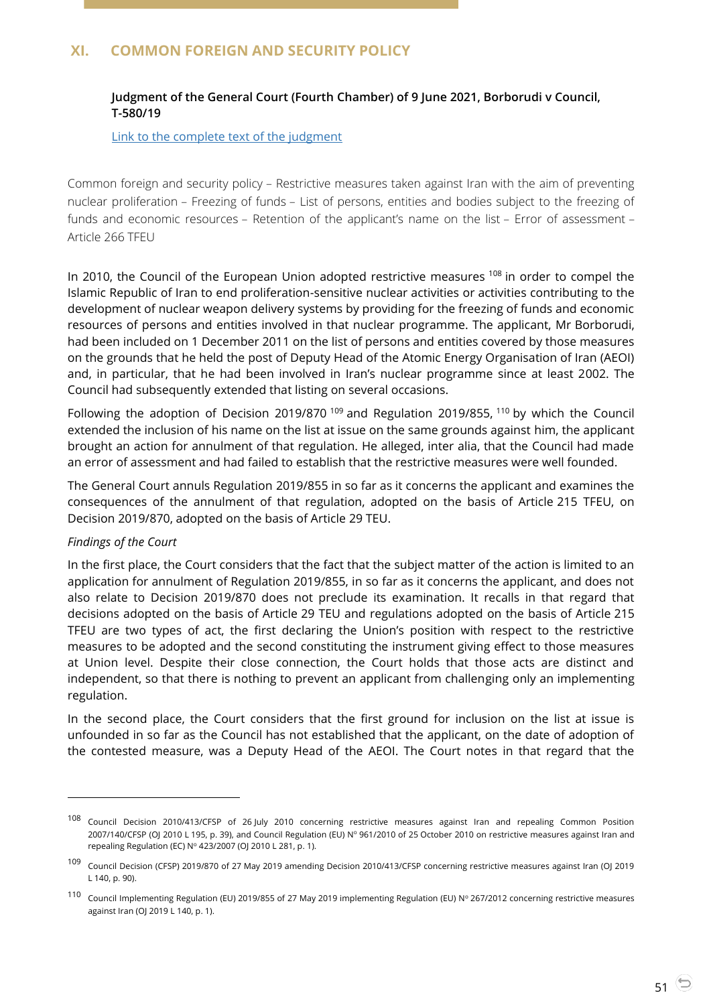# <span id="page-50-1"></span><span id="page-50-0"></span>**XI. COMMON FOREIGN AND SECURITY POLICY**

## **Judgment of the General Court (Fourth Chamber) of 9 June 2021, Borborudi v Council, T-580/19**

#### [Link to the complete text](https://curia.europa.eu/juris/document/document.jsf?text=&docid=242421&pageIndex=0&doclang=en&mode=lst&dir=&occ=first&part=1&cid=4109206) of the judgment

Common foreign and security policy – Restrictive measures taken against Iran with the aim of preventing nuclear proliferation – Freezing of funds – List of persons, entities and bodies subject to the freezing of funds and economic resources – Retention of the applicant's name on the list – Error of assessment – Article 266 TFEU

In 2010, the Council of the European Union adopted restrictive measures <sup>108</sup> in order to compel the Islamic Republic of Iran to end proliferation-sensitive nuclear activities or activities contributing to the development of nuclear weapon delivery systems by providing for the freezing of funds and economic resources of persons and entities involved in that nuclear programme. The applicant, Mr Borborudi, had been included on 1 December 2011 on the list of persons and entities covered by those measures on the grounds that he held the post of Deputy Head of the Atomic Energy Organisation of Iran (AEOI) and, in particular, that he had been involved in Iran's nuclear programme since at least 2002. The Council had subsequently extended that listing on several occasions.

Following the adoption of Decision 2019/870<sup>109</sup> and Regulation 2019/855, <sup>110</sup> by which the Council extended the inclusion of his name on the list at issue on the same grounds against him, the applicant brought an action for annulment of that regulation. He alleged, inter alia, that the Council had made an error of assessment and had failed to establish that the restrictive measures were well founded.

The General Court annuls Regulation 2019/855 in so far as it concerns the applicant and examines the consequences of the annulment of that regulation, adopted on the basis of Article 215 TFEU, on Decision 2019/870, adopted on the basis of Article 29 TEU.

#### *Findings of the Court*

 $\overline{a}$ 

In the first place, the Court considers that the fact that the subject matter of the action is limited to an application for annulment of Regulation 2019/855, in so far as it concerns the applicant, and does not also relate to Decision 2019/870 does not preclude its examination. It recalls in that regard that decisions adopted on the basis of Article 29 TEU and regulations adopted on the basis of Article 215 TFEU are two types of act, the first declaring the Union's position with respect to the restrictive measures to be adopted and the second constituting the instrument giving effect to those measures at Union level. Despite their close connection, the Court holds that those acts are distinct and independent, so that there is nothing to prevent an applicant from challenging only an implementing regulation.

In the second place, the Court considers that the first ground for inclusion on the list at issue is unfounded in so far as the Council has not established that the applicant, on the date of adoption of the contested measure, was a Deputy Head of the AEOI. The Court notes in that regard that the

<sup>108</sup> Council Decision 2010/413/CFSP of 26 July 2010 concerning restrictive measures against Iran and repealing Common Position 2007/140/CFSP (OJ 2010 L 195, p. 39), and Council Regulation (EU) Nº 961/2010 of 25 October 2010 on restrictive measures against Iran and repealing Regulation (EC) Nº 423/2007 (OJ 2010 L 281, p. 1).

<sup>109</sup> Council Decision (CFSP) 2019/870 of 27 May 2019 amending Decision 2010/413/CFSP concerning restrictive measures against Iran (OJ 2019 L 140, p. 90).

 $110$  Council Implementing Regulation (EU) 2019/855 of 27 May 2019 implementing Regulation (EU) Nº 267/2012 concerning restrictive measures against Iran (OJ 2019 L 140, p. 1).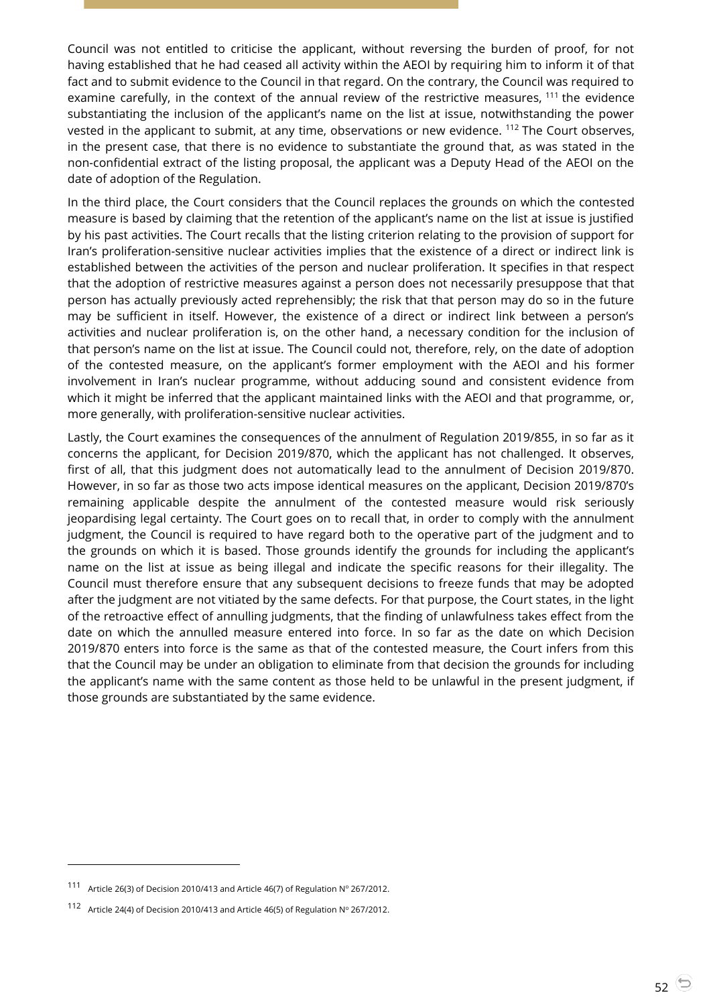Council was not entitled to criticise the applicant, without reversing the burden of proof, for not having established that he had ceased all activity within the AEOI by requiring him to inform it of that fact and to submit evidence to the Council in that regard. On the contrary, the Council was required to examine carefully, in the context of the annual review of the restrictive measures, <sup>111</sup> the evidence substantiating the inclusion of the applicant's name on the list at issue, notwithstanding the power vested in the applicant to submit, at any time, observations or new evidence. <sup>112</sup> The Court observes, in the present case, that there is no evidence to substantiate the ground that, as was stated in the non-confidential extract of the listing proposal, the applicant was a Deputy Head of the AEOI on the date of adoption of the Regulation.

In the third place, the Court considers that the Council replaces the grounds on which the contested measure is based by claiming that the retention of the applicant's name on the list at issue is justified by his past activities. The Court recalls that the listing criterion relating to the provision of support for Iran's proliferation-sensitive nuclear activities implies that the existence of a direct or indirect link is established between the activities of the person and nuclear proliferation. It specifies in that respect that the adoption of restrictive measures against a person does not necessarily presuppose that that person has actually previously acted reprehensibly; the risk that that person may do so in the future may be sufficient in itself. However, the existence of a direct or indirect link between a person's activities and nuclear proliferation is, on the other hand, a necessary condition for the inclusion of that person's name on the list at issue. The Council could not, therefore, rely, on the date of adoption of the contested measure, on the applicant's former employment with the AEOI and his former involvement in Iran's nuclear programme, without adducing sound and consistent evidence from which it might be inferred that the applicant maintained links with the AEOI and that programme, or, more generally, with proliferation-sensitive nuclear activities.

Lastly, the Court examines the consequences of the annulment of Regulation 2019/855, in so far as it concerns the applicant, for Decision 2019/870, which the applicant has not challenged. It observes, first of all, that this judgment does not automatically lead to the annulment of Decision 2019/870. However, in so far as those two acts impose identical measures on the applicant, Decision 2019/870's remaining applicable despite the annulment of the contested measure would risk seriously jeopardising legal certainty. The Court goes on to recall that, in order to comply with the annulment judgment, the Council is required to have regard both to the operative part of the judgment and to the grounds on which it is based. Those grounds identify the grounds for including the applicant's name on the list at issue as being illegal and indicate the specific reasons for their illegality. The Council must therefore ensure that any subsequent decisions to freeze funds that may be adopted after the judgment are not vitiated by the same defects. For that purpose, the Court states, in the light of the retroactive effect of annulling judgments, that the finding of unlawfulness takes effect from the date on which the annulled measure entered into force. In so far as the date on which Decision 2019/870 enters into force is the same as that of the contested measure, the Court infers from this that the Council may be under an obligation to eliminate from that decision the grounds for including the applicant's name with the same content as those held to be unlawful in the present judgment, if those grounds are substantiated by the same evidence.

<sup>111</sup> Article 26(3) of Decision 2010/413 and Article 46(7) of Regulation  $N^{\circ}$  267/2012.

<sup>112</sup> Article 24(4) of Decision 2010/413 and Article 46(5) of Regulation  $N^{\circ}$  267/2012.